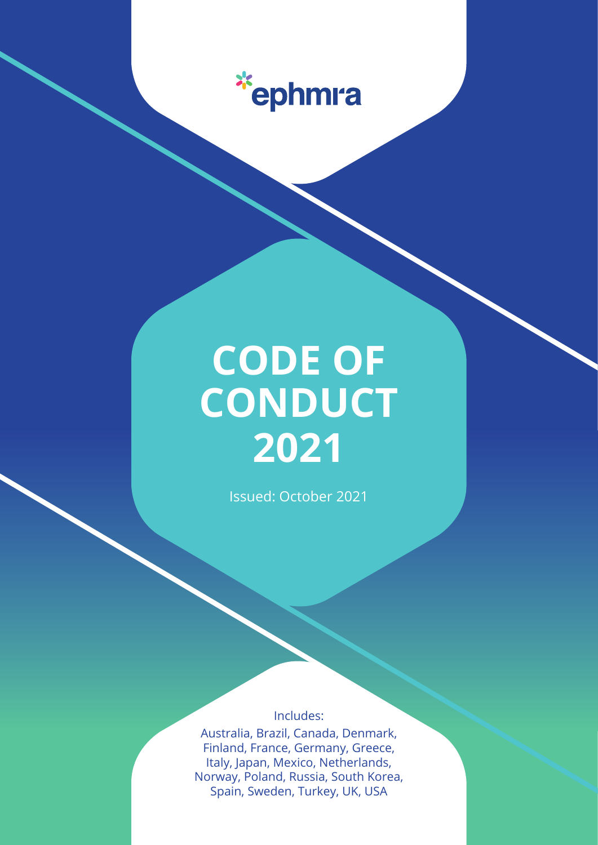

# **CODE OF CONDUCT 2021**

Issued: October 2021

Includes:

Australia, Brazil, Canada, Denmark, Finland, France, Germany, Greece, Italy, Japan, Mexico, Netherlands, Norway, Poland, Russia, South Korea, Spain, Sweden, Turkey, UK, USA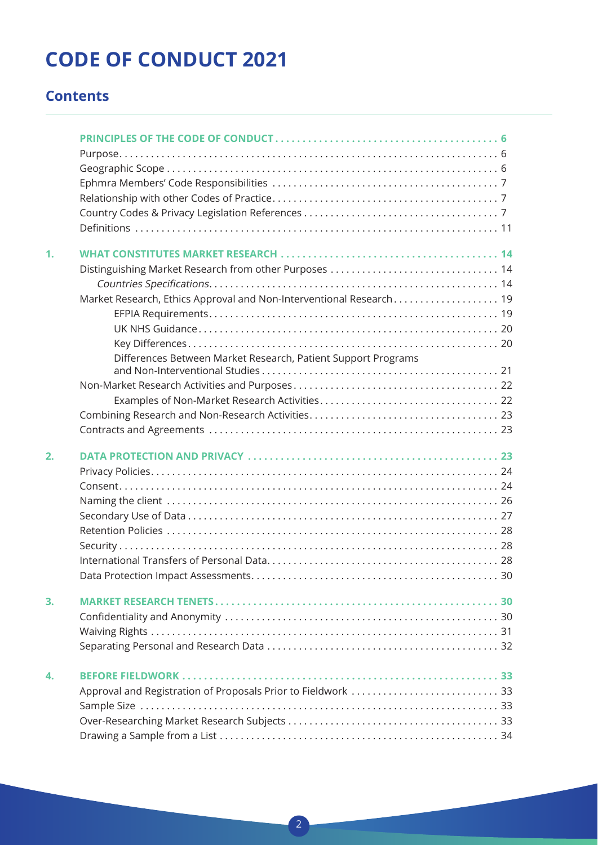## **CODE OF CONDUCT 2021**

### **Contents**

| 1. |                                                                     |
|----|---------------------------------------------------------------------|
|    |                                                                     |
|    |                                                                     |
|    | Market Research, Ethics Approval and Non-Interventional Research 19 |
|    |                                                                     |
|    |                                                                     |
|    |                                                                     |
|    | Differences Between Market Research, Patient Support Programs       |
|    |                                                                     |
|    |                                                                     |
|    |                                                                     |
|    |                                                                     |
|    |                                                                     |
| 2. |                                                                     |
|    |                                                                     |
|    |                                                                     |
|    |                                                                     |
|    |                                                                     |
|    |                                                                     |
|    |                                                                     |
|    |                                                                     |
|    |                                                                     |
| 3. |                                                                     |
|    |                                                                     |
|    |                                                                     |
|    |                                                                     |
| 4. |                                                                     |
|    | Approval and Registration of Proposals Prior to Fieldwork  33       |
|    |                                                                     |
|    |                                                                     |
|    |                                                                     |
|    |                                                                     |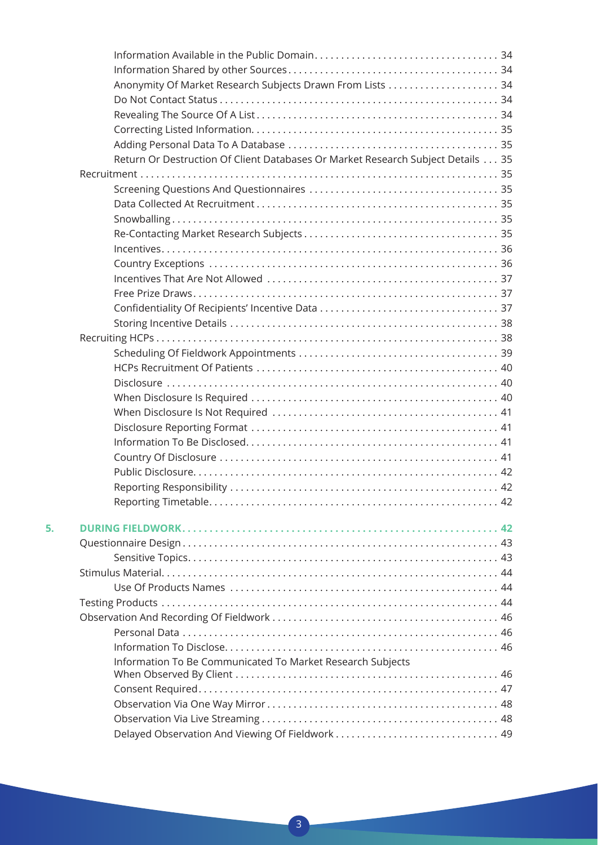|    | Return Or Destruction Of Client Databases Or Market Research Subject Details 35 |  |
|----|---------------------------------------------------------------------------------|--|
|    |                                                                                 |  |
|    |                                                                                 |  |
|    |                                                                                 |  |
|    |                                                                                 |  |
|    |                                                                                 |  |
|    |                                                                                 |  |
|    |                                                                                 |  |
|    |                                                                                 |  |
|    |                                                                                 |  |
|    |                                                                                 |  |
|    |                                                                                 |  |
|    |                                                                                 |  |
|    |                                                                                 |  |
|    |                                                                                 |  |
|    |                                                                                 |  |
|    |                                                                                 |  |
|    |                                                                                 |  |
|    |                                                                                 |  |
|    |                                                                                 |  |
|    |                                                                                 |  |
|    |                                                                                 |  |
|    |                                                                                 |  |
|    |                                                                                 |  |
|    |                                                                                 |  |
| 5. |                                                                                 |  |
|    |                                                                                 |  |
|    |                                                                                 |  |
|    |                                                                                 |  |
|    |                                                                                 |  |
|    |                                                                                 |  |
|    |                                                                                 |  |
|    |                                                                                 |  |
|    |                                                                                 |  |
|    | Information To Be Communicated To Market Research Subjects                      |  |
|    |                                                                                 |  |
|    |                                                                                 |  |
|    |                                                                                 |  |
|    | Delayed Observation And Viewing Of Fieldwork  49                                |  |
|    |                                                                                 |  |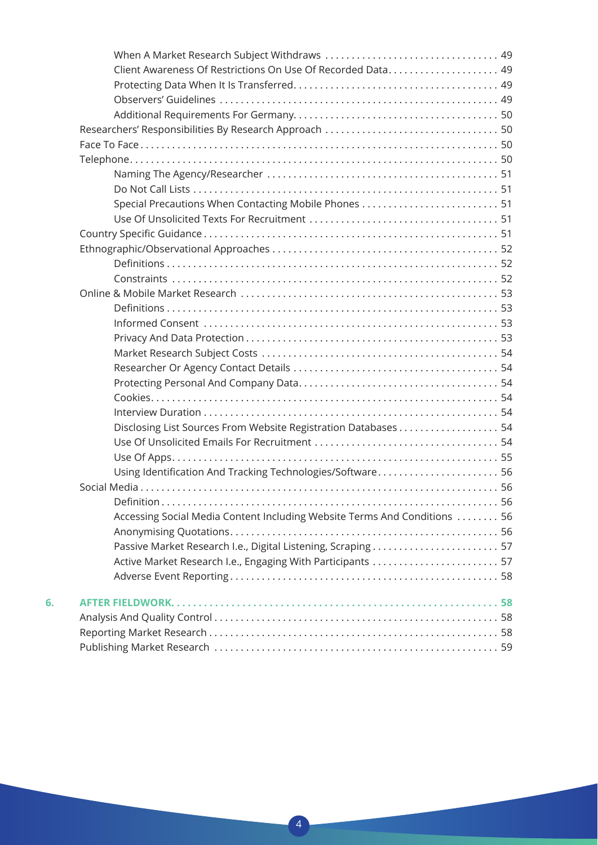|    | Client Awareness Of Restrictions On Use Of Recorded Data 49               |
|----|---------------------------------------------------------------------------|
|    |                                                                           |
|    |                                                                           |
|    |                                                                           |
|    |                                                                           |
|    |                                                                           |
|    |                                                                           |
|    |                                                                           |
|    |                                                                           |
|    | Special Precautions When Contacting Mobile Phones  51                     |
|    |                                                                           |
|    |                                                                           |
|    |                                                                           |
|    |                                                                           |
|    |                                                                           |
|    |                                                                           |
|    |                                                                           |
|    |                                                                           |
|    |                                                                           |
|    |                                                                           |
|    |                                                                           |
|    |                                                                           |
|    |                                                                           |
|    |                                                                           |
|    |                                                                           |
|    |                                                                           |
|    |                                                                           |
|    | Using Identification And Tracking Technologies/Software 56                |
|    |                                                                           |
|    |                                                                           |
|    | Accessing Social Media Content Including Website Terms And Conditions  56 |
|    |                                                                           |
|    | Passive Market Research I.e., Digital Listening, Scraping  57             |
|    | Active Market Research I.e., Engaging With Participants  57               |
|    |                                                                           |
| 6. |                                                                           |
|    |                                                                           |
|    |                                                                           |
|    |                                                                           |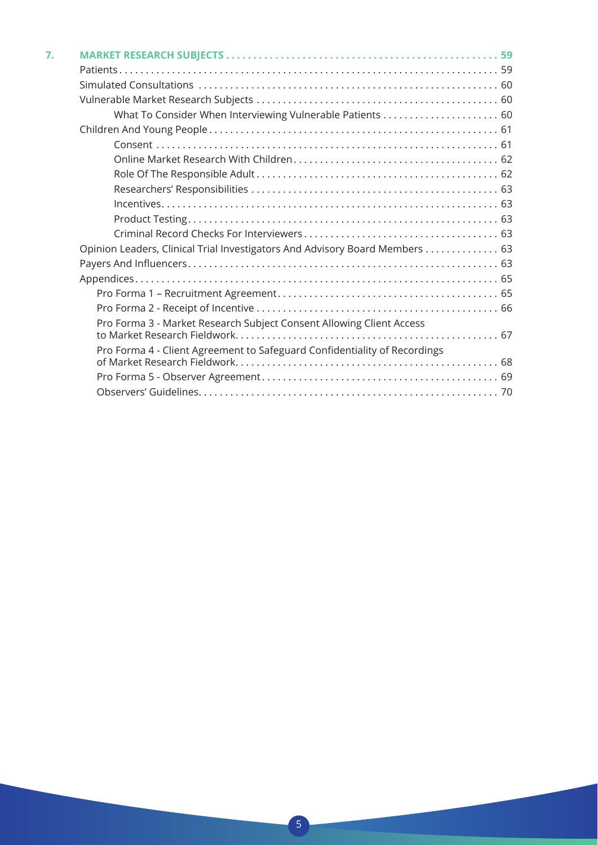| 7. |                                                                             |  |
|----|-----------------------------------------------------------------------------|--|
|    |                                                                             |  |
|    |                                                                             |  |
|    |                                                                             |  |
|    | What To Consider When Interviewing Vulnerable Patients  60                  |  |
|    |                                                                             |  |
|    |                                                                             |  |
|    |                                                                             |  |
|    |                                                                             |  |
|    |                                                                             |  |
|    |                                                                             |  |
|    |                                                                             |  |
|    |                                                                             |  |
|    | Opinion Leaders, Clinical Trial Investigators And Advisory Board Members 63 |  |
|    |                                                                             |  |
|    |                                                                             |  |
|    |                                                                             |  |
|    |                                                                             |  |
|    | Pro Forma 3 - Market Research Subject Consent Allowing Client Access        |  |
|    |                                                                             |  |
|    | Pro Forma 4 - Client Agreement to Safeguard Confidentiality of Recordings   |  |
|    |                                                                             |  |
|    |                                                                             |  |
|    |                                                                             |  |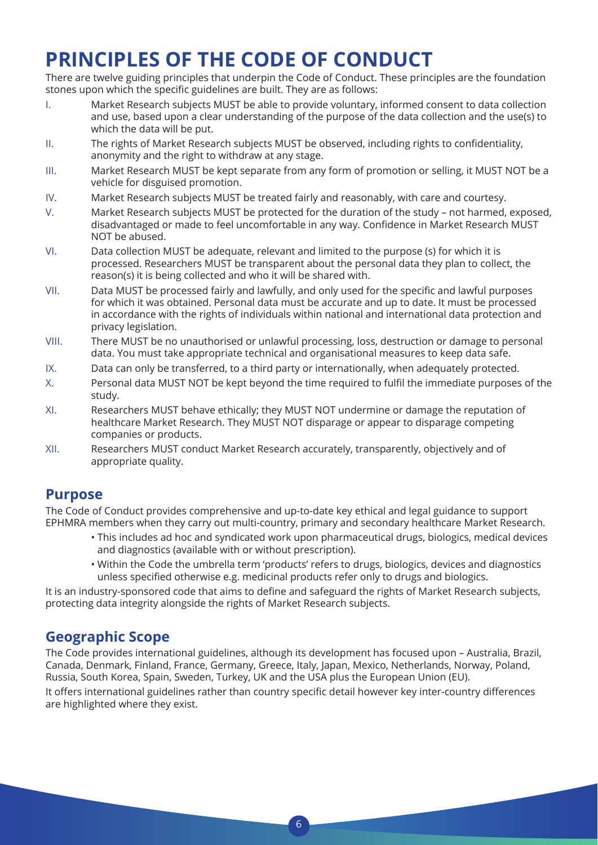## **PRINCIPLES OF THE CODE OF CONDUCT**

There are twelve guiding principles that underpin the Code of Conduct. These principles are the foundation stones upon which the specific guidelines are built. They are as follows:

- I. Market Research subjects MUST be able to provide voluntary, informed consent to data collection and use, based upon a clear understanding of the purpose of the data collection and the use(s) to which the data will be put.
- II. The rights of Market Research subjects MUST be observed, including rights to confidentiality, anonymity and the right to withdraw at any stage.
- III. Market Research MUST be kept separate from any form of promotion or selling, it MUST NOT be a vehicle for disguised promotion.
- IV. Market Research subjects MUST be treated fairly and reasonably, with care and courtesy.
- V. Market Research subjects MUST be protected for the duration of the study not harmed, exposed, disadvantaged or made to feel uncomfortable in any way. Confidence in Market Research MUST NOT be abused.
- VI. Data collection MUST be adequate, relevant and limited to the purpose (s) for which it is processed. Researchers MUST be transparent about the personal data they plan to collect, the reason(s) it is being collected and who it will be shared with.
- VII. Data MUST be processed fairly and lawfully, and only used for the specific and lawful purposes for which it was obtained. Personal data must be accurate and up to date. It must be processed in accordance with the rights of individuals within national and international data protection and privacy legislation.
- VIII. There MUST be no unauthorised or unlawful processing, loss, destruction or damage to personal data. You must take appropriate technical and organisational measures to keep data safe.
- IX. Data can only be transferred, to a third party or internationally, when adequately protected.
- X. Personal data MUST NOT be kept beyond the time required to fulfil the immediate purposes of the study.
- XI. Researchers MUST behave ethically; they MUST NOT undermine or damage the reputation of healthcare Market Research. They MUST NOT disparage or appear to disparage competing companies or products.
- XII. Researchers MUST conduct Market Research accurately, transparently, objectively and of appropriate quality.

### **Purpose**

The Code of Conduct provides comprehensive and up-to-date key ethical and legal guidance to support EPHMRA members when they carry out multi-country, primary and secondary healthcare Market Research.

- This includes ad hoc and syndicated work upon pharmaceutical drugs, biologics, medical devices and diagnostics (available with or without prescription).
- Within the Code the umbrella term 'products' refers to drugs, biologics, devices and diagnostics unless specified otherwise e.g. medicinal products refer only to drugs and biologics.

It is an industry-sponsored code that aims to define and safeguard the rights of Market Research subjects, protecting data integrity alongside the rights of Market Research subjects.

### **Geographic Scope**

The Code provides international guidelines, although its development has focused upon – Australia, Brazil, Canada, Denmark, Finland, France, Germany, Greece, Italy, Japan, Mexico, Netherlands, Norway, Poland, Russia, South Korea, Spain, Sweden, Turkey, UK and the USA plus the European Union (EU).

It offers international guidelines rather than country specific detail however key inter-country differences are highlighted where they exist.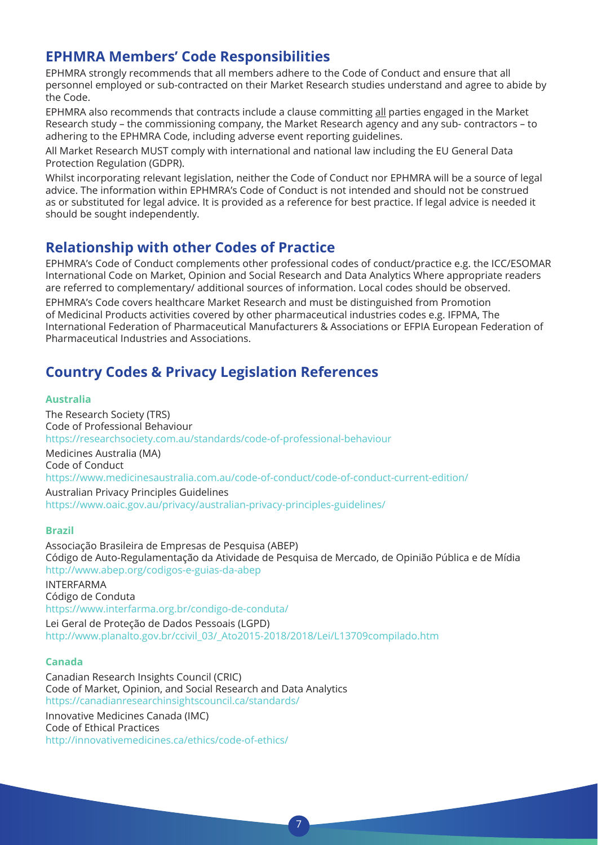### **EPHMRA Members' Code Responsibilities**

EPHMRA strongly recommends that all members adhere to the Code of Conduct and ensure that all personnel employed or sub-contracted on their Market Research studies understand and agree to abide by the Code.

EPHMRA also recommends that contracts include a clause committing all parties engaged in the Market Research study – the commissioning company, the Market Research agency and any sub- contractors – to adhering to the EPHMRA Code, including adverse event reporting guidelines.

All Market Research MUST comply with international and national law including the EU General Data Protection Regulation (GDPR).

Whilst incorporating relevant legislation, neither the Code of Conduct nor EPHMRA will be a source of legal advice. The information within EPHMRA's Code of Conduct is not intended and should not be construed as or substituted for legal advice. It is provided as a reference for best practice. If legal advice is needed it should be sought independently.

### **Relationship with other Codes of Practice**

EPHMRA's Code of Conduct complements other professional codes of conduct/practice e.g. the ICC/ESOMAR International Code on Market, Opinion and Social Research and Data Analytics Where appropriate readers are referred to complementary/ additional sources of information. Local codes should be observed.

EPHMRA's Code covers healthcare Market Research and must be distinguished from Promotion of Medicinal Products activities covered by other pharmaceutical industries codes e.g. IFPMA, The International Federation of Pharmaceutical Manufacturers & Associations or EFPIA European Federation of Pharmaceutical Industries and Associations.

### **Country Codes & Privacy Legislation References**

#### **Australia**

The Research Society (TRS) Code of Professional Behaviour https://researchsociety.com.au/standards/code-of-professional-behaviour Medicines Australia (MA) Code of Conduct https://www.medicinesaustralia.com.au/code-of-conduct/code-of-conduct-current-edition/ Australian Privacy Principles Guidelines

https://www.oaic.gov.au/privacy/australian-privacy-principles-guidelines/

#### **Brazil**

Associação Brasileira de Empresas de Pesquisa (ABEP) Código de Auto-Regulamentação da Atividade de Pesquisa de Mercado, de Opinião Pública e de Mídia http://www.abep.org/codigos-e-guias-da-abep

INTERFARMA Código de Conduta https://www.interfarma.org.br/condigo-de-conduta/ Lei Geral de Proteção de Dados Pessoais (LGPD)

### http://www.planalto.gov.br/ccivil\_03/\_Ato2015-2018/2018/Lei/L13709compilado.htm

#### **Canada**

Canadian Research Insights Council (CRIC) Code of Market, Opinion, and Social Research and Data Analytics https://canadianresearchinsightscouncil.ca/standards/ Innovative Medicines Canada (IMC)

Code of Ethical Practices http://innovativemedicines.ca/ethics/code-of-ethics/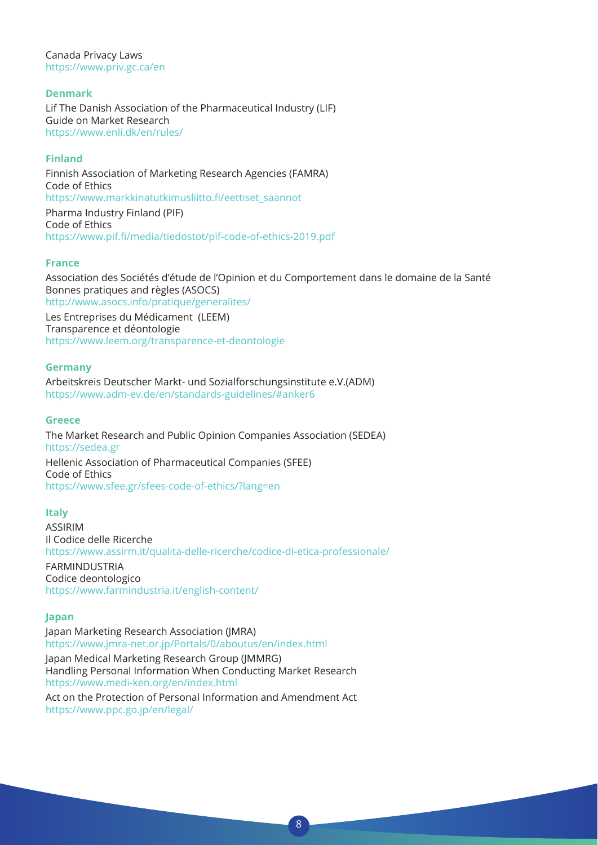Canada Privacy Laws https://www.priv.gc.ca/en

#### **Denmark**

Lif The Danish Association of the Pharmaceutical Industry (LIF) Guide on Market Research https://www.enli.dk/en/rules/

#### **Finland**

Finnish Association of Marketing Research Agencies (FAMRA) Code of Ethics https://www.markkinatutkimusliitto.fi/eettiset\_saannot Pharma Industry Finland (PIF) Code of Ethics https://www.pif.fi/media/tiedostot/pif-code-of-ethics-2019.pdf

#### **France**

Association des Sociétés d'étude de l'Opinion et du Comportement dans le domaine de la Santé Bonnes pratiques and règles (ASOCS) http://www.asocs.info/pratique/generalites/

Les Entreprises du Médicament (LEEM) Transparence et déontologie https://www.leem.org/transparence-et-deontologie

#### **Germany**

Arbeitskreis Deutscher Markt- und Sozialforschungsinstitute e.V.(ADM) https://www.adm-ev.de/en/standards-guidelines/#anker6

#### **Greece**

The Market Research and Public Opinion Companies Association (SEDEA) https://sedea.gr Hellenic Association of Pharmaceutical Companies (SFEE) Code of Ethics https://www.sfee.gr/sfees-code-of-ethics/?lang=en

#### **Italy**

ASSIRIM Il Codice delle Ricerche https://www.assirm.it/qualita-delle-ricerche/codice-di-etica-professionale/ FARMINDUSTRIA Codice deontologico https://www.farmindustria.it/english-content/

#### **Japan**

Japan Marketing Research Association (JMRA) https://www.jmra-net.or.jp/Portals/0/aboutus/en/index.html

Japan Medical Marketing Research Group (JMMRG) Handling Personal Information When Conducting Market Research https://www.medi-ken.org/en/index.html

Act on the Protection of Personal Information and Amendment Act https://www.ppc.go.jp/en/legal/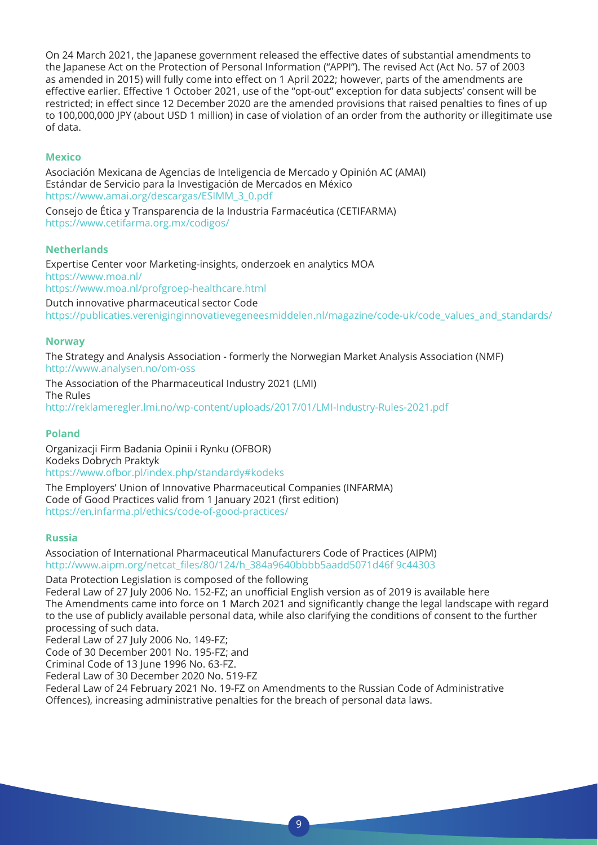On 24 March 2021, the Japanese government released the effective dates of substantial amendments to the Japanese Act on the Protection of Personal Information ("APPI"). The revised Act (Act No. 57 of 2003 as amended in 2015) will fully come into effect on 1 April 2022; however, parts of the amendments are effective earlier. Effective 1 October 2021, use of the "opt-out" exception for data subjects' consent will be restricted; in effect since 12 December 2020 are the amended provisions that raised penalties to fines of up to 100,000,000 JPY (about USD 1 million) in case of violation of an order from the authority or illegitimate use of data.

#### **Mexico**

Asociación Mexicana de Agencias de Inteligencia de Mercado y Opinión AC (AMAI) Estándar de Servicio para la Investigación de Mercados en México https://www.amai.org/descargas/ESIMM\_3\_0.pdf

Consejo de Ética y Transparencia de la Industria Farmacéutica (CETIFARMA) https://www.cetifarma.org.mx/codigos/

#### **Netherlands**

Expertise Center voor Marketing-insights, onderzoek en analytics MOA https://www.moa.nl/ https://www.moa.nl/profgroep-healthcare.html

Dutch innovative pharmaceutical sector Code https://publicaties.vereniginginnovatievegeneesmiddelen.nl/magazine/code-uk/code\_values\_and\_standards/

#### **Norway**

The Strategy and Analysis Association - formerly the Norwegian Market Analysis Association (NMF) http://www.analysen.no/om-oss

The Association of the Pharmaceutical Industry 2021 (LMI) The Rules http://reklameregler.lmi.no/wp-content/uploads/2017/01/LMI-Industry-Rules-2021.pdf

#### **Poland**

Organizacji Firm Badania Opinii i Rynku (OFBOR) Kodeks Dobrych Praktyk https://www.ofbor.pl/index.php/standardy#kodeks

The Employers' Union of Innovative Pharmaceutical Companies (INFARMA) Code of Good Practices valid from 1 January 2021 (first edition) https://en.infarma.pl/ethics/code-of-good-practices/

#### **Russia**

Association of International Pharmaceutical Manufacturers Code of Practices (AIPM) http://www.aipm.org/netcat\_files/80/124/h\_384a9640bbbb5aadd5071d46f 9c44303

Data Protection Legislation is composed of the following

Federal Law of 27 July 2006 No. 152-FZ; an unofficial English version as of 2019 is available here The Amendments came into force on 1 March 2021 and significantly change the legal landscape with regard to the use of publicly available personal data, while also clarifying the conditions of consent to the further processing of such data.

Federal Law of 27 July 2006 No. 149-FZ;

Code of 30 December 2001 No. 195-FZ; and

Criminal Code of 13 June 1996 No. 63-FZ.

Federal Law of 30 December 2020 No. 519-FZ

Federal Law of 24 February 2021 No. 19-FZ on Amendments to the Russian Code of Administrative Offences), increasing administrative penalties for the breach of personal data laws.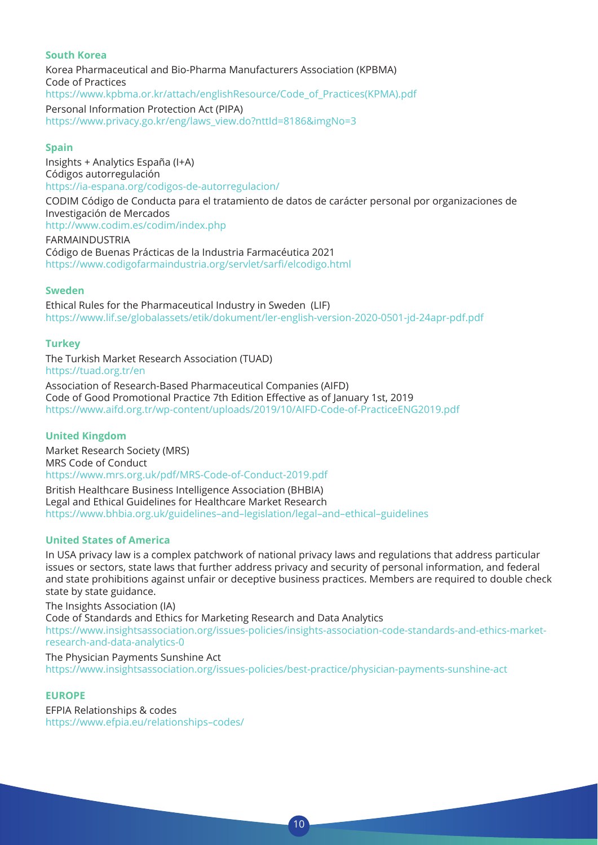#### **South Korea**

Korea Pharmaceutical and Bio-Pharma Manufacturers Association (KPBMA) Code of Practices https://www.kpbma.or.kr/attach/englishResource/Code\_of\_Practices(KPMA).pdf Personal Information Protection Act (PIPA) https://www.privacy.go.kr/eng/laws\_view.do?nttId=8186&imgNo=3

#### **Spain**

Insights + Analytics España (I+A) Códigos autorregulación https://ia-espana.org/codigos-de-autorregulacion/ CODIM Código de Conducta para el tratamiento de datos de carácter personal por organizaciones de Investigación de Mercados http://www.codim.es/codim/index.php FARMAINDUSTRIA Código de Buenas Prácticas de la Industria Farmacéutica 2021 https://www.codigofarmaindustria.org/servlet/sarfi/elcodigo.html

#### **Sweden**

Ethical Rules for the Pharmaceutical Industry in Sweden (LIF) https://www.lif.se/globalassets/etik/dokument/ler-english-version-2020-0501-jd-24apr-pdf.pdf

#### **Turkey**

The Turkish Market Research Association (TUAD) https://tuad.org.tr/en Association of Research-Based Pharmaceutical Companies (AIFD) Code of Good Promotional Practice 7th Edition Effective as of January 1st, 2019 https://www.aifd.org.tr/wp-content/uploads/2019/10/AIFD-Code-of-PracticeENG2019.pdf

#### **United Kingdom**

Market Research Society (MRS) MRS Code of Conduct https://www.mrs.org.uk/pdf/MRS-Code-of-Conduct-2019.pdf

British Healthcare Business Intelligence Association (BHBIA) Legal and Ethical Guidelines for Healthcare Market Research https://www.bhbia.org.uk/guidelines–and–legislation/legal–and–ethical–guidelines

#### **United States of America**

In USA privacy law is a complex patchwork of national privacy laws and regulations that address particular issues or sectors, state laws that further address privacy and security of personal information, and federal and state prohibitions against unfair or deceptive business practices. Members are required to double check state by state guidance.

The Insights Association (IA) Code of Standards and Ethics for Marketing Research and Data Analytics https://www.insightsassociation.org/issues-policies/insights-association-code-standards-and-ethics-marketresearch-and-data-analytics-0

10

The Physician Payments Sunshine Act https://www.insightsassociation.org/issues-policies/best-practice/physician-payments-sunshine-act

#### **EUROPE**

EFPIA Relationships & codes https://www.efpia.eu/relationships–codes/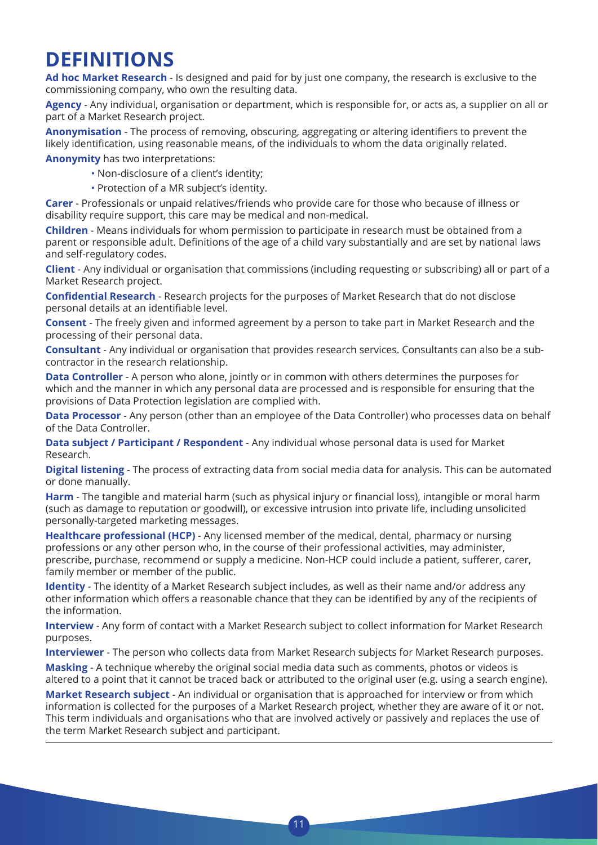## **DEFINITIONS**

**Ad hoc Market Research** - Is designed and paid for by just one company, the research is exclusive to the commissioning company, who own the resulting data.

**Agency** - Any individual, organisation or department, which is responsible for, or acts as, a supplier on all or part of a Market Research project.

**Anonymisation** - The process of removing, obscuring, aggregating or altering identifiers to prevent the likely identification, using reasonable means, of the individuals to whom the data originally related.

**Anonymity** has two interpretations:

- Non-disclosure of a client's identity;
- Protection of a MR subject's identity.

**Carer** - Professionals or unpaid relatives/friends who provide care for those who because of illness or disability require support, this care may be medical and non-medical.

**Children** - Means individuals for whom permission to participate in research must be obtained from a parent or responsible adult. Definitions of the age of a child vary substantially and are set by national laws and self-regulatory codes.

**Client** - Any individual or organisation that commissions (including requesting or subscribing) all or part of a Market Research project.

**Confidential Research** - Research projects for the purposes of Market Research that do not disclose personal details at an identifiable level.

**Consent** - The freely given and informed agreement by a person to take part in Market Research and the processing of their personal data.

**Consultant** - Any individual or organisation that provides research services. Consultants can also be a subcontractor in the research relationship.

**Data Controller** - A person who alone, jointly or in common with others determines the purposes for which and the manner in which any personal data are processed and is responsible for ensuring that the provisions of Data Protection legislation are complied with.

**Data Processor** - Any person (other than an employee of the Data Controller) who processes data on behalf of the Data Controller.

**Data subject / Participant / Respondent** - Any individual whose personal data is used for Market Research.

**Digital listening** - The process of extracting data from social media data for analysis. This can be automated or done manually.

**Harm** - The tangible and material harm (such as physical injury or financial loss), intangible or moral harm (such as damage to reputation or goodwill), or excessive intrusion into private life, including unsolicited personally-targeted marketing messages.

**Healthcare professional (HCP)** - Any licensed member of the medical, dental, pharmacy or nursing professions or any other person who, in the course of their professional activities, may administer, prescribe, purchase, recommend or supply a medicine. Non-HCP could include a patient, sufferer, carer, family member or member of the public.

**Identity** - The identity of a Market Research subject includes, as well as their name and/or address any other information which offers a reasonable chance that they can be identified by any of the recipients of the information.

**Interview** - Any form of contact with a Market Research subject to collect information for Market Research purposes.

**Interviewer** - The person who collects data from Market Research subjects for Market Research purposes.

**Masking** - A technique whereby the original social media data such as comments, photos or videos is altered to a point that it cannot be traced back or attributed to the original user (e.g. using a search engine).

**Market Research subject** - An individual or organisation that is approached for interview or from which information is collected for the purposes of a Market Research project, whether they are aware of it or not. This term individuals and organisations who that are involved actively or passively and replaces the use of the term Market Research subject and participant.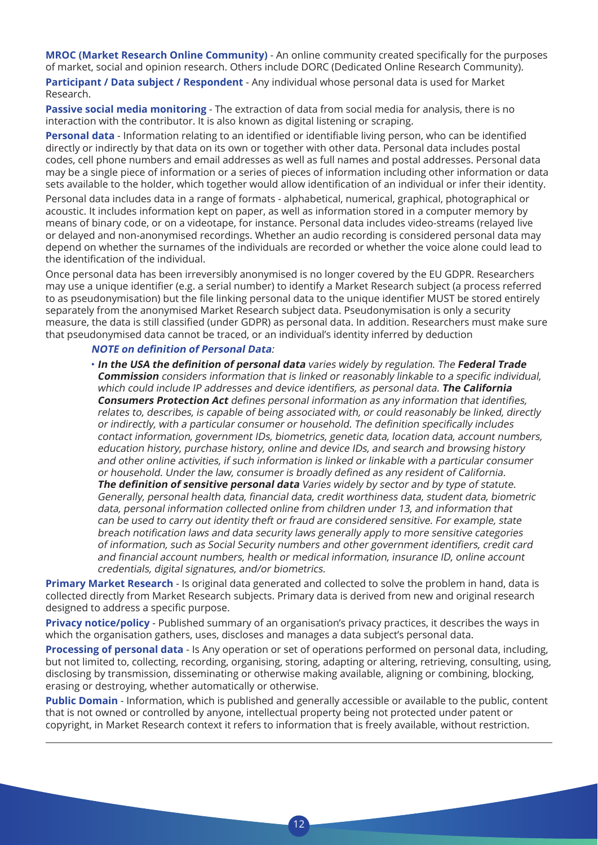**MROC (Market Research Online Community)** - An online community created specifically for the purposes of market, social and opinion research. Others include DORC (Dedicated Online Research Community).

**Participant / Data subject / Respondent** - Any individual whose personal data is used for Market Research.

**Passive social media monitoring** - The extraction of data from social media for analysis, there is no interaction with the contributor. It is also known as digital listening or scraping.

**Personal data** - Information relating to an identified or identifiable living person, who can be identified directly or indirectly by that data on its own or together with other data. Personal data includes postal codes, cell phone numbers and email addresses as well as full names and postal addresses. Personal data may be a single piece of information or a series of pieces of information including other information or data sets available to the holder, which together would allow identification of an individual or infer their identity. Personal data includes data in a range of formats - alphabetical, numerical, graphical, photographical or acoustic. It includes information kept on paper, as well as information stored in a computer memory by means of binary code, or on a videotape, for instance. Personal data includes video-streams (relayed live or delayed and non-anonymised recordings. Whether an audio recording is considered personal data may depend on whether the surnames of the individuals are recorded or whether the voice alone could lead to the identification of the individual.

Once personal data has been irreversibly anonymised is no longer covered by the EU GDPR. Researchers may use a unique identifier (e.g. a serial number) to identify a Market Research subject (a process referred to as pseudonymisation) but the file linking personal data to the unique identifier MUST be stored entirely separately from the anonymised Market Research subject data. Pseudonymisation is only a security measure, the data is still classified (under GDPR) as personal data. In addition. Researchers must make sure that pseudonymised data cannot be traced, or an individual's identity inferred by deduction

#### **NOTE on definition of Personal Data**:

• **In the USA the definition of personal data** varies widely by regulation. The **Federal Trade Commission** considers information that is linked or reasonably linkable to <sup>a</sup> specific individual, which could include IP addresses and device identifiers, as personal data. **The California Consumers Protection Act** defines personal information as any information that identifies, relates to, describes, is capable of being associated with, or could reasonably be linked, directly or indirectly, with <sup>a</sup> particular consumer or household. The definition specifically includes contact information, government IDs, biometrics, genetic data, location data, account numbers, education history, purchase history, online and device IDs, and search and browsing history and other online activities, if such information is linked or linkable with a particular consumer or household. Under the law, consumer is broadly defined as any resident of California. **The definition of sensitive personal data** Varies widely by sector and by type of statute. Generally, personal health data, financial data, credit worthiness data, student data, biometric data, personal information collected online from children under 13, and information that can be used to carry out identity theft or fraud are considered sensitive. For example, state breach notification laws and data security laws generally apply to more sensitive categories of information, such as Social Security numbers and other government identifiers, credit card and financial account numbers, health or medical information, insurance ID, online account credentials, digital signatures, and/or biometrics.

**Primary Market Research** - Is original data generated and collected to solve the problem in hand, data is collected directly from Market Research subjects. Primary data is derived from new and original research designed to address a specific purpose.

**Privacy notice/policy** - Published summary of an organisation's privacy practices, it describes the ways in which the organisation gathers, uses, discloses and manages a data subject's personal data.

**Processing of personal data** - Is Any operation or set of operations performed on personal data, including, but not limited to, collecting, recording, organising, storing, adapting or altering, retrieving, consulting, using, disclosing by transmission, disseminating or otherwise making available, aligning or combining, blocking, erasing or destroying, whether automatically or otherwise.

**Public Domain** - Information, which is published and generally accessible or available to the public, content that is not owned or controlled by anyone, intellectual property being not protected under patent or copyright, in Market Research context it refers to information that is freely available, without restriction.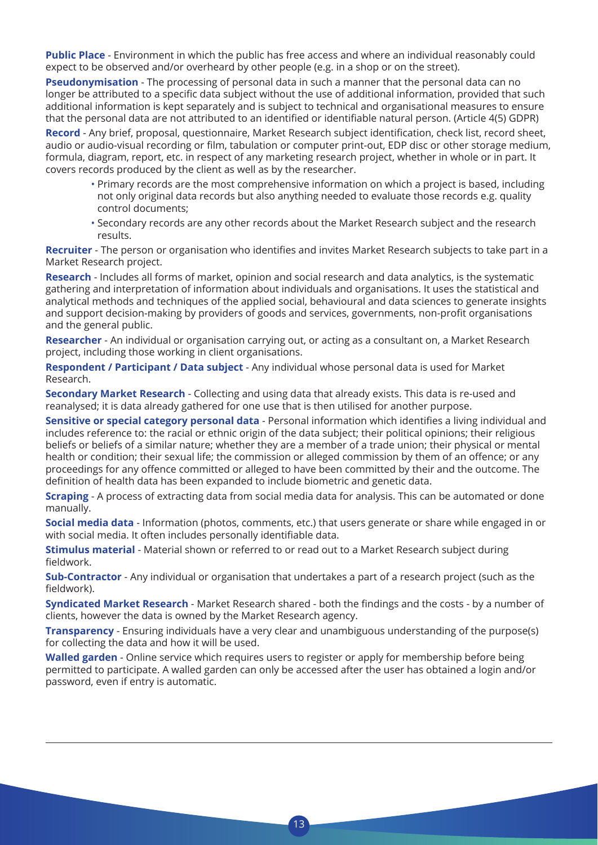**Public Place** - Environment in which the public has free access and where an individual reasonably could expect to be observed and/or overheard by other people (e.g. in a shop or on the street).

**Pseudonymisation** - The processing of personal data in such a manner that the personal data can no longer be attributed to a specific data subject without the use of additional information, provided that such additional information is kept separately and is subject to technical and organisational measures to ensure that the personal data are not attributed to an identified or identifiable natural person. (Article 4(5) GDPR)

**Record** - Any brief, proposal, questionnaire, Market Research subject identification, check list, record sheet, audio or audio-visual recording or film, tabulation or computer print-out, EDP disc or other storage medium, formula, diagram, report, etc. in respect of any marketing research project, whether in whole or in part. It covers records produced by the client as well as by the researcher.

- Primary records are the most comprehensive information on which a project is based, including not only original data records but also anything needed to evaluate those records e.g. quality control documents;
- Secondary records are any other records about the Market Research subject and the research results.

**Recruiter** - The person or organisation who identifies and invites Market Research subjects to take part in a Market Research project.

**Research** - Includes all forms of market, opinion and social research and data analytics, is the systematic gathering and interpretation of information about individuals and organisations. It uses the statistical and analytical methods and techniques of the applied social, behavioural and data sciences to generate insights and support decision-making by providers of goods and services, governments, non-profit organisations and the general public.

**Researcher** - An individual or organisation carrying out, or acting as a consultant on, a Market Research project, including those working in client organisations.

**Respondent / Participant / Data subject** - Any individual whose personal data is used for Market Research.

**Secondary Market Research** - Collecting and using data that already exists. This data is re-used and reanalysed; it is data already gathered for one use that is then utilised for another purpose.

**Sensitive or special category personal data** - Personal information which identifies a living individual and includes reference to: the racial or ethnic origin of the data subject; their political opinions; their religious beliefs or beliefs of a similar nature; whether they are a member of a trade union; their physical or mental health or condition; their sexual life; the commission or alleged commission by them of an offence; or any proceedings for any offence committed or alleged to have been committed by their and the outcome. The definition of health data has been expanded to include biometric and genetic data.

**Scraping** - A process of extracting data from social media data for analysis. This can be automated or done manually.

**Social media data** - Information (photos, comments, etc.) that users generate or share while engaged in or with social media. It often includes personally identifiable data.

**Stimulus material** - Material shown or referred to or read out to a Market Research subject during fieldwork.

**Sub-Contractor** - Any individual or organisation that undertakes a part of a research project (such as the fieldwork).

**Syndicated Market Research** - Market Research shared - both the findings and the costs - by a number of clients, however the data is owned by the Market Research agency.

**Transparency** - Ensuring individuals have a very clear and unambiguous understanding of the purpose(s) for collecting the data and how it will be used.

**Walled garden** - Online service which requires users to register or apply for membership before being permitted to participate. A walled garden can only be accessed after the user has obtained a login and/or password, even if entry is automatic.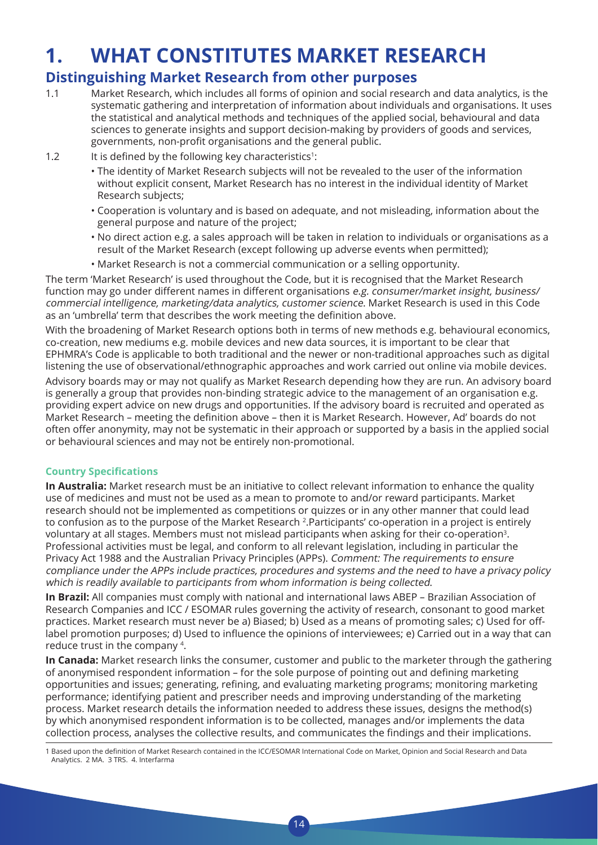## **1. WHAT CONSTITUTES MARKET RESEARCH**

### **Distinguishing Market Research from other purposes**

- 1.1 Market Research, which includes all forms of opinion and social research and data analytics, is the systematic gathering and interpretation of information about individuals and organisations. It uses the statistical and analytical methods and techniques of the applied social, behavioural and data sciences to generate insights and support decision-making by providers of goods and services, governments, non-profit organisations and the general public.
- 1.2 It is defined by the following key characteristics<sup>1</sup>:
	- The identity of Market Research subjects will not be revealed to the user of the information without explicit consent, Market Research has no interest in the individual identity of Market Research subjects;
	- Cooperation is voluntary and is based on adequate, and not misleading, information about the general purpose and nature of the project;
	- No direct action e.g. a sales approach will be taken in relation to individuals or organisations as a result of the Market Research (except following up adverse events when permitted);
	- Market Research is not a commercial communication or a selling opportunity.

The term 'Market Research' is used throughout the Code, but it is recognised that the Market Research function may go under different names in different organisations e.g. consumer/market insight, business/ commercial intelligence, marketing/data analytics, customer science. Market Research is used in this Code as an 'umbrella' term that describes the work meeting the definition above.

With the broadening of Market Research options both in terms of new methods e.g. behavioural economics, co-creation, new mediums e.g. mobile devices and new data sources, it is important to be clear that EPHMRA's Code is applicable to both traditional and the newer or non-traditional approaches such as digital listening the use of observational/ethnographic approaches and work carried out online via mobile devices.

Advisory boards may or may not qualify as Market Research depending how they are run. An advisory board is generally a group that provides non-binding strategic advice to the management of an organisation e.g. providing expert advice on new drugs and opportunities. If the advisory board is recruited and operated as Market Research – meeting the definition above – then it is Market Research. However, Ad' boards do not often offer anonymity, may not be systematic in their approach or supported by a basis in the applied social or behavioural sciences and may not be entirely non-promotional.

#### **Country Specifications**

**In Australia:** Market research must be an initiative to collect relevant information to enhance the quality use of medicines and must not be used as a mean to promote to and/or reward participants. Market research should not be implemented as competitions or quizzes or in any other manner that could lead to confusion as to the purpose of the Market Research 2.Participants' co-operation in a project is entirely voluntary at all stages. Members must not mislead participants when asking for their co-operation3. Professional activities must be legal, and conform to all relevant legislation, including in particular the Privacy Act 1988 and the Australian Privacy Principles (APPs). Comment: The requirements to ensure compliance under the APPs include practices, procedures and systems and the need to have a privacy policy which is readily available to participants from whom information is being collected.

**In Brazil:** All companies must comply with national and international laws ABEP – Brazilian Association of Research Companies and ICC / ESOMAR rules governing the activity of research, consonant to good market practices. Market research must never be a) Biased; b) Used as a means of promoting sales; c) Used for offlabel promotion purposes; d) Used to influence the opinions of interviewees; e) Carried out in a way that can reduce trust in the company 4.

**In Canada:** Market research links the consumer, customer and public to the marketer through the gathering of anonymised respondent information – for the sole purpose of pointing out and defining marketing opportunities and issues; generating, refining, and evaluating marketing programs; monitoring marketing performance; identifying patient and prescriber needs and improving understanding of the marketing process. Market research details the information needed to address these issues, designs the method(s) by which anonymised respondent information is to be collected, manages and/or implements the data collection process, analyses the collective results, and communicates the findings and their implications.

 $1<sub>A</sub>$ 

1 Based upon the definition of Market Research contained in the ICC/ESOMAR International Code on Market, Opinion and Social Research and Data Analytics. 2 MA. 3 TRS. 4. Interfarma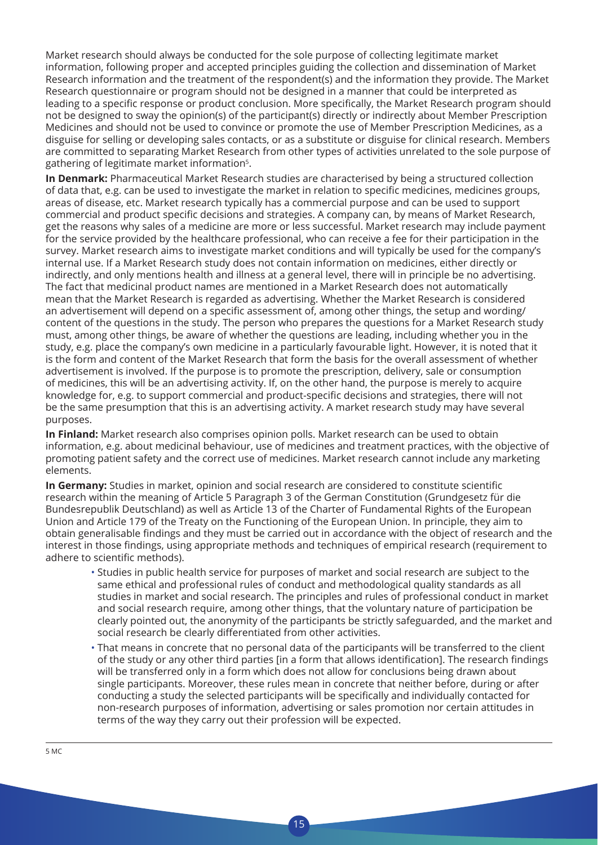Market research should always be conducted for the sole purpose of collecting legitimate market information, following proper and accepted principles guiding the collection and dissemination of Market Research information and the treatment of the respondent(s) and the information they provide. The Market Research questionnaire or program should not be designed in a manner that could be interpreted as leading to a specific response or product conclusion. More specifically, the Market Research program should not be designed to sway the opinion(s) of the participant(s) directly or indirectly about Member Prescription Medicines and should not be used to convince or promote the use of Member Prescription Medicines, as a disguise for selling or developing sales contacts, or as a substitute or disguise for clinical research. Members are committed to separating Market Research from other types of activities unrelated to the sole purpose of gathering of legitimate market information<sup>5</sup>.

**In Denmark:** Pharmaceutical Market Research studies are characterised by being a structured collection of data that, e.g. can be used to investigate the market in relation to specific medicines, medicines groups, areas of disease, etc. Market research typically has a commercial purpose and can be used to support commercial and product specific decisions and strategies. A company can, by means of Market Research, get the reasons why sales of a medicine are more or less successful. Market research may include payment for the service provided by the healthcare professional, who can receive a fee for their participation in the survey. Market research aims to investigate market conditions and will typically be used for the company's internal use. If a Market Research study does not contain information on medicines, either directly or indirectly, and only mentions health and illness at a general level, there will in principle be no advertising. The fact that medicinal product names are mentioned in a Market Research does not automatically mean that the Market Research is regarded as advertising. Whether the Market Research is considered an advertisement will depend on a specific assessment of, among other things, the setup and wording/ content of the questions in the study. The person who prepares the questions for a Market Research study must, among other things, be aware of whether the questions are leading, including whether you in the study, e.g. place the company's own medicine in a particularly favourable light. However, it is noted that it is the form and content of the Market Research that form the basis for the overall assessment of whether advertisement is involved. If the purpose is to promote the prescription, delivery, sale or consumption of medicines, this will be an advertising activity. If, on the other hand, the purpose is merely to acquire knowledge for, e.g. to support commercial and product-specific decisions and strategies, there will not be the same presumption that this is an advertising activity. A market research study may have several purposes.

**In Finland:** Market research also comprises opinion polls. Market research can be used to obtain information, e.g. about medicinal behaviour, use of medicines and treatment practices, with the objective of promoting patient safety and the correct use of medicines. Market research cannot include any marketing elements.

**In Germany:** Studies in market, opinion and social research are considered to constitute scientific research within the meaning of Article 5 Paragraph 3 of the German Constitution (Grundgesetz für die Bundesrepublik Deutschland) as well as Article 13 of the Charter of Fundamental Rights of the European Union and Article 179 of the Treaty on the Functioning of the European Union. In principle, they aim to obtain generalisable findings and they must be carried out in accordance with the object of research and the interest in those findings, using appropriate methods and techniques of empirical research (requirement to adhere to scientific methods).

- Studies in public health service for purposes of market and social research are subject to the same ethical and professional rules of conduct and methodological quality standards as all studies in market and social research. The principles and rules of professional conduct in market and social research require, among other things, that the voluntary nature of participation be clearly pointed out, the anonymity of the participants be strictly safeguarded, and the market and social research be clearly differentiated from other activities.
- That means in concrete that no personal data of the participants will be transferred to the client of the study or any other third parties [in a form that allows identification]. The research findings will be transferred only in a form which does not allow for conclusions being drawn about single participants. Moreover, these rules mean in concrete that neither before, during or after conducting a study the selected participants will be specifically and individually contacted for non-research purposes of information, advertising or sales promotion nor certain attitudes in terms of the way they carry out their profession will be expected.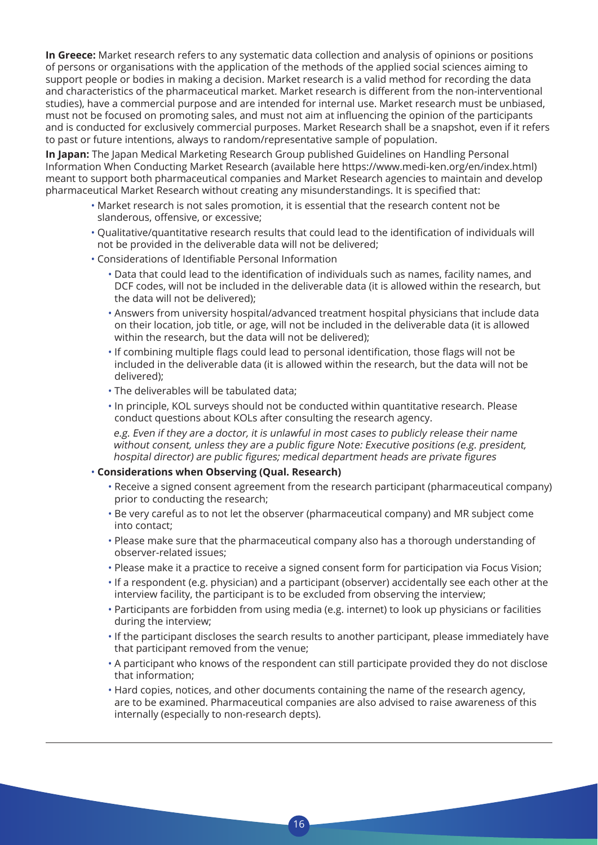**In Greece:** Market research refers to any systematic data collection and analysis of opinions or positions of persons or organisations with the application of the methods of the applied social sciences aiming to support people or bodies in making a decision. Market research is a valid method for recording the data and characteristics of the pharmaceutical market. Market research is different from the non-interventional studies), have a commercial purpose and are intended for internal use. Market research must be unbiased, must not be focused on promoting sales, and must not aim at influencing the opinion of the participants and is conducted for exclusively commercial purposes. Market Research shall be a snapshot, even if it refers to past or future intentions, always to random/representative sample of population.

**In Japan:** The Japan Medical Marketing Research Group published Guidelines on Handling Personal Information When Conducting Market Research (available here https://www.medi-ken.org/en/index.html) meant to support both pharmaceutical companies and Market Research agencies to maintain and develop pharmaceutical Market Research without creating any misunderstandings. It is specified that:

- Market research is not sales promotion, it is essential that the research content not be slanderous, offensive, or excessive;
- Qualitative/quantitative research results that could lead to the identification of individuals will not be provided in the deliverable data will not be delivered;
- Considerations of Identifiable Personal Information
	- Data that could lead to the identification of individuals such as names, facility names, and DCF codes, will not be included in the deliverable data (it is allowed within the research, but the data will not be delivered);
	- Answers from university hospital/advanced treatment hospital physicians that include data on their location, job title, or age, will not be included in the deliverable data (it is allowed within the research, but the data will not be delivered);
	- If combining multiple flags could lead to personal identification, those flags will not be included in the deliverable data (it is allowed within the research, but the data will not be delivered);
	- The deliverables will be tabulated data;
	- In principle, KOL surveys should not be conducted within quantitative research. Please conduct questions about KOLs after consulting the research agency.

 e.g. Even if they are a doctor, it is unlawful in most cases to publicly release their name without consent, unless they are <sup>a</sup> public figure Note: Executive positions (e.g. president, hospital director) are public figures; medical department heads are private figures

#### • **Considerations when Observing (Qual. Research)**

- Receive a signed consent agreement from the research participant (pharmaceutical company) prior to conducting the research;
- Be very careful as to not let the observer (pharmaceutical company) and MR subject come into contact;
- Please make sure that the pharmaceutical company also has a thorough understanding of observer-related issues;
- Please make it a practice to receive a signed consent form for participation via Focus Vision;
- If a respondent (e.g. physician) and a participant (observer) accidentally see each other at the interview facility, the participant is to be excluded from observing the interview;
- Participants are forbidden from using media (e.g. internet) to look up physicians or facilities during the interview;
- If the participant discloses the search results to another participant, please immediately have that participant removed from the venue;
- A participant who knows of the respondent can still participate provided they do not disclose that information;
- Hard copies, notices, and other documents containing the name of the research agency, are to be examined. Pharmaceutical companies are also advised to raise awareness of this internally (especially to non-research depts).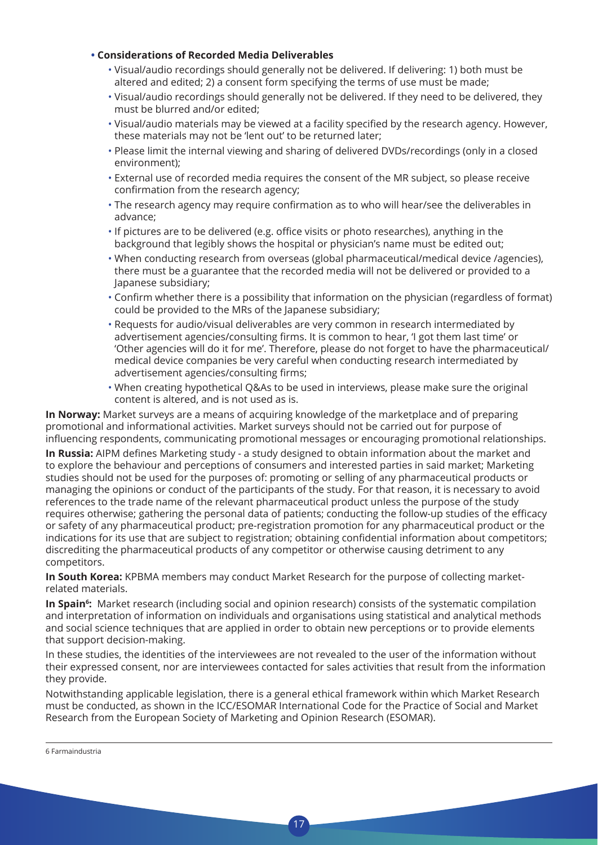#### **• Considerations of Recorded Media Deliverables**

- Visual/audio recordings should generally not be delivered. If delivering: 1) both must be altered and edited; 2) a consent form specifying the terms of use must be made;
- Visual/audio recordings should generally not be delivered. If they need to be delivered, they must be blurred and/or edited;
- Visual/audio materials may be viewed at a facility specified by the research agency. However, these materials may not be 'lent out' to be returned later;
- Please limit the internal viewing and sharing of delivered DVDs/recordings (only in a closed environment);
- External use of recorded media requires the consent of the MR subject, so please receive confirmation from the research agency;
- The research agency may require confirmation as to who will hear/see the deliverables in advance;
- If pictures are to be delivered (e.g. office visits or photo researches), anything in the background that legibly shows the hospital or physician's name must be edited out;
- When conducting research from overseas (global pharmaceutical/medical device /agencies), there must be a guarantee that the recorded media will not be delivered or provided to a Japanese subsidiary;
- Confirm whether there is a possibility that information on the physician (regardless of format) could be provided to the MRs of the Japanese subsidiary;
- Requests for audio/visual deliverables are very common in research intermediated by advertisement agencies/consulting firms. It is common to hear, 'I got them last time' or 'Other agencies will do it for me'. Therefore, please do not forget to have the pharmaceutical/ medical device companies be very careful when conducting research intermediated by advertisement agencies/consulting firms;
- When creating hypothetical Q&As to be used in interviews, please make sure the original content is altered, and is not used as is.

**In Norway:** Market surveys are a means of acquiring knowledge of the marketplace and of preparing promotional and informational activities. Market surveys should not be carried out for purpose of influencing respondents, communicating promotional messages or encouraging promotional relationships.

**In Russia:** AIPM defines Marketing study - a study designed to obtain information about the market and to explore the behaviour and perceptions of consumers and interested parties in said market; Marketing studies should not be used for the purposes of: promoting or selling of any pharmaceutical products or managing the opinions or conduct of the participants of the study. For that reason, it is necessary to avoid references to the trade name of the relevant pharmaceutical product unless the purpose of the study requires otherwise; gathering the personal data of patients; conducting the follow-up studies of the efficacy or safety of any pharmaceutical product; pre-registration promotion for any pharmaceutical product or the indications for its use that are subject to registration; obtaining confidential information about competitors; discrediting the pharmaceutical products of any competitor or otherwise causing detriment to any competitors.

**In South Korea:** KPBMA members may conduct Market Research for the purpose of collecting marketrelated materials.

**In Spain<sup>6</sup>:** Market research (including social and opinion research) consists of the systematic compilation and interpretation of information on individuals and organisations using statistical and analytical methods and social science techniques that are applied in order to obtain new perceptions or to provide elements that support decision-making.

In these studies, the identities of the interviewees are not revealed to the user of the information without their expressed consent, nor are interviewees contacted for sales activities that result from the information they provide.

Notwithstanding applicable legislation, there is a general ethical framework within which Market Research must be conducted, as shown in the ICC/ESOMAR International Code for the Practice of Social and Market Research from the European Society of Marketing and Opinion Research (ESOMAR).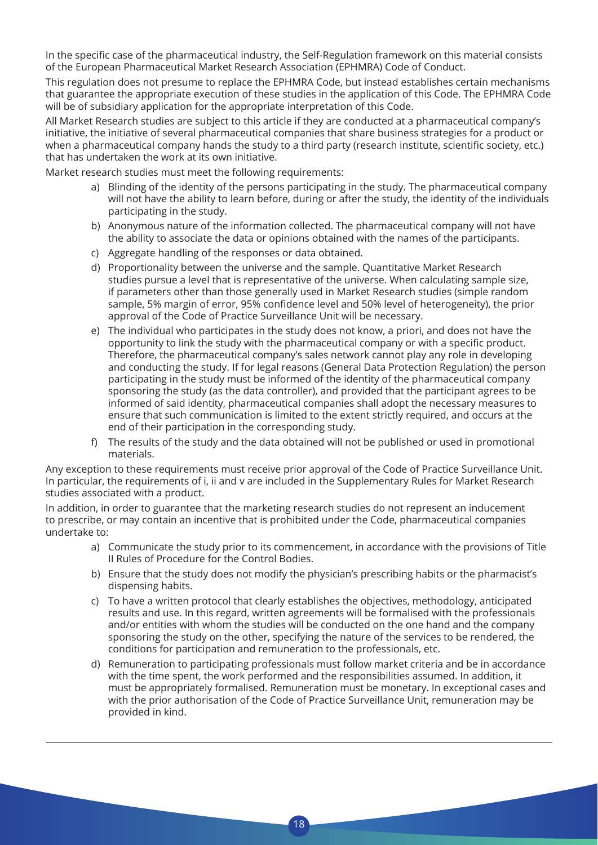In the specific case of the pharmaceutical industry, the Self-Regulation framework on this material consists of the European Pharmaceutical Market Research Association (EPHMRA) Code of Conduct.

This regulation does not presume to replace the EPHMRA Code, but instead establishes certain mechanisms that guarantee the appropriate execution of these studies in the application of this Code. The EPHMRA Code will be of subsidiary application for the appropriate interpretation of this Code.

All Market Research studies are subject to this article if they are conducted at a pharmaceutical company's initiative, the initiative of several pharmaceutical companies that share business strategies for a product or when a pharmaceutical company hands the study to a third party (research institute, scientific society, etc.) that has undertaken the work at its own initiative.

Market research studies must meet the following requirements:

- a) Blinding of the identity of the persons participating in the study. The pharmaceutical company will not have the ability to learn before, during or after the study, the identity of the individuals participating in the study.
- b) Anonymous nature of the information collected. The pharmaceutical company will not have the ability to associate the data or opinions obtained with the names of the participants.
- c) Aggregate handling of the responses or data obtained.
- d) Proportionality between the universe and the sample. Quantitative Market Research studies pursue a level that is representative of the universe. When calculating sample size, if parameters other than those generally used in Market Research studies (simple random sample, 5% margin of error, 95% confidence level and 50% level of heterogeneity), the prior approval of the Code of Practice Surveillance Unit will be necessary.
- e) The individual who participates in the study does not know, a priori, and does not have the opportunity to link the study with the pharmaceutical company or with a specific product. Therefore, the pharmaceutical company's sales network cannot play any role in developing and conducting the study. If for legal reasons (General Data Protection Regulation) the person participating in the study must be informed of the identity of the pharmaceutical company sponsoring the study (as the data controller), and provided that the participant agrees to be informed of said identity, pharmaceutical companies shall adopt the necessary measures to ensure that such communication is limited to the extent strictly required, and occurs at the end of their participation in the corresponding study.
- f) The results of the study and the data obtained will not be published or used in promotional materials.

Any exception to these requirements must receive prior approval of the Code of Practice Surveillance Unit. In particular, the requirements of i, ii and v are included in the Supplementary Rules for Market Research studies associated with a product.

In addition, in order to guarantee that the marketing research studies do not represent an inducement to prescribe, or may contain an incentive that is prohibited under the Code, pharmaceutical companies undertake to:

- a) Communicate the study prior to its commencement, in accordance with the provisions of Title II Rules of Procedure for the Control Bodies.
- b) Ensure that the study does not modify the physician's prescribing habits or the pharmacist's dispensing habits.
- c) To have a written protocol that clearly establishes the objectives, methodology, anticipated results and use. In this regard, written agreements will be formalised with the professionals and/or entities with whom the studies will be conducted on the one hand and the company sponsoring the study on the other, specifying the nature of the services to be rendered, the conditions for participation and remuneration to the professionals, etc.
- d) Remuneration to participating professionals must follow market criteria and be in accordance with the time spent, the work performed and the responsibilities assumed. In addition, it must be appropriately formalised. Remuneration must be monetary. In exceptional cases and with the prior authorisation of the Code of Practice Surveillance Unit, remuneration may be provided in kind.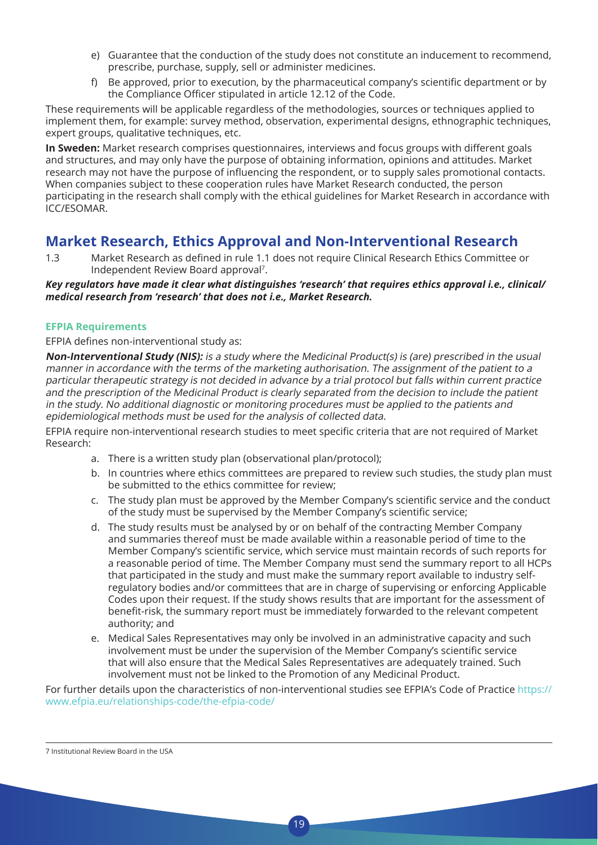- e) Guarantee that the conduction of the study does not constitute an inducement to recommend, prescribe, purchase, supply, sell or administer medicines.
- f) Be approved, prior to execution, by the pharmaceutical company's scientific department or by the Compliance Officer stipulated in article 12.12 of the Code.

These requirements will be applicable regardless of the methodologies, sources or techniques applied to implement them, for example: survey method, observation, experimental designs, ethnographic techniques, expert groups, qualitative techniques, etc.

**In Sweden:** Market research comprises questionnaires, interviews and focus groups with different goals and structures, and may only have the purpose of obtaining information, opinions and attitudes. Market research may not have the purpose of influencing the respondent, or to supply sales promotional contacts. When companies subject to these cooperation rules have Market Research conducted, the person participating in the research shall comply with the ethical guidelines for Market Research in accordance with ICC/ESOMAR.

### **Market Research, Ethics Approval and Non-Interventional Research**

1.3 Market Research as defined in rule 1.1 does not require Clinical Research Ethics Committee or Independent Review Board approval7.

*Key regulators have made it clear what distinguishes 'research' that requires ethics approval i.e., clinical/ medical research from 'research' that does not i.e., Market Research.*

#### **EFPIA Requirements**

EFPIA defines non-interventional study as:

**Non-Interventional Study (NIS):** is a study where the Medicinal Product(s) is (are) prescribed in the usual manner in accordance with the terms of the marketing authorisation. The assignment of the patient to a particular therapeutic strategy is not decided in advance by a trial protocol but falls within current practice and the prescription of the Medicinal Product is clearly separated from the decision to include the patient in the study. No additional diagnostic or monitoring procedures must be applied to the patients and epidemiological methods must be used for the analysis of collected data.

EFPIA require non-interventional research studies to meet specific criteria that are not required of Market Research:

- a. There is a written study plan (observational plan/protocol);
- b. In countries where ethics committees are prepared to review such studies, the study plan must be submitted to the ethics committee for review;
- c. The study plan must be approved by the Member Company's scientific service and the conduct of the study must be supervised by the Member Company's scientific service;
- d. The study results must be analysed by or on behalf of the contracting Member Company and summaries thereof must be made available within a reasonable period of time to the Member Company's scientific service, which service must maintain records of such reports for a reasonable period of time. The Member Company must send the summary report to all HCPs that participated in the study and must make the summary report available to industry selfregulatory bodies and/or committees that are in charge of supervising or enforcing Applicable Codes upon their request. If the study shows results that are important for the assessment of benefit-risk, the summary report must be immediately forwarded to the relevant competent authority; and
- e. Medical Sales Representatives may only be involved in an administrative capacity and such involvement must be under the supervision of the Member Company's scientific service that will also ensure that the Medical Sales Representatives are adequately trained. Such involvement must not be linked to the Promotion of any Medicinal Product.

For further details upon the characteristics of non-interventional studies see EFPIA's Code of Practice https:// www.efpia.eu/relationships-code/the-efpia-code/

19

7 Institutional Review Board in the USA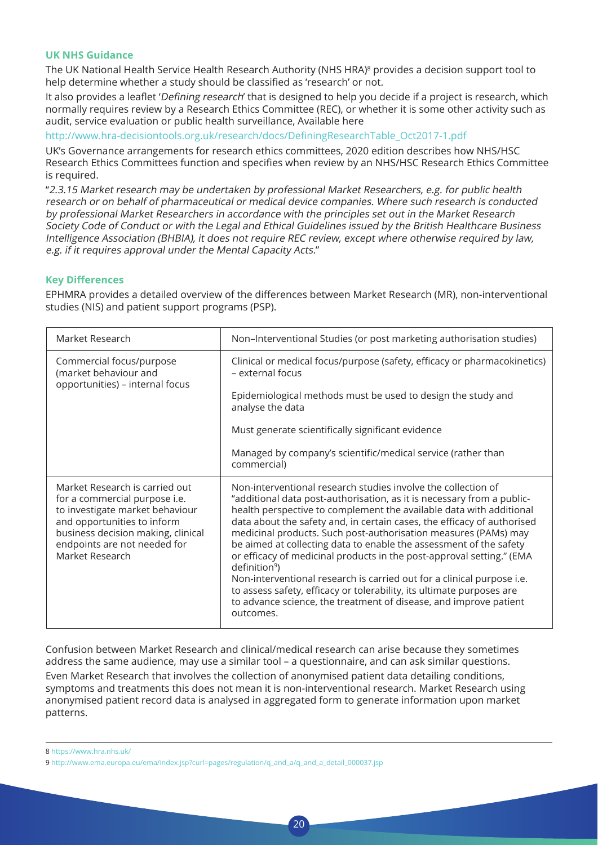#### **UK NHS Guidance**

The UK National Health Service Health Research Authority (NHS HRA)<sup>8</sup> provides a decision support tool to help determine whether a study should be classified as 'research' or not.

It also provides a leaflet 'Defining research' that is designed to help you decide if a project is research, which normally requires review by a Research Ethics Committee (REC), or whether it is some other activity such as audit, service evaluation or public health surveillance, Available here

http://www.hra-decisiontools.org.uk/research/docs/DefiningResearchTable\_Oct2017-1.pdf

UK's Governance arrangements for research ethics committees, 2020 edition describes how NHS/HSC Research Ethics Committees function and specifies when review by an NHS/HSC Research Ethics Committee is required.

"2.3.15 Market research may be undertaken by professional Market Researchers, e.g. for public health research or on behalf of pharmaceutical or medical device companies. Where such research is conducted by professional Market Researchers in accordance with the principles set out in the Market Research Society Code of Conduct or with the Legal and Ethical Guidelines issued by the British Healthcare Business Intelligence Association (BHBIA), it does not require REC review, except where otherwise required by law, e.g. if it requires approval under the Mental Capacity Acts."

#### **Key Differences**

EPHMRA provides a detailed overview of the differences between Market Research (MR), non-interventional studies (NIS) and patient support programs (PSP).

| Market Research                                                                                                                                                                                                            | Non-Interventional Studies (or post marketing authorisation studies)                                                                                                                                                                                                                                                                                                                                                                                                                                                                                                                                                                                                                                                                                                          |
|----------------------------------------------------------------------------------------------------------------------------------------------------------------------------------------------------------------------------|-------------------------------------------------------------------------------------------------------------------------------------------------------------------------------------------------------------------------------------------------------------------------------------------------------------------------------------------------------------------------------------------------------------------------------------------------------------------------------------------------------------------------------------------------------------------------------------------------------------------------------------------------------------------------------------------------------------------------------------------------------------------------------|
| Commercial focus/purpose<br>(market behaviour and<br>opportunities) - internal focus                                                                                                                                       | Clinical or medical focus/purpose (safety, efficacy or pharmacokinetics)<br>- external focus                                                                                                                                                                                                                                                                                                                                                                                                                                                                                                                                                                                                                                                                                  |
|                                                                                                                                                                                                                            | Epidemiological methods must be used to design the study and<br>analyse the data                                                                                                                                                                                                                                                                                                                                                                                                                                                                                                                                                                                                                                                                                              |
|                                                                                                                                                                                                                            | Must generate scientifically significant evidence                                                                                                                                                                                                                                                                                                                                                                                                                                                                                                                                                                                                                                                                                                                             |
|                                                                                                                                                                                                                            | Managed by company's scientific/medical service (rather than<br>commercial)                                                                                                                                                                                                                                                                                                                                                                                                                                                                                                                                                                                                                                                                                                   |
| Market Research is carried out<br>for a commercial purpose i.e.<br>to investigate market behaviour<br>and opportunities to inform<br>business decision making, clinical<br>endpoints are not needed for<br>Market Research | Non-interventional research studies involve the collection of<br>"additional data post-authorisation, as it is necessary from a public-<br>health perspective to complement the available data with additional<br>data about the safety and, in certain cases, the efficacy of authorised<br>medicinal products. Such post-authorisation measures (PAMs) may<br>be aimed at collecting data to enable the assessment of the safety<br>or efficacy of medicinal products in the post-approval setting." (EMA<br>definition <sup>9</sup> )<br>Non-interventional research is carried out for a clinical purpose i.e.<br>to assess safety, efficacy or tolerability, its ultimate purposes are<br>to advance science, the treatment of disease, and improve patient<br>outcomes. |

Confusion between Market Research and clinical/medical research can arise because they sometimes address the same audience, may use a similar tool – a questionnaire, and can ask similar questions. Even Market Research that involves the collection of anonymised patient data detailing conditions, symptoms and treatments this does not mean it is non-interventional research. Market Research using anonymised patient record data is analysed in aggregated form to generate information upon market patterns.

 $20$ 

8 https://www.hra.nhs.uk/

<sup>9</sup> http://www.ema.europa.eu/ema/index.jsp?curl=pages/regulation/q\_and\_a/q\_and\_a\_detail\_000037.jsp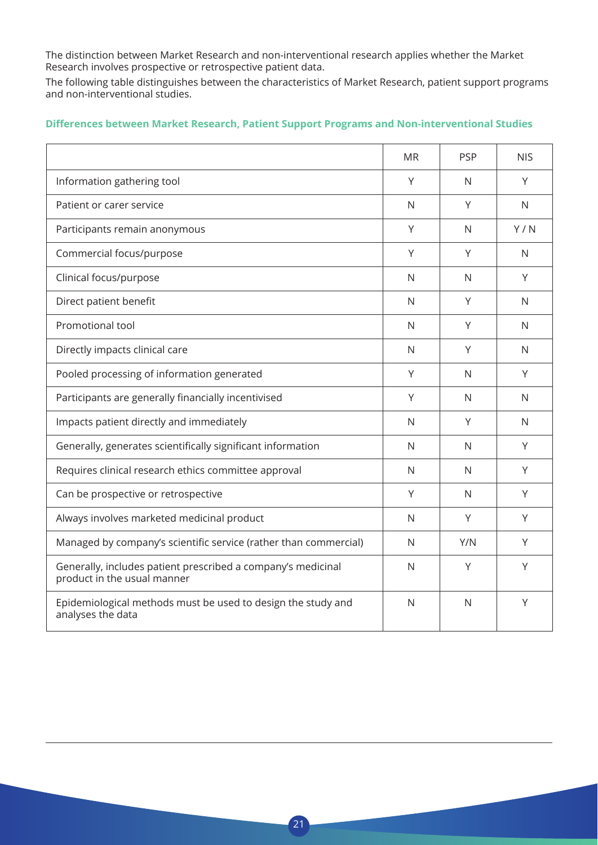The distinction between Market Research and non-interventional research applies whether the Market Research involves prospective or retrospective patient data.

The following table distinguishes between the characteristics of Market Research, patient support programs and non-interventional studies.

|                                                                                             | <b>MR</b>    | <b>PSP</b>   | <b>NIS</b>   |
|---------------------------------------------------------------------------------------------|--------------|--------------|--------------|
| Information gathering tool                                                                  | Y            | N            | Y            |
| Patient or carer service                                                                    | $\mathsf{N}$ | Y            | $\mathsf{N}$ |
| Participants remain anonymous                                                               | Υ            | N            | Y/N          |
| Commercial focus/purpose                                                                    | Υ            | Y            | N            |
| Clinical focus/purpose                                                                      | N            | N            | Y            |
| Direct patient benefit                                                                      | N            | Y            | N            |
| Promotional tool                                                                            | $\mathsf{N}$ | Y            | N            |
| Directly impacts clinical care                                                              | $\mathsf{N}$ | Y            | $\mathsf{N}$ |
| Pooled processing of information generated                                                  | Υ            | N            | Υ            |
| Participants are generally financially incentivised                                         | Υ            | N            | N            |
| Impacts patient directly and immediately                                                    | $\mathsf{N}$ | Y            | $\mathsf{N}$ |
| Generally, generates scientifically significant information                                 | N            | N            | Y            |
| Requires clinical research ethics committee approval                                        | N            | N            | Y            |
| Can be prospective or retrospective                                                         | Y            | $\mathsf{N}$ | Y            |
| Always involves marketed medicinal product                                                  | $\mathsf{N}$ | Y            | Y            |
| Managed by company's scientific service (rather than commercial)                            | N            | Y/N          | Υ            |
| Generally, includes patient prescribed a company's medicinal<br>product in the usual manner | $\mathsf{N}$ | Y            | Υ            |
| Epidemiological methods must be used to design the study and<br>analyses the data           | N            | N            | Υ            |

 $21$ 

#### **Differences between Market Research, Patient Support Programs and Non-interventional Studies**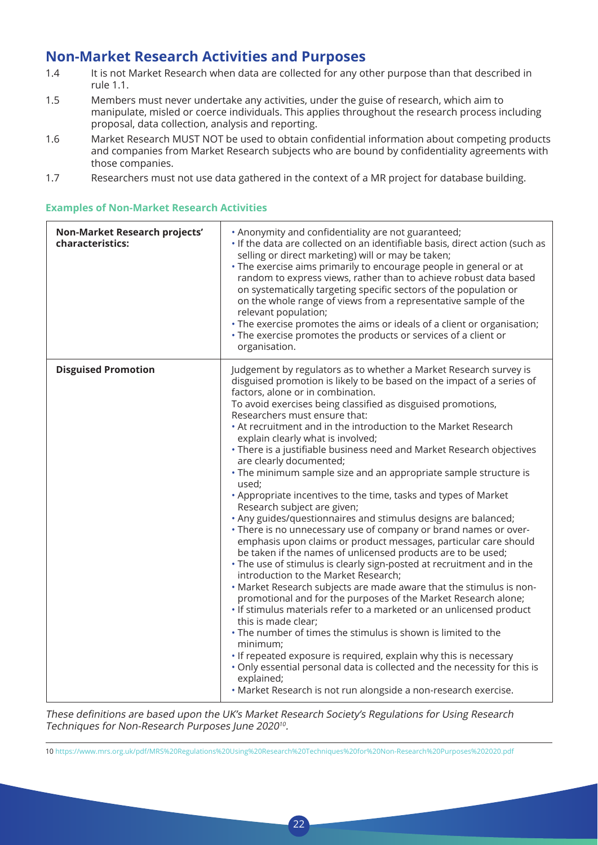### **Non-Market Research Activities and Purposes**

- 1.4 It is not Market Research when data are collected for any other purpose than that described in rule 1.1.
- 1.5 Members must never undertake any activities, under the guise of research, which aim to manipulate, misled or coerce individuals. This applies throughout the research process including proposal, data collection, analysis and reporting.
- 1.6 Market Research MUST NOT be used to obtain confidential information about competing products and companies from Market Research subjects who are bound by confidentiality agreements with those companies.
- 1.7 Researchers must not use data gathered in the context of a MR project for database building.

| Non-Market Research projects'<br>characteristics: | • Anonymity and confidentiality are not guaranteed;<br>. If the data are collected on an identifiable basis, direct action (such as<br>selling or direct marketing) will or may be taken;<br>. The exercise aims primarily to encourage people in general or at<br>random to express views, rather than to achieve robust data based<br>on systematically targeting specific sectors of the population or<br>on the whole range of views from a representative sample of the<br>relevant population;<br>. The exercise promotes the aims or ideals of a client or organisation;<br>• The exercise promotes the products or services of a client or<br>organisation.                                                                                                                                                                                                                                                                                                                                                                                                                                                                                                                                                                                                                                                                                                                                                                                                                                                                                                                                                              |
|---------------------------------------------------|----------------------------------------------------------------------------------------------------------------------------------------------------------------------------------------------------------------------------------------------------------------------------------------------------------------------------------------------------------------------------------------------------------------------------------------------------------------------------------------------------------------------------------------------------------------------------------------------------------------------------------------------------------------------------------------------------------------------------------------------------------------------------------------------------------------------------------------------------------------------------------------------------------------------------------------------------------------------------------------------------------------------------------------------------------------------------------------------------------------------------------------------------------------------------------------------------------------------------------------------------------------------------------------------------------------------------------------------------------------------------------------------------------------------------------------------------------------------------------------------------------------------------------------------------------------------------------------------------------------------------------|
| <b>Disguised Promotion</b>                        | Judgement by regulators as to whether a Market Research survey is<br>disguised promotion is likely to be based on the impact of a series of<br>factors, alone or in combination.<br>To avoid exercises being classified as disguised promotions,<br>Researchers must ensure that:<br>• At recruitment and in the introduction to the Market Research<br>explain clearly what is involved;<br>• There is a justifiable business need and Market Research objectives<br>are clearly documented;<br>• The minimum sample size and an appropriate sample structure is<br>used;<br>• Appropriate incentives to the time, tasks and types of Market<br>Research subject are given;<br>. Any guides/questionnaires and stimulus designs are balanced;<br>• There is no unnecessary use of company or brand names or over-<br>emphasis upon claims or product messages, particular care should<br>be taken if the names of unlicensed products are to be used;<br>. The use of stimulus is clearly sign-posted at recruitment and in the<br>introduction to the Market Research;<br>. Market Research subjects are made aware that the stimulus is non-<br>promotional and for the purposes of the Market Research alone;<br>. If stimulus materials refer to a marketed or an unlicensed product<br>this is made clear;<br>. The number of times the stimulus is shown is limited to the<br>minimum;<br>• If repeated exposure is required, explain why this is necessary<br>. Only essential personal data is collected and the necessity for this is<br>explained;<br>· Market Research is not run alongside a non-research exercise. |

#### **Examples of Non-Market Research Activities**

These definitions are based upon the UK's Market Research Society's Regulations for Using Research Techniques for Non-Research Purposes June 2020<sup>10</sup>.

10 https://www.mrs.org.uk/pdf/MRS%20Regulations%20Using%20Research%20Techniques%20for%20Non-Research%20Purposes%202020.pdf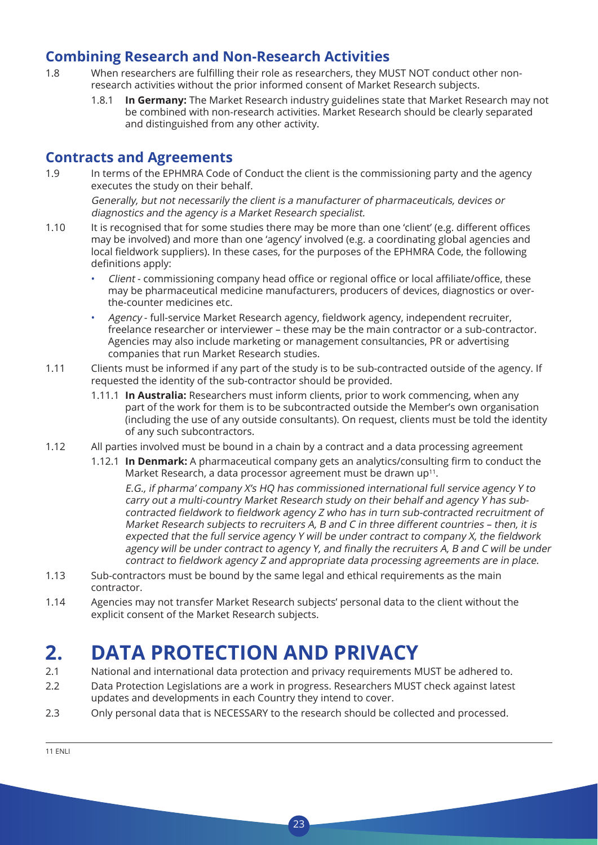### **Combining Research and Non-Research Activities**

- 1.8 When researchers are fulfilling their role as researchers, they MUST NOT conduct other nonresearch activities without the prior informed consent of Market Research subjects.
	- 1.8.1 **In Germany:** The Market Research industry guidelines state that Market Research may not be combined with non-research activities. Market Research should be clearly separated and distinguished from any other activity.

### **Contracts and Agreements**

1.9 In terms of the EPHMRA Code of Conduct the client is the commissioning party and the agency executes the study on their behalf.

 Generally, but not necessarily the client is a manufacturer of pharmaceuticals, devices or diagnostics and the agency is a Market Research specialist.

- 1.10 It is recognised that for some studies there may be more than one 'client' (e.g. different offices may be involved) and more than one 'agency' involved (e.g. a coordinating global agencies and local fieldwork suppliers). In these cases, for the purposes of the EPHMRA Code, the following definitions apply:
	- Client commissioning company head office or regional office or local affiliate/office, these may be pharmaceutical medicine manufacturers, producers of devices, diagnostics or overthe-counter medicines etc.
	- Agency full-service Market Research agency, fieldwork agency, independent recruiter, freelance researcher or interviewer – these may be the main contractor or a sub-contractor. Agencies may also include marketing or management consultancies, PR or advertising companies that run Market Research studies.
- 1.11 Clients must be informed if any part of the study is to be sub-contracted outside of the agency. If requested the identity of the sub-contractor should be provided.
	- 1.11.1 **In Australia:** Researchers must inform clients, prior to work commencing, when any part of the work for them is to be subcontracted outside the Member's own organisation (including the use of any outside consultants). On request, clients must be told the identity of any such subcontractors.
- 1.12 All parties involved must be bound in a chain by a contract and a data processing agreement
	- 1.12.1 **In Denmark:** A pharmaceutical company gets an analytics/consulting firm to conduct the Market Research, a data processor agreement must be drawn up<sup>11</sup>.

 E.G., if pharma' company X's HQ has commissioned international full service agency Y to carry out a multi-country Market Research study on their behalf and agency Y has subcontracted fieldwork to fieldwork agency Z who has in turn sub-contracted recruitment of Market Research subjects to recruiters A, B and C in three different countries – then, it is expected that the full service agency Y will be under contract to company X, the fieldwork agency will be under contract to agency Y, and finally the recruiters A, B and C will be under contract to fieldwork agency Z and appropriate data processing agreements are in place.

- 1.13 Sub-contractors must be bound by the same legal and ethical requirements as the main contractor.
- 1.14 Agencies may not transfer Market Research subjects' personal data to the client without the explicit consent of the Market Research subjects.

## **2. DATA PROTECTION AND PRIVACY**

- 2.1 National and international data protection and privacy requirements MUST be adhered to.
- 2.2 Data Protection Legislations are a work in progress. Researchers MUST check against latest updates and developments in each Country they intend to cover.
- 2.3 Only personal data that is NECESSARY to the research should be collected and processed.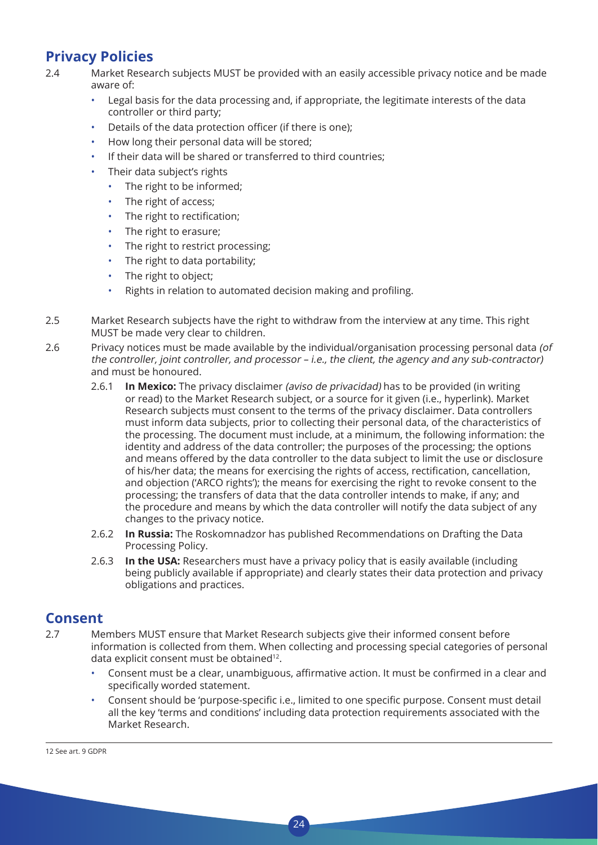### **Privacy Policies**

- 2.4 Market Research subjects MUST be provided with an easily accessible privacy notice and be made aware of:
	- Legal basis for the data processing and, if appropriate, the legitimate interests of the data controller or third party;
	- Details of the data protection officer (if there is one);
	- How long their personal data will be stored;
	- If their data will be shared or transferred to third countries:
	- Their data subject's rights
		- The right to be informed;
		- The right of access;
		- The right to rectification:
		- The right to erasure;
		- The right to restrict processing;
		- The right to data portability;
		- The right to object;
		- Rights in relation to automated decision making and profiling.
- 2.5 Market Research subjects have the right to withdraw from the interview at any time. This right MUST be made very clear to children.
- 2.6 Privacy notices must be made available by the individual/organisation processing personal data (of the controller, joint controller, and processor – i.e., the client, the agency and any sub-contractor) and must be honoured.
	- 2.6.1 **In Mexico:** The privacy disclaimer (aviso de privacidad) has to be provided (in writing or read) to the Market Research subject, or a source for it given (i.e., hyperlink). Market Research subjects must consent to the terms of the privacy disclaimer. Data controllers must inform data subjects, prior to collecting their personal data, of the characteristics of the processing. The document must include, at a minimum, the following information: the identity and address of the data controller; the purposes of the processing; the options and means offered by the data controller to the data subject to limit the use or disclosure of his/her data; the means for exercising the rights of access, rectification, cancellation, and objection ('ARCO rights'); the means for exercising the right to revoke consent to the processing; the transfers of data that the data controller intends to make, if any; and the procedure and means by which the data controller will notify the data subject of any changes to the privacy notice.
	- 2.6.2 **In Russia:** The Roskomnadzor has published Recommendations on Drafting the Data Processing Policy.
	- 2.6.3 **In the USA:** Researchers must have a privacy policy that is easily available (including being publicly available if appropriate) and clearly states their data protection and privacy obligations and practices.

### **Consent**

2.7 Members MUST ensure that Market Research subjects give their informed consent before information is collected from them. When collecting and processing special categories of personal data explicit consent must be obtained<sup>12</sup>.

- Consent must be a clear, unambiguous, affirmative action. It must be confirmed in a clear and specifically worded statement.
- Consent should be 'purpose-specific i.e., limited to one specific purpose. Consent must detail all the key 'terms and conditions' including data protection requirements associated with the Market Research.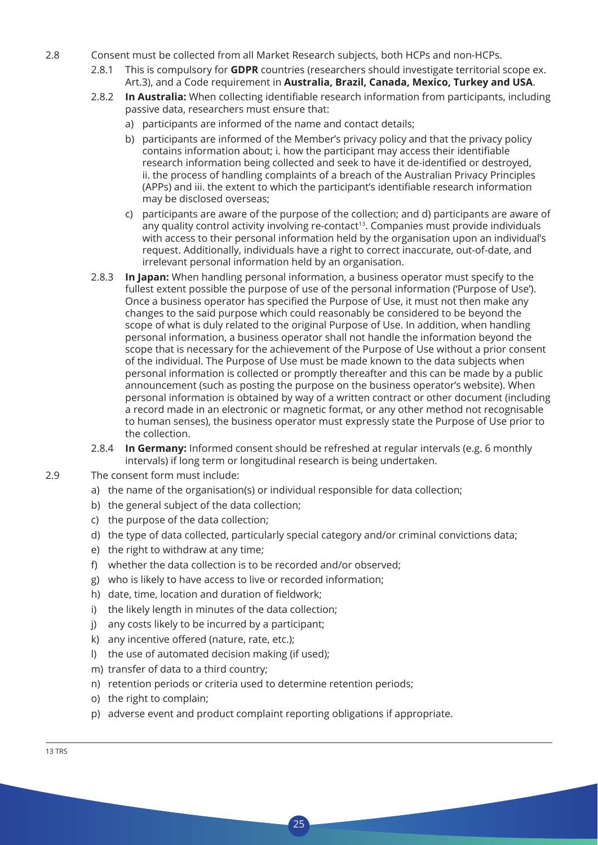- 2.8 Consent must be collected from all Market Research subjects, both HCPs and non-HCPs.
	- 2.8.1 This is compulsory for **GDPR** countries (researchers should investigate territorial scope ex. Art.3), and a Code requirement in **Australia, Brazil, Canada, Mexico, Turkey and USA**.
	- 2.8.2 **In Australia:** When collecting identifiable research information from participants, including passive data, researchers must ensure that:
		- a) participants are informed of the name and contact details;
		- b) participants are informed of the Member's privacy policy and that the privacy policy contains information about; i. how the participant may access their identifiable research information being collected and seek to have it de-identified or destroyed, ii. the process of handling complaints of a breach of the Australian Privacy Principles (APPs) and iii. the extent to which the participant's identifiable research information may be disclosed overseas;
		- c) participants are aware of the purpose of the collection; and d) participants are aware of any quality control activity involving re-contact<sup>13</sup>. Companies must provide individuals with access to their personal information held by the organisation upon an individual's request. Additionally, individuals have a right to correct inaccurate, out-of-date, and irrelevant personal information held by an organisation.
	- 2.8.3 **In Japan:** When handling personal information, a business operator must specify to the fullest extent possible the purpose of use of the personal information ('Purpose of Use'). Once a business operator has specified the Purpose of Use, it must not then make any changes to the said purpose which could reasonably be considered to be beyond the scope of what is duly related to the original Purpose of Use. In addition, when handling personal information, a business operator shall not handle the information beyond the scope that is necessary for the achievement of the Purpose of Use without a prior consent of the individual. The Purpose of Use must be made known to the data subjects when personal information is collected or promptly thereafter and this can be made by a public announcement (such as posting the purpose on the business operator's website). When personal information is obtained by way of a written contract or other document (including a record made in an electronic or magnetic format, or any other method not recognisable to human senses), the business operator must expressly state the Purpose of Use prior to the collection.
	- 2.8.4 **In Germany:** Informed consent should be refreshed at regular intervals (e.g. 6 monthly intervals) if long term or longitudinal research is being undertaken.
- 2.9 The consent form must include:
	- a) the name of the organisation(s) or individual responsible for data collection;
	- b) the general subject of the data collection;
	- c) the purpose of the data collection;
	- d) the type of data collected, particularly special category and/or criminal convictions data;
	- e) the right to withdraw at any time;
	- f) whether the data collection is to be recorded and/or observed;
	- g) who is likely to have access to live or recorded information;
	- h) date, time, location and duration of fieldwork;
	- i) the likely length in minutes of the data collection;
	- j) any costs likely to be incurred by a participant;
	- k) any incentive offered (nature, rate, etc.);
	- l) the use of automated decision making (if used);
	- m) transfer of data to a third country;
	- n) retention periods or criteria used to determine retention periods;
	- o) the right to complain;
	- p) adverse event and product complaint reporting obligations if appropriate.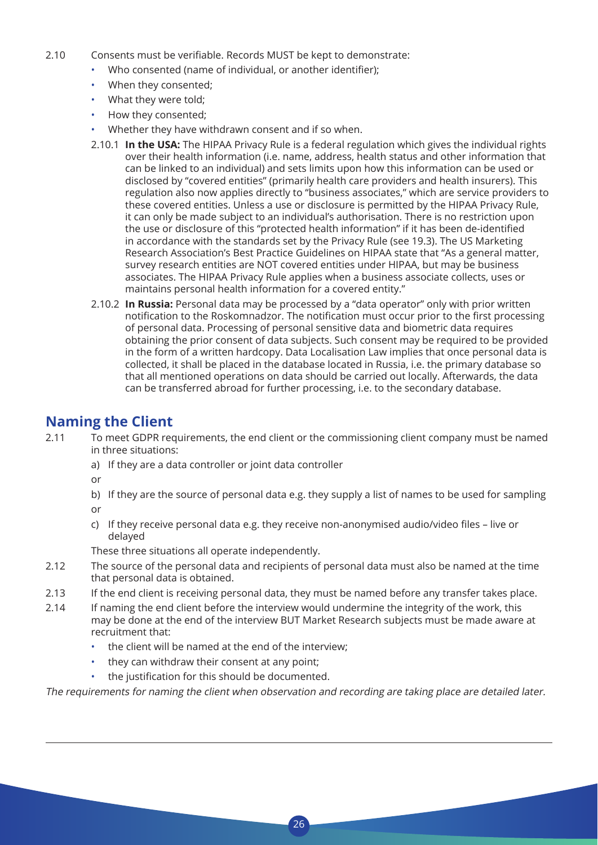- 2.10 Consents must be verifiable. Records MUST be kept to demonstrate:
	- Who consented (name of individual, or another identifier);
	- When they consented;
	- What they were told;
	- How they consented;
	- Whether they have withdrawn consent and if so when.
	- 2.10.1 **In the USA:** The HIPAA Privacy Rule is a federal regulation which gives the individual rights over their health information (i.e. name, address, health status and other information that can be linked to an individual) and sets limits upon how this information can be used or disclosed by "covered entities" (primarily health care providers and health insurers). This regulation also now applies directly to "business associates," which are service providers to these covered entities. Unless a use or disclosure is permitted by the HIPAA Privacy Rule, it can only be made subject to an individual's authorisation. There is no restriction upon the use or disclosure of this "protected health information" if it has been de-identified in accordance with the standards set by the Privacy Rule (see 19.3). The US Marketing Research Association's Best Practice Guidelines on HIPAA state that "As a general matter, survey research entities are NOT covered entities under HIPAA, but may be business associates. The HIPAA Privacy Rule applies when a business associate collects, uses or maintains personal health information for a covered entity."
	- 2.10.2 **In Russia:** Personal data may be processed by a "data operator" only with prior written notification to the Roskomnadzor. The notification must occur prior to the first processing of personal data. Processing of personal sensitive data and biometric data requires obtaining the prior consent of data subjects. Such consent may be required to be provided in the form of a written hardcopy. Data Localisation Law implies that once personal data is collected, it shall be placed in the database located in Russia, i.e. the primary database so that all mentioned operations on data should be carried out locally. Afterwards, the data can be transferred abroad for further processing, i.e. to the secondary database.

### **Naming the Client**

- 2.11 To meet GDPR requirements, the end client or the commissioning client company must be named in three situations:
	- a) If they are a data controller or joint data controller

or

- b) If they are the source of personal data e.g. they supply a list of names to be used for sampling or
- c) If they receive personal data e.g. they receive non-anonymised audio/video files live or delayed

These three situations all operate independently.

- 2.12 The source of the personal data and recipients of personal data must also be named at the time that personal data is obtained.
- 2.13 If the end client is receiving personal data, they must be named before any transfer takes place.
- 2.14 If naming the end client before the interview would undermine the integrity of the work, this may be done at the end of the interview BUT Market Research subjects must be made aware at recruitment that:
	- the client will be named at the end of the interview;
	- they can withdraw their consent at any point;
	- the justification for this should be documented.

The requirements for naming the client when observation and recording are taking place are detailed later.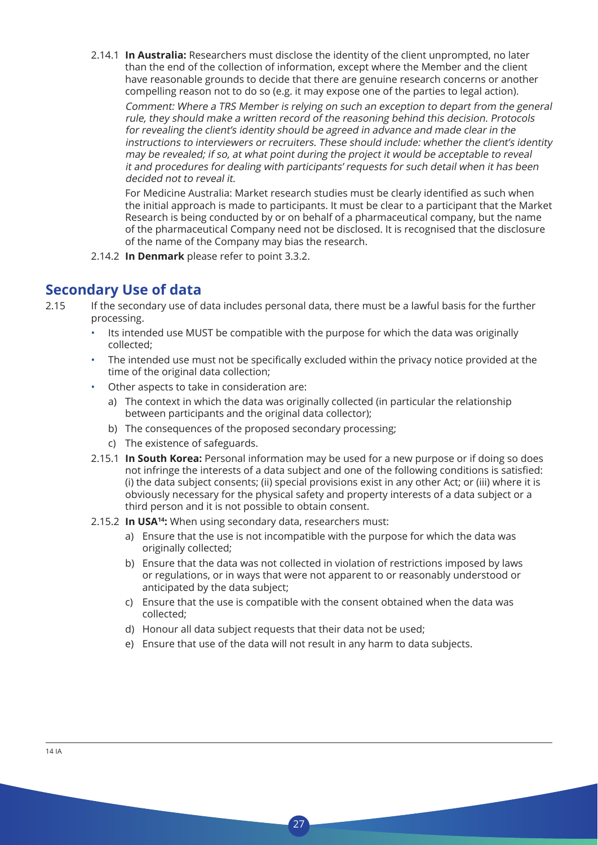2.14.1 **In Australia:** Researchers must disclose the identity of the client unprompted, no later than the end of the collection of information, except where the Member and the client have reasonable grounds to decide that there are genuine research concerns or another compelling reason not to do so (e.g. it may expose one of the parties to legal action).

 Comment: Where a TRS Member is relying on such an exception to depart from the general rule, they should make a written record of the reasoning behind this decision. Protocols for revealing the client's identity should be agreed in advance and made clear in the instructions to interviewers or recruiters. These should include: whether the client's identity may be revealed; if so, at what point during the project it would be acceptable to reveal it and procedures for dealing with participants' requests for such detail when it has been decided not to reveal it.

 For Medicine Australia: Market research studies must be clearly identified as such when the initial approach is made to participants. It must be clear to a participant that the Market Research is being conducted by or on behalf of a pharmaceutical company, but the name of the pharmaceutical Company need not be disclosed. It is recognised that the disclosure of the name of the Company may bias the research.

2.14.2 **In Denmark** please refer to point 3.3.2.

### **Secondary Use of data**

2.15 If the secondary use of data includes personal data, there must be a lawful basis for the further processing.

- Its intended use MUST be compatible with the purpose for which the data was originally collected;
- The intended use must not be specifically excluded within the privacy notice provided at the time of the original data collection;
- Other aspects to take in consideration are:
	- a) The context in which the data was originally collected (in particular the relationship between participants and the original data collector);
	- b) The consequences of the proposed secondary processing;
	- c) The existence of safeguards.
- 2.15.1 **In South Korea:** Personal information may be used for a new purpose or if doing so does not infringe the interests of a data subject and one of the following conditions is satisfied: (i) the data subject consents; (ii) special provisions exist in any other Act; or (iii) where it is obviously necessary for the physical safety and property interests of a data subject or a third person and it is not possible to obtain consent.
- 2.15.2 **In USA14:** When using secondary data, researchers must:
	- a) Ensure that the use is not incompatible with the purpose for which the data was originally collected;
	- b) Ensure that the data was not collected in violation of restrictions imposed by laws or regulations, or in ways that were not apparent to or reasonably understood or anticipated by the data subject;
	- c) Ensure that the use is compatible with the consent obtained when the data was collected;
	- d) Honour all data subject requests that their data not be used;
	- e) Ensure that use of the data will not result in any harm to data subjects.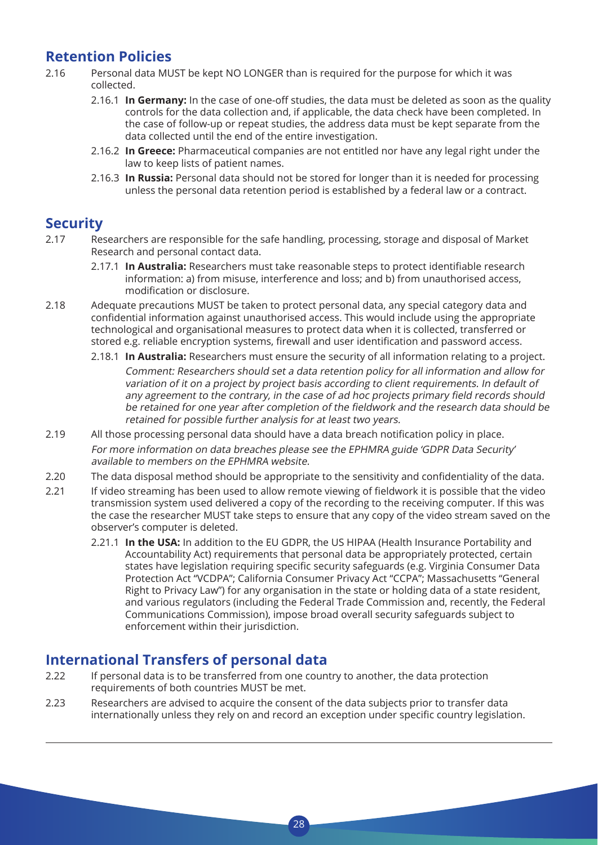### **Retention Policies**

- 2.16 Personal data MUST be kept NO LONGER than is required for the purpose for which it was collected.
	- 2.16.1 **In Germany:** In the case of one-off studies, the data must be deleted as soon as the quality controls for the data collection and, if applicable, the data check have been completed. In the case of follow-up or repeat studies, the address data must be kept separate from the data collected until the end of the entire investigation.
	- 2.16.2 **In Greece:** Pharmaceutical companies are not entitled nor have any legal right under the law to keep lists of patient names.
	- 2.16.3 **In Russia:** Personal data should not be stored for longer than it is needed for processing unless the personal data retention period is established by a federal law or a contract.

### **Security**

- 2.17 Researchers are responsible for the safe handling, processing, storage and disposal of Market Research and personal contact data.
	- 2.17.1 **In Australia:** Researchers must take reasonable steps to protect identifiable research information: a) from misuse, interference and loss; and b) from unauthorised access, modification or disclosure.
- 2.18 Adequate precautions MUST be taken to protect personal data, any special category data and confidential information against unauthorised access. This would include using the appropriate technological and organisational measures to protect data when it is collected, transferred or stored e.g. reliable encryption systems, firewall and user identification and password access.
	- 2.18.1 **In Australia:** Researchers must ensure the security of all information relating to a project. Comment: Researchers should set a data retention policy for all information and allow for variation of it on a project by project basis according to client requirements. In default of any agreement to the contrary, in the case of ad hoc projects primary field records should be retained for one year after completion of the fieldwork and the research data should be retained for possible further analysis for at least two years.
- 2.19 All those processing personal data should have a data breach notification policy in place. For more information on data breaches please see the EPHMRA guide 'GDPR Data Security' available to members on the EPHMRA website.
- 2.20 The data disposal method should be appropriate to the sensitivity and confidentiality of the data.
- 2.21 If video streaming has been used to allow remote viewing of fieldwork it is possible that the video transmission system used delivered a copy of the recording to the receiving computer. If this was the case the researcher MUST take steps to ensure that any copy of the video stream saved on the observer's computer is deleted.
	- 2.21.1 **In the USA:** In addition to the EU GDPR, the US HIPAA (Health Insurance Portability and Accountability Act) requirements that personal data be appropriately protected, certain states have legislation requiring specific security safeguards (e.g. Virginia Consumer Data Protection Act "VCDPA"; California Consumer Privacy Act "CCPA"; Massachusetts "General Right to Privacy Law") for any organisation in the state or holding data of a state resident, and various regulators (including the Federal Trade Commission and, recently, the Federal Communications Commission), impose broad overall security safeguards subject to enforcement within their jurisdiction.

### **International Transfers of personal data**

- 2.22 If personal data is to be transferred from one country to another, the data protection requirements of both countries MUST be met.
- 2.23 Researchers are advised to acquire the consent of the data subjects prior to transfer data internationally unless they rely on and record an exception under specific country legislation.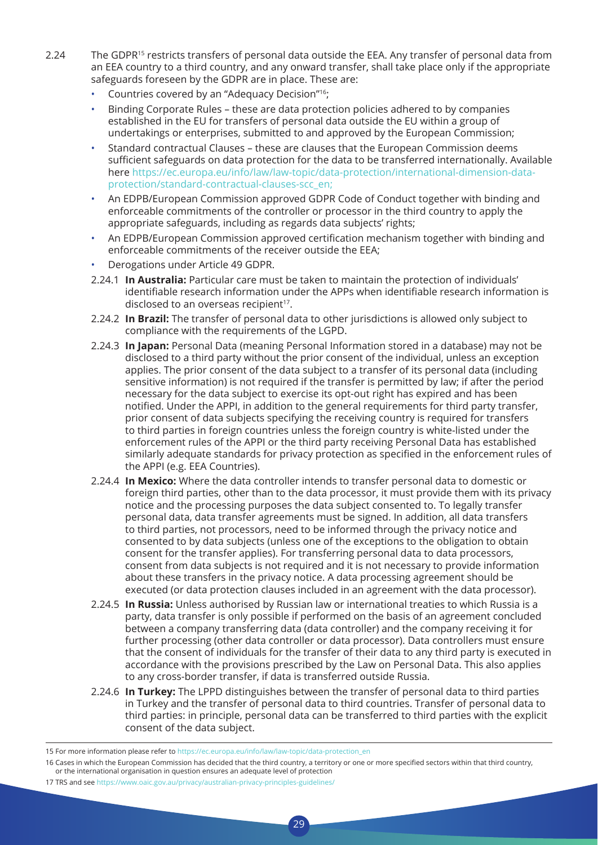- 2.24 The GDPR15 restricts transfers of personal data outside the EEA. Any transfer of personal data from an EEA country to a third country, and any onward transfer, shall take place only if the appropriate safeguards foreseen by the GDPR are in place. These are:
	- Countries covered by an "Adequacy Decision"<sup>16</sup>;
	- Binding Corporate Rules these are data protection policies adhered to by companies established in the EU for transfers of personal data outside the EU within a group of undertakings or enterprises, submitted to and approved by the European Commission;
	- Standard contractual Clauses these are clauses that the European Commission deems sufficient safeguards on data protection for the data to be transferred internationally. Available here https://ec.europa.eu/info/law/law-topic/data-protection/international-dimension-dataprotection/standard-contractual-clauses-scc\_en;
	- An EDPB/European Commission approved GDPR Code of Conduct together with binding and enforceable commitments of the controller or processor in the third country to apply the appropriate safeguards, including as regards data subjects' rights;
	- An EDPB/European Commission approved certification mechanism together with binding and enforceable commitments of the receiver outside the EEA;
	- Derogations under Article 49 GDPR.
	- 2.24.1 **In Australia:** Particular care must be taken to maintain the protection of individuals' identifiable research information under the APPs when identifiable research information is disclosed to an overseas recipient<sup>17</sup>.
	- 2.24.2 **In Brazil:** The transfer of personal data to other jurisdictions is allowed only subject to compliance with the requirements of the LGPD.
	- 2.24.3 **In Japan:** Personal Data (meaning Personal Information stored in a database) may not be disclosed to a third party without the prior consent of the individual, unless an exception applies. The prior consent of the data subject to a transfer of its personal data (including sensitive information) is not required if the transfer is permitted by law; if after the period necessary for the data subject to exercise its opt-out right has expired and has been notified. Under the APPI, in addition to the general requirements for third party transfer, prior consent of data subjects specifying the receiving country is required for transfers to third parties in foreign countries unless the foreign country is white-listed under the enforcement rules of the APPI or the third party receiving Personal Data has established similarly adequate standards for privacy protection as specified in the enforcement rules of the APPI (e.g. EEA Countries).
	- 2.24.4 **In Mexico:** Where the data controller intends to transfer personal data to domestic or foreign third parties, other than to the data processor, it must provide them with its privacy notice and the processing purposes the data subject consented to. To legally transfer personal data, data transfer agreements must be signed. In addition, all data transfers to third parties, not processors, need to be informed through the privacy notice and consented to by data subjects (unless one of the exceptions to the obligation to obtain consent for the transfer applies). For transferring personal data to data processors, consent from data subjects is not required and it is not necessary to provide information about these transfers in the privacy notice. A data processing agreement should be executed (or data protection clauses included in an agreement with the data processor).
	- 2.24.5 **In Russia:** Unless authorised by Russian law or international treaties to which Russia is a party, data transfer is only possible if performed on the basis of an agreement concluded between a company transferring data (data controller) and the company receiving it for further processing (other data controller or data processor). Data controllers must ensure that the consent of individuals for the transfer of their data to any third party is executed in accordance with the provisions prescribed by the Law on Personal Data. This also applies to any cross-border transfer, if data is transferred outside Russia.
	- 2.24.6 **In Turkey:** The LPPD distinguishes between the transfer of personal data to third parties in Turkey and the transfer of personal data to third countries. Transfer of personal data to third parties: in principle, personal data can be transferred to third parties with the explicit consent of the data subject.

- 16 Cases in which the European Commission has decided that the third country, a territory or one or more specified sectors within that third country, or the international organisation in question ensures an adequate level of protection
- 17 TRS and see https://www.oaic.gov.au/privacy/australian-privacy-principles-guidelines/

<sup>15</sup> For more information please refer to https://ec.europa.eu/info/law/law-topic/data-protection\_en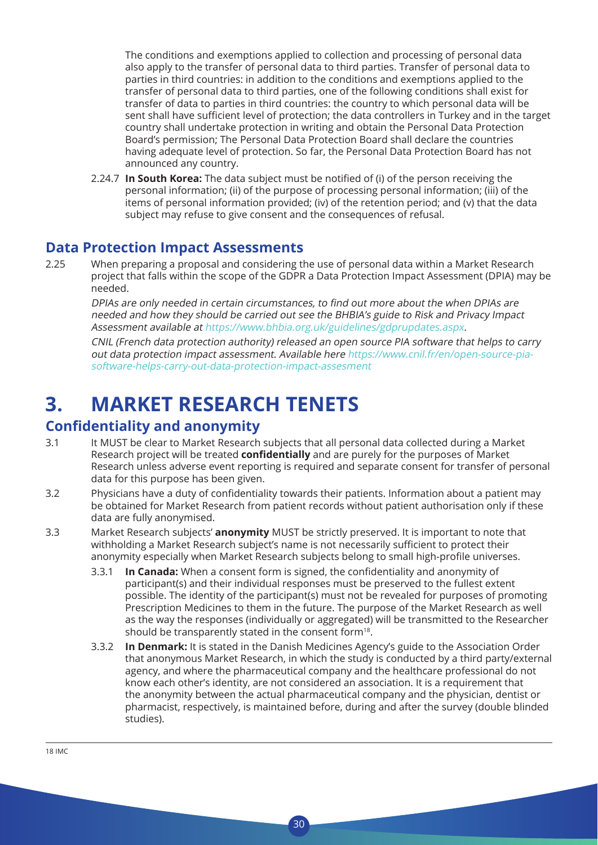The conditions and exemptions applied to collection and processing of personal data also apply to the transfer of personal data to third parties. Transfer of personal data to parties in third countries: in addition to the conditions and exemptions applied to the transfer of personal data to third parties, one of the following conditions shall exist for transfer of data to parties in third countries: the country to which personal data will be sent shall have sufficient level of protection; the data controllers in Turkey and in the target country shall undertake protection in writing and obtain the Personal Data Protection Board's permission; The Personal Data Protection Board shall declare the countries having adequate level of protection. So far, the Personal Data Protection Board has not announced any country.

2.24.7 **In South Korea:** The data subject must be notified of (i) of the person receiving the personal information; (ii) of the purpose of processing personal information; (iii) of the items of personal information provided; (iv) of the retention period; and (v) that the data subject may refuse to give consent and the consequences of refusal.

### **Data Protection Impact Assessments**

2.25 When preparing a proposal and considering the use of personal data within a Market Research project that falls within the scope of the GDPR a Data Protection Impact Assessment (DPIA) may be needed.

 DPIAs are only needed in certain circumstances, to find out more about the when DPIAs are needed and how they should be carried out see the BHBIA's guide to Risk and Privacy Impact Assessment available at https://www.bhbia.org.uk/guidelines/gdprupdates.aspx.

 CNIL (French data protection authority) released an open source PIA software that helps to carry out data protection impact assessment. Available here https://www.cnil.fr/en/open-source-piasoftware-helps-carry-out-data-protection-impact-assesment

## **3. MARKET RESEARCH TENETS**

### **Confidentiality and anonymity**

- 3.1 It MUST be clear to Market Research subjects that all personal data collected during a Market Research project will be treated **confidentially** and are purely for the purposes of Market Research unless adverse event reporting is required and separate consent for transfer of personal data for this purpose has been given.
- 3.2 Physicians have a duty of confidentiality towards their patients. Information about a patient may be obtained for Market Research from patient records without patient authorisation only if these data are fully anonymised.
- 3.3 Market Research subjects' **anonymity** MUST be strictly preserved. It is important to note that withholding a Market Research subject's name is not necessarily sufficient to protect their anonymity especially when Market Research subjects belong to small high-profile universes.
	- 3.3.1 **In Canada:** When a consent form is signed, the confidentiality and anonymity of participant(s) and their individual responses must be preserved to the fullest extent possible. The identity of the participant(s) must not be revealed for purposes of promoting Prescription Medicines to them in the future. The purpose of the Market Research as well as the way the responses (individually or aggregated) will be transmitted to the Researcher should be transparently stated in the consent form<sup>18</sup>.
	- 3.3.2 **In Denmark:** It is stated in the Danish Medicines Agency's guide to the Association Order that anonymous Market Research, in which the study is conducted by a third party/external agency, and where the pharmaceutical company and the healthcare professional do not know each other's identity, are not considered an association. It is a requirement that the anonymity between the actual pharmaceutical company and the physician, dentist or pharmacist, respectively, is maintained before, during and after the survey (double blinded studies).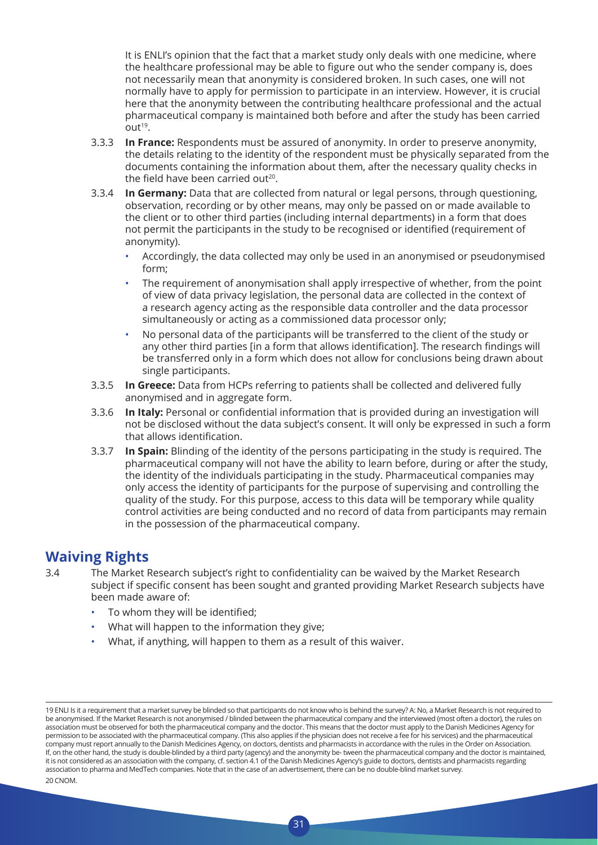It is ENLI's opinion that the fact that a market study only deals with one medicine, where the healthcare professional may be able to figure out who the sender company is, does not necessarily mean that anonymity is considered broken. In such cases, one will not normally have to apply for permission to participate in an interview. However, it is crucial here that the anonymity between the contributing healthcare professional and the actual pharmaceutical company is maintained both before and after the study has been carried  $Out<sup>19</sup>$ .

- 3.3.3 **In France:** Respondents must be assured of anonymity. In order to preserve anonymity, the details relating to the identity of the respondent must be physically separated from the documents containing the information about them, after the necessary quality checks in the field have been carried out<sup>20</sup>.
- 3.3.4 **In Germany:** Data that are collected from natural or legal persons, through questioning, observation, recording or by other means, may only be passed on or made available to the client or to other third parties (including internal departments) in a form that does not permit the participants in the study to be recognised or identified (requirement of anonymity).
	- Accordingly, the data collected may only be used in an anonymised or pseudonymised form;
	- The requirement of anonymisation shall apply irrespective of whether, from the point of view of data privacy legislation, the personal data are collected in the context of a research agency acting as the responsible data controller and the data processor simultaneously or acting as a commissioned data processor only;
	- No personal data of the participants will be transferred to the client of the study or any other third parties [in a form that allows identification]. The research findings will be transferred only in a form which does not allow for conclusions being drawn about single participants.
- 3.3.5 **In Greece:** Data from HCPs referring to patients shall be collected and delivered fully anonymised and in aggregate form.
- 3.3.6 **In Italy:** Personal or confidential information that is provided during an investigation will not be disclosed without the data subject's consent. It will only be expressed in such a form that allows identification.
- 3.3.7 **In Spain:** Blinding of the identity of the persons participating in the study is required. The pharmaceutical company will not have the ability to learn before, during or after the study, the identity of the individuals participating in the study. Pharmaceutical companies may only access the identity of participants for the purpose of supervising and controlling the quality of the study. For this purpose, access to this data will be temporary while quality control activities are being conducted and no record of data from participants may remain in the possession of the pharmaceutical company.

### **Waiving Rights**

3.4 The Market Research subject's right to confidentiality can be waived by the Market Research subject if specific consent has been sought and granted providing Market Research subjects have been made aware of:

- To whom they will be identified:
- What will happen to the information they give;
- What, if anything, will happen to them as a result of this waiver.

<sup>19</sup> ENLI Is it a requirement that a market survey be blinded so that participants do not know who is behind the survey? A: No, a Market Research is not required to be anonymised. If the Market Research is not anonymised / blinded between the pharmaceutical company and the interviewed (most often a doctor), the rules on association must be observed for both the pharmaceutical company and the doctor. This means that the doctor must apply to the Danish Medicines Agency for permission to be associated with the pharmaceutical company. (This also applies if the physician does not receive a fee for his services) and the pharmaceutical company must report annually to the Danish Medicines Agency, on doctors, dentists and pharmacists in accordance with the rules in the Order on Association. If, on the other hand, the study is double-blinded by a third party (agency) and the anonymity be- tween the pharmaceutical company and the doctor is maintained, it is not considered as an association with the company, cf. section 4.1 of the Danish Medicines Agency's guide to doctors, dentists and pharmacists regarding association to pharma and MedTech companies. Note that in the case of an advertisement, there can be no double-blind market survey. 20 CNOM.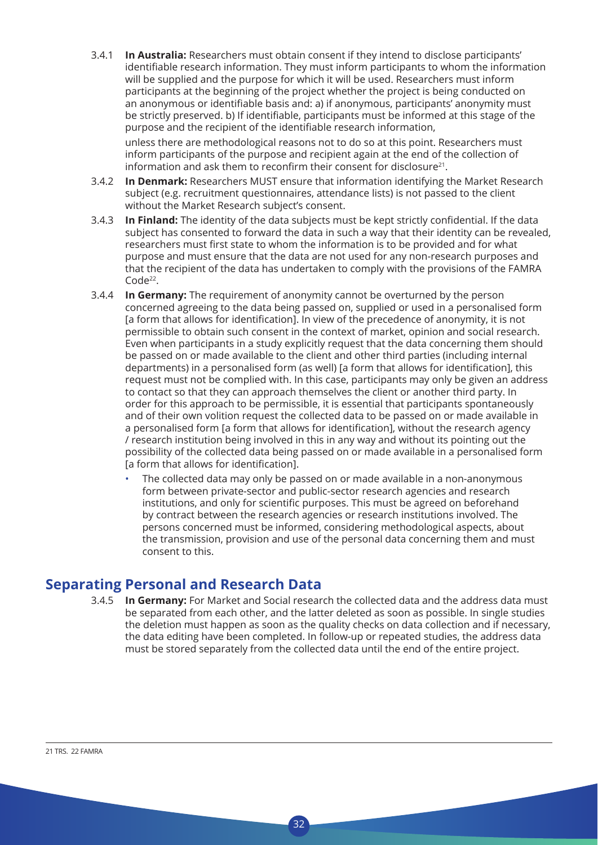3.4.1 **In Australia:** Researchers must obtain consent if they intend to disclose participants' identifiable research information. They must inform participants to whom the information will be supplied and the purpose for which it will be used. Researchers must inform participants at the beginning of the project whether the project is being conducted on an anonymous or identifiable basis and: a) if anonymous, participants' anonymity must be strictly preserved. b) If identifiable, participants must be informed at this stage of the purpose and the recipient of the identifiable research information,

 unless there are methodological reasons not to do so at this point. Researchers must inform participants of the purpose and recipient again at the end of the collection of information and ask them to reconfirm their consent for disclosure $21$ .

- 3.4.2 **In Denmark:** Researchers MUST ensure that information identifying the Market Research subject (e.g. recruitment questionnaires, attendance lists) is not passed to the client without the Market Research subject's consent.
- 3.4.3 **In Finland:** The identity of the data subjects must be kept strictly confidential. If the data subject has consented to forward the data in such a way that their identity can be revealed, researchers must first state to whom the information is to be provided and for what purpose and must ensure that the data are not used for any non-research purposes and that the recipient of the data has undertaken to comply with the provisions of the FAMRA Code<sup>22</sup>.
- 3.4.4 **In Germany:** The requirement of anonymity cannot be overturned by the person concerned agreeing to the data being passed on, supplied or used in a personalised form [a form that allows for identification]. In view of the precedence of anonymity, it is not permissible to obtain such consent in the context of market, opinion and social research. Even when participants in a study explicitly request that the data concerning them should be passed on or made available to the client and other third parties (including internal departments) in a personalised form (as well) [a form that allows for identification], this request must not be complied with. In this case, participants may only be given an address to contact so that they can approach themselves the client or another third party. In order for this approach to be permissible, it is essential that participants spontaneously and of their own volition request the collected data to be passed on or made available in a personalised form [a form that allows for identification], without the research agency / research institution being involved in this in any way and without its pointing out the possibility of the collected data being passed on or made available in a personalised form [a form that allows for identification].
	- The collected data may only be passed on or made available in a non-anonymous form between private-sector and public-sector research agencies and research institutions, and only for scientific purposes. This must be agreed on beforehand by contract between the research agencies or research institutions involved. The persons concerned must be informed, considering methodological aspects, about the transmission, provision and use of the personal data concerning them and must consent to this.

### **Separating Personal and Research Data**

3.4.5 **In Germany:** For Market and Social research the collected data and the address data must be separated from each other, and the latter deleted as soon as possible. In single studies the deletion must happen as soon as the quality checks on data collection and if necessary, the data editing have been completed. In follow-up or repeated studies, the address data must be stored separately from the collected data until the end of the entire project.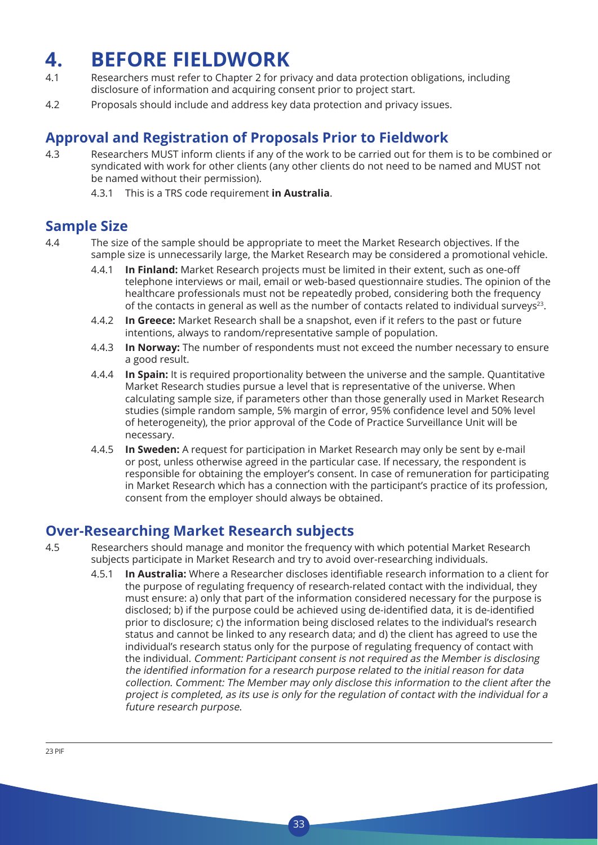## **4. BEFORE FIELDWORK**

- 4.1 Researchers must refer to Chapter 2 for privacy and data protection obligations, including disclosure of information and acquiring consent prior to project start.
- 4.2 Proposals should include and address key data protection and privacy issues.

### **Approval and Registration of Proposals Prior to Fieldwork**

4.3 Researchers MUST inform clients if any of the work to be carried out for them is to be combined or syndicated with work for other clients (any other clients do not need to be named and MUST not be named without their permission).

4.3.1 This is a TRS code requirement **in Australia**.

### **Sample Size**

- 4.4 The size of the sample should be appropriate to meet the Market Research objectives. If the sample size is unnecessarily large, the Market Research may be considered a promotional vehicle.
	- 4.4.1 **In Finland:** Market Research projects must be limited in their extent, such as one-off telephone interviews or mail, email or web-based questionnaire studies. The opinion of the healthcare professionals must not be repeatedly probed, considering both the frequency of the contacts in general as well as the number of contacts related to individual surveys<sup>23</sup>.
	- 4.4.2 **In Greece:** Market Research shall be a snapshot, even if it refers to the past or future intentions, always to random/representative sample of population.
	- 4.4.3 **In Norway:** The number of respondents must not exceed the number necessary to ensure a good result.
	- 4.4.4 **In Spain:** It is required proportionality between the universe and the sample. Quantitative Market Research studies pursue a level that is representative of the universe. When calculating sample size, if parameters other than those generally used in Market Research studies (simple random sample, 5% margin of error, 95% confidence level and 50% level of heterogeneity), the prior approval of the Code of Practice Surveillance Unit will be necessary.
	- 4.4.5 **In Sweden:** A request for participation in Market Research may only be sent by e-mail or post, unless otherwise agreed in the particular case. If necessary, the respondent is responsible for obtaining the employer's consent. In case of remuneration for participating in Market Research which has a connection with the participant's practice of its profession, consent from the employer should always be obtained.

### **Over-Researching Market Research subjects**

- 4.5 Researchers should manage and monitor the frequency with which potential Market Research subjects participate in Market Research and try to avoid over-researching individuals.
	- 4.5.1 **In Australia:** Where a Researcher discloses identifiable research information to a client for the purpose of regulating frequency of research-related contact with the individual, they must ensure: a) only that part of the information considered necessary for the purpose is disclosed; b) if the purpose could be achieved using de-identified data, it is de-identified prior to disclosure; c) the information being disclosed relates to the individual's research status and cannot be linked to any research data; and d) the client has agreed to use the individual's research status only for the purpose of regulating frequency of contact with the individual. Comment: Participant consent is not required as the Member is disclosing the identified information for <sup>a</sup> research purpose related to the initial reason for data collection. Comment: The Member may only disclose this information to the client after the project is completed, as its use is only for the regulation of contact with the individual for a future research purpose.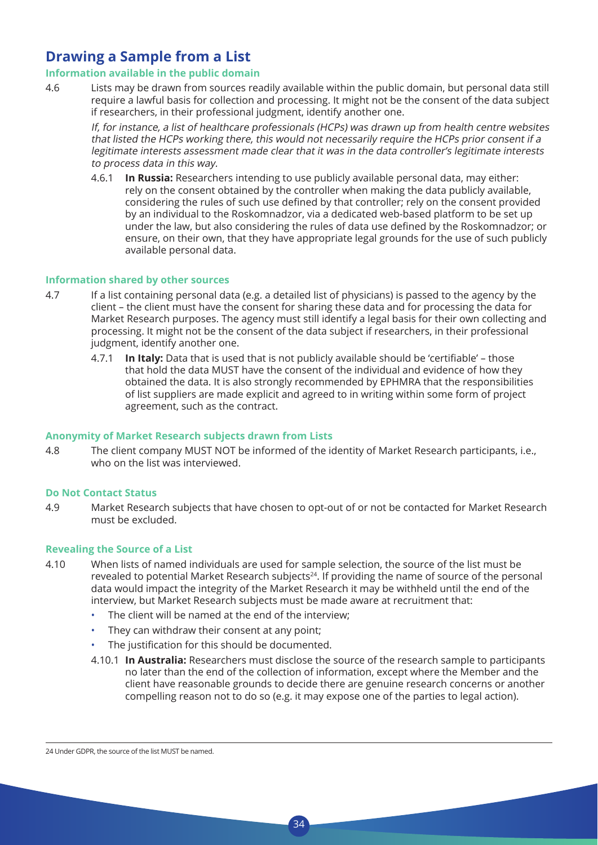### **Drawing a Sample from a List**

#### **Information available in the public domain**

4.6 Lists may be drawn from sources readily available within the public domain, but personal data still require a lawful basis for collection and processing. It might not be the consent of the data subject if researchers, in their professional judgment, identify another one.

 If, for instance, a list of healthcare professionals (HCPs) was drawn up from health centre websites that listed the HCPs working there, this would not necessarily require the HCPs prior consent if a legitimate interests assessment made clear that it was in the data controller's legitimate interests to process data in this way.

4.6.1 **In Russia:** Researchers intending to use publicly available personal data, may either: rely on the consent obtained by the controller when making the data publicly available, considering the rules of such use defined by that controller; rely on the consent provided by an individual to the Roskomnadzor, via a dedicated web-based platform to be set up under the law, but also considering the rules of data use defined by the Roskomnadzor; or ensure, on their own, that they have appropriate legal grounds for the use of such publicly available personal data.

#### **Information shared by other sources**

- 4.7 If a list containing personal data (e.g. a detailed list of physicians) is passed to the agency by the client – the client must have the consent for sharing these data and for processing the data for Market Research purposes. The agency must still identify a legal basis for their own collecting and processing. It might not be the consent of the data subject if researchers, in their professional judgment, identify another one.
	- 4.7.1 **In Italy:** Data that is used that is not publicly available should be 'certifiable' those that hold the data MUST have the consent of the individual and evidence of how they obtained the data. It is also strongly recommended by EPHMRA that the responsibilities of list suppliers are made explicit and agreed to in writing within some form of project agreement, such as the contract.

#### **Anonymity of Market Research subjects drawn from Lists**

4.8 The client company MUST NOT be informed of the identity of Market Research participants, i.e., who on the list was interviewed.

#### **Do Not Contact Status**

4.9 Market Research subjects that have chosen to opt-out of or not be contacted for Market Research must be excluded.

#### **Revealing the Source of a List**

- 4.10 When lists of named individuals are used for sample selection, the source of the list must be revealed to potential Market Research subjects<sup>24</sup>. If providing the name of source of the personal data would impact the integrity of the Market Research it may be withheld until the end of the interview, but Market Research subjects must be made aware at recruitment that:
	- The client will be named at the end of the interview;
	- They can withdraw their consent at any point;
	- The justification for this should be documented.
	- 4.10.1 **In Australia:** Researchers must disclose the source of the research sample to participants no later than the end of the collection of information, except where the Member and the client have reasonable grounds to decide there are genuine research concerns or another compelling reason not to do so (e.g. it may expose one of the parties to legal action).

<sup>24</sup> Under GDPR, the source of the list MUST be named.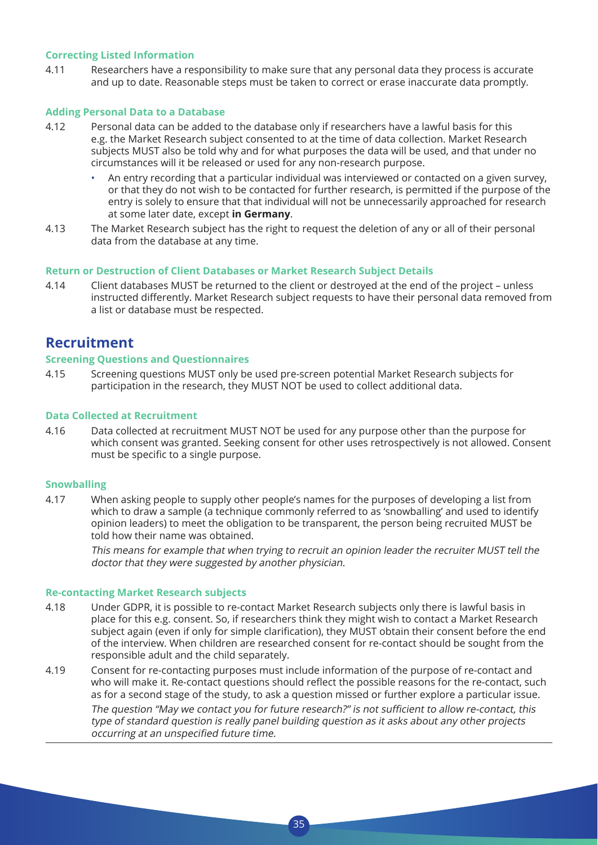#### **Correcting Listed Information**

4.11 Researchers have a responsibility to make sure that any personal data they process is accurate and up to date. Reasonable steps must be taken to correct or erase inaccurate data promptly.

#### **Adding Personal Data to a Database**

- 4.12 Personal data can be added to the database only if researchers have a lawful basis for this e.g. the Market Research subject consented to at the time of data collection. Market Research subjects MUST also be told why and for what purposes the data will be used, and that under no circumstances will it be released or used for any non-research purpose.
	- An entry recording that a particular individual was interviewed or contacted on a given survey, or that they do not wish to be contacted for further research, is permitted if the purpose of the entry is solely to ensure that that individual will not be unnecessarily approached for research at some later date, except **in Germany**.
- 4.13 The Market Research subject has the right to request the deletion of any or all of their personal data from the database at any time.

#### **Return or Destruction of Client Databases or Market Research Subject Details**

4.14 Client databases MUST be returned to the client or destroyed at the end of the project – unless instructed differently. Market Research subject requests to have their personal data removed from a list or database must be respected.

### **Recruitment**

#### **Screening Questions and Questionnaires**

4.15 Screening questions MUST only be used pre-screen potential Market Research subjects for participation in the research, they MUST NOT be used to collect additional data.

#### **Data Collected at Recruitment**

4.16 Data collected at recruitment MUST NOT be used for any purpose other than the purpose for which consent was granted. Seeking consent for other uses retrospectively is not allowed. Consent must be specific to a single purpose.

#### **Snowballing**

4.17 When asking people to supply other people's names for the purposes of developing a list from which to draw a sample (a technique commonly referred to as 'snowballing' and used to identify opinion leaders) to meet the obligation to be transparent, the person being recruited MUST be told how their name was obtained.

 This means for example that when trying to recruit an opinion leader the recruiter MUST tell the doctor that they were suggested by another physician.

#### **Re-contacting Market Research subjects**

- 4.18 Under GDPR, it is possible to re-contact Market Research subjects only there is lawful basis in place for this e.g. consent. So, if researchers think they might wish to contact a Market Research subject again (even if only for simple clarification), they MUST obtain their consent before the end of the interview. When children are researched consent for re-contact should be sought from the responsible adult and the child separately.
- 4.19 Consent for re-contacting purposes must include information of the purpose of re-contact and who will make it. Re-contact questions should reflect the possible reasons for the re-contact, such as for a second stage of the study, to ask a question missed or further explore a particular issue. The question "May we contact you for future research?" is not sufficient to allow re-contact, this type of standard question is really panel building question as it asks about any other projects occurring at an unspecified future time.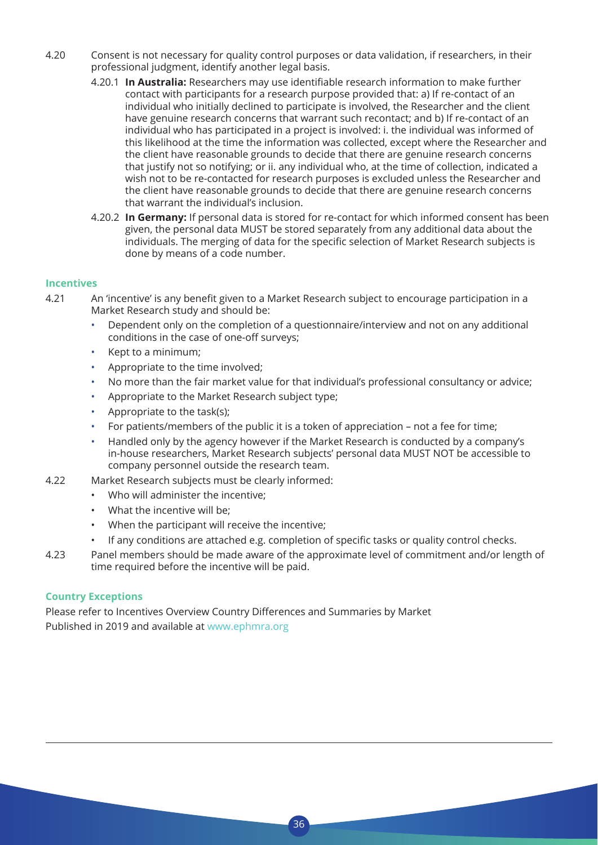- 4.20 Consent is not necessary for quality control purposes or data validation, if researchers, in their professional judgment, identify another legal basis.
	- 4.20.1 **In Australia:** Researchers may use identifiable research information to make further contact with participants for a research purpose provided that: a) If re-contact of an individual who initially declined to participate is involved, the Researcher and the client have genuine research concerns that warrant such recontact; and b) If re-contact of an individual who has participated in a project is involved: i. the individual was informed of this likelihood at the time the information was collected, except where the Researcher and the client have reasonable grounds to decide that there are genuine research concerns that justify not so notifying; or ii. any individual who, at the time of collection, indicated a wish not to be re-contacted for research purposes is excluded unless the Researcher and the client have reasonable grounds to decide that there are genuine research concerns that warrant the individual's inclusion.
	- 4.20.2 **In Germany:** If personal data is stored for re-contact for which informed consent has been given, the personal data MUST be stored separately from any additional data about the individuals. The merging of data for the specific selection of Market Research subjects is done by means of a code number.

#### **Incentives**

- 4.21 An 'incentive' is any benefit given to a Market Research subject to encourage participation in a Market Research study and should be:
	- Dependent only on the completion of a questionnaire/interview and not on any additional conditions in the case of one-off surveys;
	- Kept to a minimum;
	- Appropriate to the time involved;
	- No more than the fair market value for that individual's professional consultancy or advice;
	- Appropriate to the Market Research subject type;
	- Appropriate to the task(s);
	- For patients/members of the public it is a token of appreciation not a fee for time;
	- Handled only by the agency however if the Market Research is conducted by a company's in-house researchers, Market Research subjects' personal data MUST NOT be accessible to company personnel outside the research team.
- 4.22 Market Research subjects must be clearly informed:
	- Who will administer the incentive;
	- What the incentive will be;
	- When the participant will receive the incentive;
	- If any conditions are attached e.g. completion of specific tasks or quality control checks.
- 4.23 Panel members should be made aware of the approximate level of commitment and/or length of time required before the incentive will be paid.

#### **Country Exceptions**

Please refer to Incentives Overview Country Differences and Summaries by Market Published in 2019 and available at www.ephmra.org

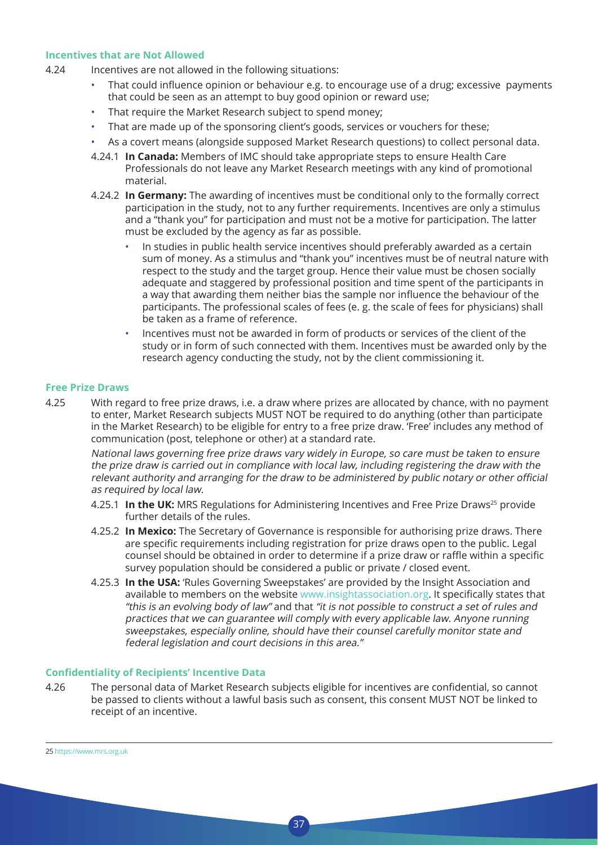#### **Incentives that are Not Allowed**

- 4.24 Incentives are not allowed in the following situations:
	- That could influence opinion or behaviour e.g. to encourage use of a drug; excessive payments that could be seen as an attempt to buy good opinion or reward use;
	- That require the Market Research subject to spend money;
	- That are made up of the sponsoring client's goods, services or vouchers for these;
	- As a covert means (alongside supposed Market Research questions) to collect personal data.
	- 4.24.1 **In Canada:** Members of IMC should take appropriate steps to ensure Health Care Professionals do not leave any Market Research meetings with any kind of promotional material.
	- 4.24.2 **In Germany:** The awarding of incentives must be conditional only to the formally correct participation in the study, not to any further requirements. Incentives are only a stimulus and a "thank you" for participation and must not be a motive for participation. The latter must be excluded by the agency as far as possible.
		- In studies in public health service incentives should preferably awarded as a certain sum of money. As a stimulus and "thank you" incentives must be of neutral nature with respect to the study and the target group. Hence their value must be chosen socially adequate and staggered by professional position and time spent of the participants in a way that awarding them neither bias the sample nor influence the behaviour of the participants. The professional scales of fees (e. g. the scale of fees for physicians) shall be taken as a frame of reference.
		- Incentives must not be awarded in form of products or services of the client of the study or in form of such connected with them. Incentives must be awarded only by the research agency conducting the study, not by the client commissioning it.

#### **Free Prize Draws**

4.25 With regard to free prize draws, i.e. a draw where prizes are allocated by chance, with no payment to enter, Market Research subjects MUST NOT be required to do anything (other than participate in the Market Research) to be eligible for entry to a free prize draw. 'Free' includes any method of communication (post, telephone or other) at a standard rate.

 National laws governing free prize draws vary widely in Europe, so care must be taken to ensure the prize draw is carried out in compliance with local law, including registering the draw with the relevant authority and arranging for the draw to be administered by public notary or other official as required by local law.

- 4.25.1 **In the UK:** MRS Regulations for Administering Incentives and Free Prize Draws<sup>25</sup> provide further details of the rules.
- 4.25.2 **In Mexico:** The Secretary of Governance is responsible for authorising prize draws. There are specific requirements including registration for prize draws open to the public. Legal counsel should be obtained in order to determine if a prize draw or raffle within a specific survey population should be considered a public or private / closed event.
- 4.25.3 **In the USA:** 'Rules Governing Sweepstakes' are provided by the Insight Association and available to members on the website www.insightassociation.org. It specifically states that "this is an evolving body of law" and that "it is not possible to construct a set of rules and practices that we can guarantee will comply with every applicable law. Anyone running sweepstakes, especially online, should have their counsel carefully monitor state and federal legislation and court decisions in this area."

#### **Confidentiality of Recipients' Incentive Data**

4.26 The personal data of Market Research subjects eligible for incentives are confidential, so cannot be passed to clients without a lawful basis such as consent, this consent MUST NOT be linked to receipt of an incentive.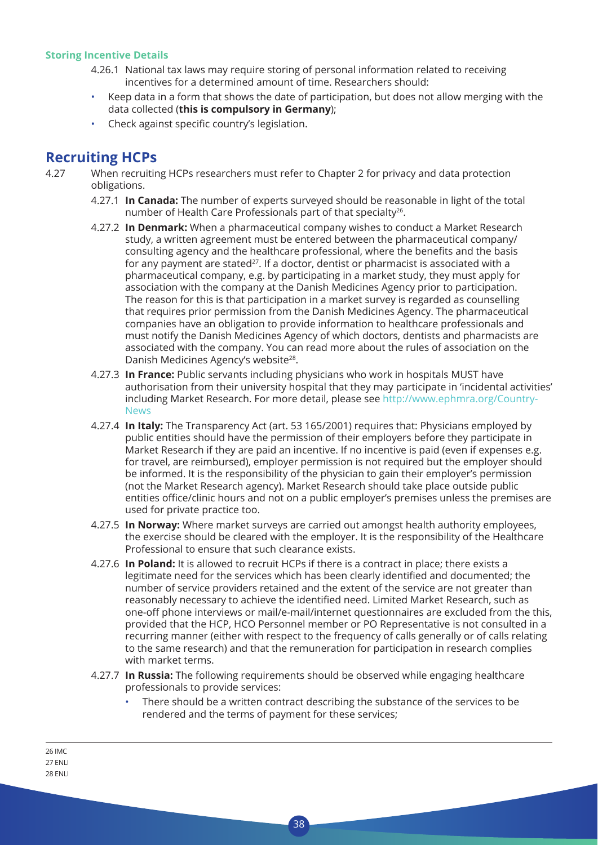#### **Storing Incentive Details**

- 4.26.1 National tax laws may require storing of personal information related to receiving incentives for a determined amount of time. Researchers should:
- Keep data in a form that shows the date of participation, but does not allow merging with the data collected (**this is compulsory in Germany**);
- Check against specific country's legislation.

### **Recruiting HCPs**

- 4.27 When recruiting HCPs researchers must refer to Chapter 2 for privacy and data protection obligations.
	- 4.27.1 **In Canada:** The number of experts surveyed should be reasonable in light of the total number of Health Care Professionals part of that specialty<sup>26</sup>.
	- 4.27.2 **In Denmark:** When a pharmaceutical company wishes to conduct a Market Research study, a written agreement must be entered between the pharmaceutical company/ consulting agency and the healthcare professional, where the benefits and the basis for any payment are stated<sup>27</sup>. If a doctor, dentist or pharmacist is associated with a pharmaceutical company, e.g. by participating in a market study, they must apply for association with the company at the Danish Medicines Agency prior to participation. The reason for this is that participation in a market survey is regarded as counselling that requires prior permission from the Danish Medicines Agency. The pharmaceutical companies have an obligation to provide information to healthcare professionals and must notify the Danish Medicines Agency of which doctors, dentists and pharmacists are associated with the company. You can read more about the rules of association on the Danish Medicines Agency's website<sup>28</sup>.
	- 4.27.3 **In France:** Public servants including physicians who work in hospitals MUST have authorisation from their university hospital that they may participate in 'incidental activities' including Market Research. For more detail, please see http://www.ephmra.org/Country-News
	- 4.27.4 **In Italy:** The Transparency Act (art. 53 165/2001) requires that: Physicians employed by public entities should have the permission of their employers before they participate in Market Research if they are paid an incentive. If no incentive is paid (even if expenses e.g. for travel, are reimbursed), employer permission is not required but the employer should be informed. It is the responsibility of the physician to gain their employer's permission (not the Market Research agency). Market Research should take place outside public entities office/clinic hours and not on a public employer's premises unless the premises are used for private practice too.
	- 4.27.5 **In Norway:** Where market surveys are carried out amongst health authority employees, the exercise should be cleared with the employer. It is the responsibility of the Healthcare Professional to ensure that such clearance exists.
	- 4.27.6 **In Poland:** It is allowed to recruit HCPs if there is a contract in place; there exists a legitimate need for the services which has been clearly identified and documented; the number of service providers retained and the extent of the service are not greater than reasonably necessary to achieve the identified need. Limited Market Research, such as one-off phone interviews or mail/e-mail/internet questionnaires are excluded from the this, provided that the HCP, HCO Personnel member or PO Representative is not consulted in a recurring manner (either with respect to the frequency of calls generally or of calls relating to the same research) and that the remuneration for participation in research complies with market terms.
	- 4.27.7 **In Russia:** The following requirements should be observed while engaging healthcare professionals to provide services:

38

There should be a written contract describing the substance of the services to be rendered and the terms of payment for these services;

26 IMC 27 ENLI 28 ENLI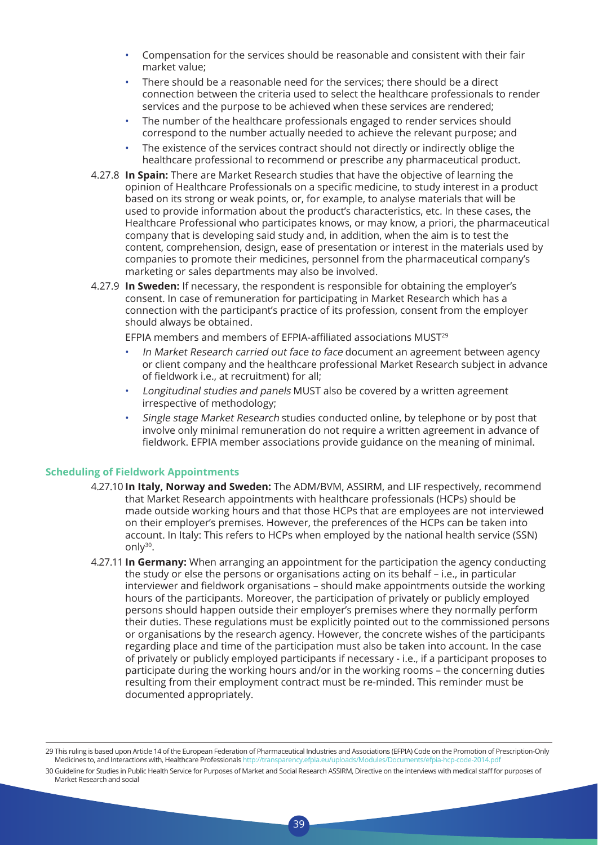- Compensation for the services should be reasonable and consistent with their fair market value;
- There should be a reasonable need for the services; there should be a direct connection between the criteria used to select the healthcare professionals to render services and the purpose to be achieved when these services are rendered;
- The number of the healthcare professionals engaged to render services should correspond to the number actually needed to achieve the relevant purpose; and
- The existence of the services contract should not directly or indirectly oblige the healthcare professional to recommend or prescribe any pharmaceutical product.
- 4.27.8 **In Spain:** There are Market Research studies that have the objective of learning the opinion of Healthcare Professionals on a specific medicine, to study interest in a product based on its strong or weak points, or, for example, to analyse materials that will be used to provide information about the product's characteristics, etc. In these cases, the Healthcare Professional who participates knows, or may know, a priori, the pharmaceutical company that is developing said study and, in addition, when the aim is to test the content, comprehension, design, ease of presentation or interest in the materials used by companies to promote their medicines, personnel from the pharmaceutical company's marketing or sales departments may also be involved.
- 4.27.9 **In Sweden:** If necessary, the respondent is responsible for obtaining the employer's consent. In case of remuneration for participating in Market Research which has a connection with the participant's practice of its profession, consent from the employer should always be obtained.

 EFPIA members and members of EFPIA-affiliated associations MUST<sup>29</sup>

- In Market Research carried out face to face document an agreement between agency or client company and the healthcare professional Market Research subject in advance of fieldwork i.e., at recruitment) for all;
- Longitudinal studies and panels MUST also be covered by a written agreement irrespective of methodology;
- Single stage Market Research studies conducted online, by telephone or by post that involve only minimal remuneration do not require a written agreement in advance of fieldwork. EFPIA member associations provide guidance on the meaning of minimal.

#### **Scheduling of Fieldwork Appointments**

- 4.27.10 **In Italy, Norway and Sweden:** The ADM/BVM, ASSIRM, and LIF respectively, recommend that Market Research appointments with healthcare professionals (HCPs) should be made outside working hours and that those HCPs that are employees are not interviewed on their employer's premises. However, the preferences of the HCPs can be taken into account. In Italy: This refers to HCPs when employed by the national health service (SSN) only30.
- 4.27.11 **In Germany:** When arranging an appointment for the participation the agency conducting the study or else the persons or organisations acting on its behalf – i.e., in particular interviewer and fieldwork organisations – should make appointments outside the working hours of the participants. Moreover, the participation of privately or publicly employed persons should happen outside their employer's premises where they normally perform their duties. These regulations must be explicitly pointed out to the commissioned persons or organisations by the research agency. However, the concrete wishes of the participants regarding place and time of the participation must also be taken into account. In the case of privately or publicly employed participants if necessary - i.e., if a participant proposes to participate during the working hours and/or in the working rooms – the concerning duties resulting from their employment contract must be re-minded. This reminder must be documented appropriately.

<sup>29</sup> This ruling is based upon Article 14 of the European Federation of Pharmaceutical Industries and Associations (EFPIA) Code on the Promotion of Prescription-Only Medicines to, and Interactions with, Healthcare Professionals http://transparency.efpia.eu/uploads/Modules/Documents/efpia-hcp-code-2014.pdf

<sup>30</sup> Guideline for Studies in Public Health Service for Purposes of Market and Social Research ASSIRM, Directive on the interviews with medical staff for purposes of Market Research and social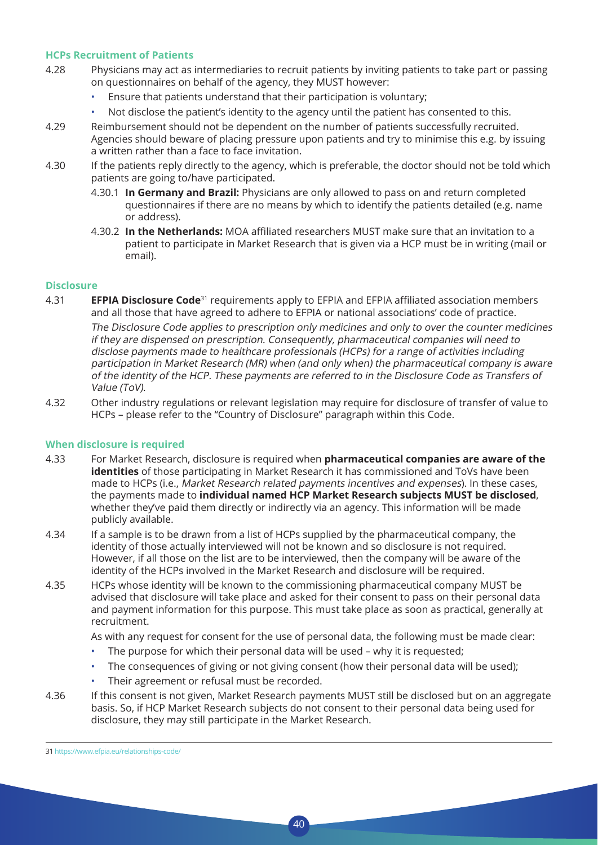#### **HCPs Recruitment of Patients**

- 4.28 Physicians may act as intermediaries to recruit patients by inviting patients to take part or passing on questionnaires on behalf of the agency, they MUST however:
	- Ensure that patients understand that their participation is voluntary;
	- Not disclose the patient's identity to the agency until the patient has consented to this.
- 4.29 Reimbursement should not be dependent on the number of patients successfully recruited. Agencies should beware of placing pressure upon patients and try to minimise this e.g. by issuing a written rather than a face to face invitation.
- 4.30 If the patients reply directly to the agency, which is preferable, the doctor should not be told which patients are going to/have participated.
	- 4.30.1 **In Germany and Brazil:** Physicians are only allowed to pass on and return completed questionnaires if there are no means by which to identify the patients detailed (e.g. name or address).
	- 4.30.2 **In the Netherlands:** MOA affiliated researchers MUST make sure that an invitation to a patient to participate in Market Research that is given via a HCP must be in writing (mail or email).

#### **Disclosure**

4.31 **EFPIA Disclosure Code**<sup>31</sup> requirements apply to EFPIA and EFPIA affiliated association members and all those that have agreed to adhere to EFPIA or national associations' code of practice.

 The Disclosure Code applies to prescription only medicines and only to over the counter medicines if they are dispensed on prescription. Consequently, pharmaceutical companies will need to disclose payments made to healthcare professionals (HCPs) for a range of activities including participation in Market Research (MR) when (and only when) the pharmaceutical company is aware of the identity of the HCP. These payments are referred to in the Disclosure Code as Transfers of Value (ToV).

4.32 Other industry regulations or relevant legislation may require for disclosure of transfer of value to HCPs – please refer to the "Country of Disclosure" paragraph within this Code.

#### **When disclosure is required**

- 4.33 For Market Research, disclosure is required when **pharmaceutical companies are aware of the identities** of those participating in Market Research it has commissioned and ToVs have been made to HCPs (i.e., Market Research related payments incentives and expenses). In these cases, the payments made to **individual named HCP Market Research subjects MUST be disclosed**, whether they've paid them directly or indirectly via an agency. This information will be made publicly available.
- 4.34 If a sample is to be drawn from a list of HCPs supplied by the pharmaceutical company, the identity of those actually interviewed will not be known and so disclosure is not required. However, if all those on the list are to be interviewed, then the company will be aware of the identity of the HCPs involved in the Market Research and disclosure will be required.
- 4.35 HCPs whose identity will be known to the commissioning pharmaceutical company MUST be advised that disclosure will take place and asked for their consent to pass on their personal data and payment information for this purpose. This must take place as soon as practical, generally at recruitment.

As with any request for consent for the use of personal data, the following must be made clear:

- The purpose for which their personal data will be used why it is requested;
- The consequences of giving or not giving consent (how their personal data will be used);
- Their agreement or refusal must be recorded.
- 4.36 If this consent is not given, Market Research payments MUST still be disclosed but on an aggregate basis. So, if HCP Market Research subjects do not consent to their personal data being used for disclosure, they may still participate in the Market Research.

40

31 https://www.efpia.eu/relationships-code/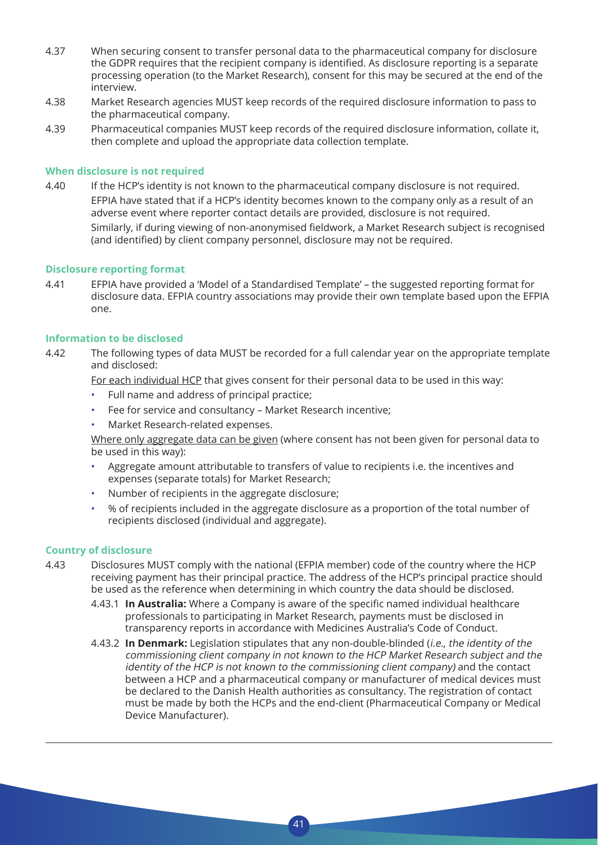- 4.37 When securing consent to transfer personal data to the pharmaceutical company for disclosure the GDPR requires that the recipient company is identified. As disclosure reporting is a separate processing operation (to the Market Research), consent for this may be secured at the end of the interview.
- 4.38 Market Research agencies MUST keep records of the required disclosure information to pass to the pharmaceutical company.
- 4.39 Pharmaceutical companies MUST keep records of the required disclosure information, collate it, then complete and upload the appropriate data collection template.

#### **When disclosure is not required**

4.40 If the HCP's identity is not known to the pharmaceutical company disclosure is not required. EFPIA have stated that if a HCP's identity becomes known to the company only as a result of an adverse event where reporter contact details are provided, disclosure is not required. Similarly, if during viewing of non-anonymised fieldwork, a Market Research subject is recognised (and identified) by client company personnel, disclosure may not be required.

#### **Disclosure reporting format**

4.41 EFPIA have provided a 'Model of a Standardised Template' – the suggested reporting format for disclosure data. EFPIA country associations may provide their own template based upon the EFPIA one.

#### **Information to be disclosed**

4.42 The following types of data MUST be recorded for a full calendar year on the appropriate template and disclosed:

For each individual HCP that gives consent for their personal data to be used in this way:

- Full name and address of principal practice;
- Fee for service and consultancy Market Research incentive;
- Market Research-related expenses.

Where only aggregate data can be given (where consent has not been given for personal data to be used in this way):

- Aggregate amount attributable to transfers of value to recipients i.e. the incentives and expenses (separate totals) for Market Research;
- Number of recipients in the aggregate disclosure;
- % of recipients included in the aggregate disclosure as a proportion of the total number of recipients disclosed (individual and aggregate).

#### **Country of disclosure**

- 4.43 Disclosures MUST comply with the national (EFPIA member) code of the country where the HCP receiving payment has their principal practice. The address of the HCP's principal practice should be used as the reference when determining in which country the data should be disclosed.
	- 4.43.1 **In Australia:** Where a Company is aware of the specific named individual healthcare professionals to participating in Market Research, payments must be disclosed in transparency reports in accordance with Medicines Australia's Code of Conduct.
	- 4.43.2 **In Denmark:** Legislation stipulates that any non-double-blinded (i.e., the identity of the commissioning client company in not known to the HCP Market Research subject and the identity of the HCP is not known to the commissioning client company) and the contact between a HCP and a pharmaceutical company or manufacturer of medical devices must be declared to the Danish Health authorities as consultancy. The registration of contact must be made by both the HCPs and the end-client (Pharmaceutical Company or Medical Device Manufacturer).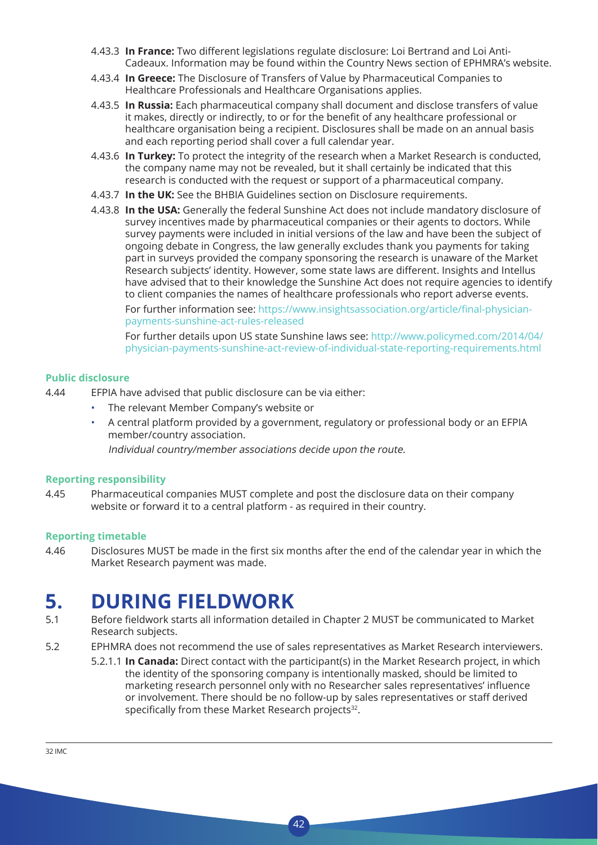- 4.43.3 **In France:** Two different legislations regulate disclosure: Loi Bertrand and Loi Anti-Cadeaux. Information may be found within the Country News section of EPHMRA's website.
- 4.43.4 **In Greece:** The Disclosure of Transfers of Value by Pharmaceutical Companies to Healthcare Professionals and Healthcare Organisations applies.
- 4.43.5 **In Russia:** Each pharmaceutical company shall document and disclose transfers of value it makes, directly or indirectly, to or for the benefit of any healthcare professional or healthcare organisation being a recipient. Disclosures shall be made on an annual basis and each reporting period shall cover a full calendar year.
- 4.43.6 **In Turkey:** To protect the integrity of the research when a Market Research is conducted, the company name may not be revealed, but it shall certainly be indicated that this research is conducted with the request or support of a pharmaceutical company.
- 4.43.7 **In the UK:** See the BHBIA Guidelines section on Disclosure requirements.
- 4.43.8 **In the USA:** Generally the federal Sunshine Act does not include mandatory disclosure of survey incentives made by pharmaceutical companies or their agents to doctors. While survey payments were included in initial versions of the law and have been the subject of ongoing debate in Congress, the law generally excludes thank you payments for taking part in surveys provided the company sponsoring the research is unaware of the Market Research subjects' identity. However, some state laws are different. Insights and Intellus have advised that to their knowledge the Sunshine Act does not require agencies to identify to client companies the names of healthcare professionals who report adverse events.

 For further information see: https://www.insightsassociation.org/article/final-physicianpayments-sunshine-act-rules-released

 For further details upon US state Sunshine laws see: http://www.policymed.com/2014/04/ physician-payments-sunshine-act-review-of-individual-state-reporting-requirements.html

#### **Public disclosure**

- 4.44 EFPIA have advised that public disclosure can be via either:
	- The relevant Member Company's website or
	- A central platform provided by a government, regulatory or professional body or an EFPIA member/country association.

Individual country/member associations decide upon the route.

#### **Reporting responsibility**

4.45 Pharmaceutical companies MUST complete and post the disclosure data on their company website or forward it to a central platform - as required in their country.

#### **Reporting timetable**

4.46 Disclosures MUST be made in the first six months after the end of the calendar year in which the Market Research payment was made.

## **5. DURING FIELDWORK**

- 5.1 Before fieldwork starts all information detailed in Chapter 2 MUST be communicated to Market Research subjects.
- 5.2 EPHMRA does not recommend the use of sales representatives as Market Research interviewers.

 $42$ 

5.2.1.1 **In Canada:** Direct contact with the participant(s) in the Market Research project, in which the identity of the sponsoring company is intentionally masked, should be limited to marketing research personnel only with no Researcher sales representatives' influence or involvement. There should be no follow-up by sales representatives or staff derived specifically from these Market Research projects<sup>32</sup>.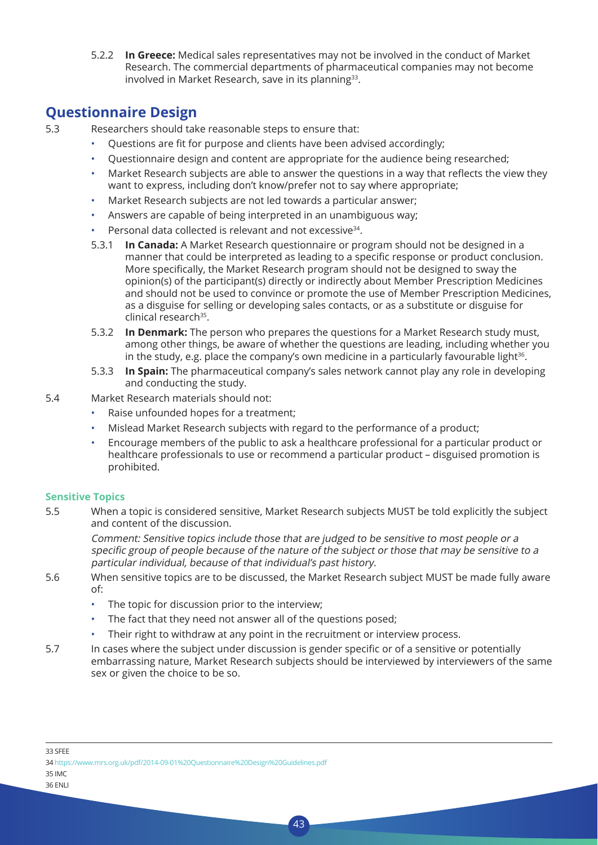5.2.2 **In Greece:** Medical sales representatives may not be involved in the conduct of Market Research. The commercial departments of pharmaceutical companies may not become involved in Market Research, save in its planning<sup>33</sup>.

### **Questionnaire Design**

5.3 Researchers should take reasonable steps to ensure that:

- Questions are fit for purpose and clients have been advised accordingly;
- Questionnaire design and content are appropriate for the audience being researched;
- Market Research subjects are able to answer the questions in a way that reflects the view they want to express, including don't know/prefer not to say where appropriate;
- Market Research subjects are not led towards a particular answer;
- Answers are capable of being interpreted in an unambiguous way;
- Personal data collected is relevant and not excessive<sup>34</sup>.
- 5.3.1 **In Canada:** A Market Research questionnaire or program should not be designed in a manner that could be interpreted as leading to a specific response or product conclusion. More specifically, the Market Research program should not be designed to sway the opinion(s) of the participant(s) directly or indirectly about Member Prescription Medicines and should not be used to convince or promote the use of Member Prescription Medicines, as a disguise for selling or developing sales contacts, or as a substitute or disguise for clinical research<sup>35</sup>.
- 5.3.2 **In Denmark:** The person who prepares the questions for a Market Research study must, among other things, be aware of whether the questions are leading, including whether you in the study, e.g. place the company's own medicine in a particularly favourable light $36$ .
- 5.3.3 **In Spain:** The pharmaceutical company's sales network cannot play any role in developing and conducting the study.
- 5.4 Market Research materials should not:
	- Raise unfounded hopes for a treatment;
	- Mislead Market Research subjects with regard to the performance of a product;
	- Encourage members of the public to ask a healthcare professional for a particular product or healthcare professionals to use or recommend a particular product – disguised promotion is prohibited.

#### **Sensitive Topics**

5.5 When a topic is considered sensitive, Market Research subjects MUST be told explicitly the subject and content of the discussion.

 Comment: Sensitive topics include those that are judged to be sensitive to most people or a specific group of people because of the nature of the subject or those that may be sensitive to <sup>a</sup> particular individual, because of that individual's past history.

- 5.6 When sensitive topics are to be discussed, the Market Research subject MUST be made fully aware of:
	- The topic for discussion prior to the interview;
	- The fact that they need not answer all of the questions posed;
	- Their right to withdraw at any point in the recruitment or interview process.
- 5.7 In cases where the subject under discussion is gender specific or of a sensitive or potentially embarrassing nature, Market Research subjects should be interviewed by interviewers of the same sex or given the choice to be so.

34 https://www.mrs.org.uk/pdf/2014-09-01%20Questionnaire%20Design%20Guidelines.pdf

35 IMC

<sup>33</sup> SFEE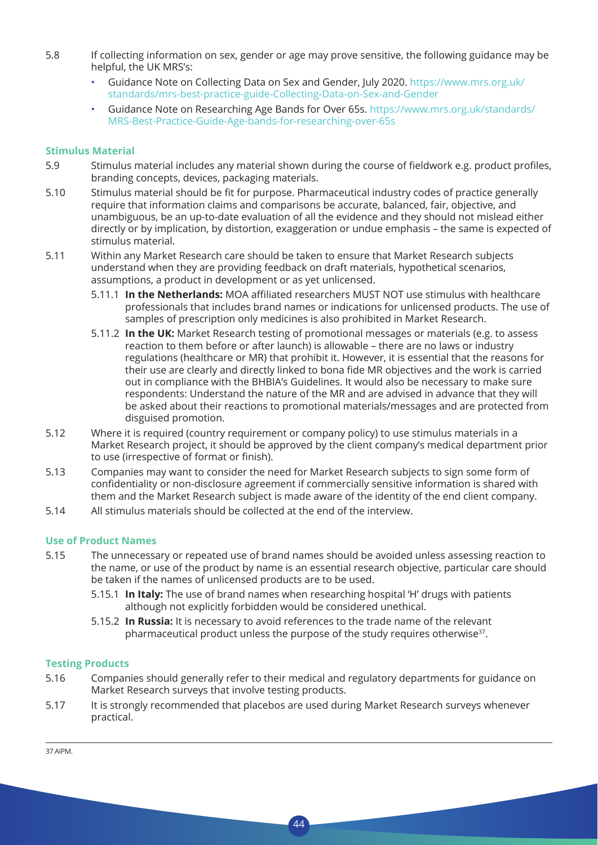- 5.8 If collecting information on sex, gender or age may prove sensitive, the following guidance may be helpful, the UK MRS's:
	- Guidance Note on Collecting Data on Sex and Gender, July 2020. https://www.mrs.org.uk/ standards/mrs-best-practice-guide-Collecting-Data-on-Sex-and-Gender
	- Guidance Note on Researching Age Bands for Over 65s. https://www.mrs.org.uk/standards/ MRS-Best-Practice-Guide-Age-bands-for-researching-over-65s

#### **Stimulus Material**

- 5.9 Stimulus material includes any material shown during the course of fieldwork e.g. product profiles, branding concepts, devices, packaging materials.
- 5.10 Stimulus material should be fit for purpose. Pharmaceutical industry codes of practice generally require that information claims and comparisons be accurate, balanced, fair, objective, and unambiguous, be an up-to-date evaluation of all the evidence and they should not mislead either directly or by implication, by distortion, exaggeration or undue emphasis – the same is expected of stimulus material.
- 5.11 Within any Market Research care should be taken to ensure that Market Research subjects understand when they are providing feedback on draft materials, hypothetical scenarios, assumptions, a product in development or as yet unlicensed.
	- 5.11.1 **In the Netherlands:** MOA affiliated researchers MUST NOT use stimulus with healthcare professionals that includes brand names or indications for unlicensed products. The use of samples of prescription only medicines is also prohibited in Market Research.
	- 5.11.2 **In the UK:** Market Research testing of promotional messages or materials (e.g. to assess reaction to them before or after launch) is allowable – there are no laws or industry regulations (healthcare or MR) that prohibit it. However, it is essential that the reasons for their use are clearly and directly linked to bona fide MR objectives and the work is carried out in compliance with the BHBIA's Guidelines. It would also be necessary to make sure respondents: Understand the nature of the MR and are advised in advance that they will be asked about their reactions to promotional materials/messages and are protected from disguised promotion.
- 5.12 Where it is required (country requirement or company policy) to use stimulus materials in a Market Research project, it should be approved by the client company's medical department prior to use (irrespective of format or finish).
- 5.13 Companies may want to consider the need for Market Research subjects to sign some form of confidentiality or non-disclosure agreement if commercially sensitive information is shared with them and the Market Research subject is made aware of the identity of the end client company.
- 5.14 All stimulus materials should be collected at the end of the interview.

#### **Use of Product Names**

- 5.15 The unnecessary or repeated use of brand names should be avoided unless assessing reaction to the name, or use of the product by name is an essential research objective, particular care should be taken if the names of unlicensed products are to be used.
	- 5.15.1 **In Italy:** The use of brand names when researching hospital 'H' drugs with patients although not explicitly forbidden would be considered unethical.
	- 5.15.2 **In Russia:** It is necessary to avoid references to the trade name of the relevant pharmaceutical product unless the purpose of the study requires otherwise $37$ .

#### **Testing Products**

- 5.16 Companies should generally refer to their medical and regulatory departments for guidance on Market Research surveys that involve testing products.
- 5.17 It is strongly recommended that placebos are used during Market Research surveys whenever practical.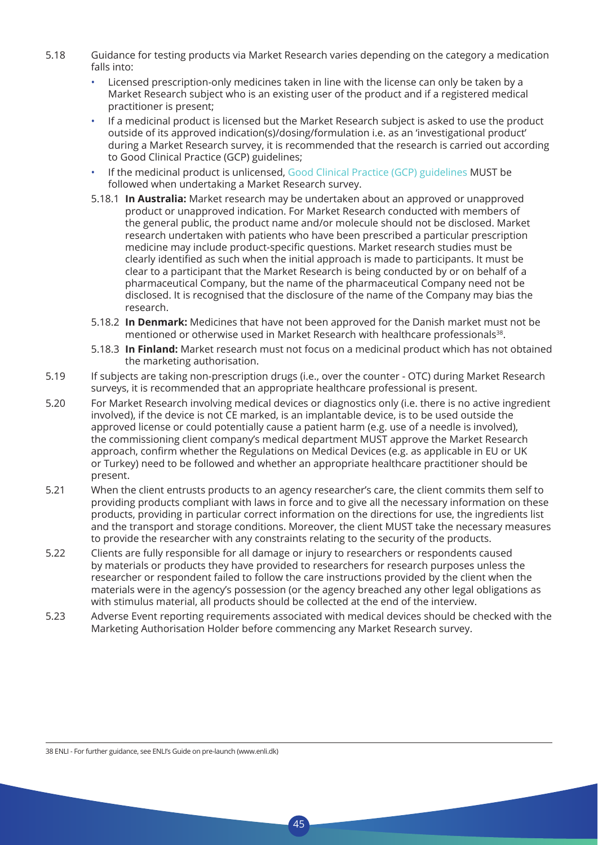- 5.18 Guidance for testing products via Market Research varies depending on the category a medication falls into:
	- Licensed prescription-only medicines taken in line with the license can only be taken by a Market Research subject who is an existing user of the product and if a registered medical practitioner is present;
	- If a medicinal product is licensed but the Market Research subject is asked to use the product outside of its approved indication(s)/dosing/formulation i.e. as an 'investigational product' during a Market Research survey, it is recommended that the research is carried out according to Good Clinical Practice (GCP) guidelines;
	- If the medicinal product is unlicensed, Good Clinical Practice (GCP) guidelines MUST be followed when undertaking a Market Research survey.
	- 5.18.1 **In Australia:** Market research may be undertaken about an approved or unapproved product or unapproved indication. For Market Research conducted with members of the general public, the product name and/or molecule should not be disclosed. Market research undertaken with patients who have been prescribed a particular prescription medicine may include product-specific questions. Market research studies must be clearly identified as such when the initial approach is made to participants. It must be clear to a participant that the Market Research is being conducted by or on behalf of a pharmaceutical Company, but the name of the pharmaceutical Company need not be disclosed. It is recognised that the disclosure of the name of the Company may bias the research.
	- 5.18.2 **In Denmark:** Medicines that have not been approved for the Danish market must not be mentioned or otherwise used in Market Research with healthcare professionals<sup>38</sup>.
	- 5.18.3 **In Finland:** Market research must not focus on a medicinal product which has not obtained the marketing authorisation.
- 5.19 If subjects are taking non-prescription drugs (i.e., over the counter OTC) during Market Research surveys, it is recommended that an appropriate healthcare professional is present.
- 5.20 For Market Research involving medical devices or diagnostics only (i.e. there is no active ingredient involved), if the device is not CE marked, is an implantable device, is to be used outside the approved license or could potentially cause a patient harm (e.g. use of a needle is involved), the commissioning client company's medical department MUST approve the Market Research approach, confirm whether the Regulations on Medical Devices (e.g. as applicable in EU or UK or Turkey) need to be followed and whether an appropriate healthcare practitioner should be present.
- 5.21 When the client entrusts products to an agency researcher's care, the client commits them self to providing products compliant with laws in force and to give all the necessary information on these products, providing in particular correct information on the directions for use, the ingredients list and the transport and storage conditions. Moreover, the client MUST take the necessary measures to provide the researcher with any constraints relating to the security of the products.
- 5.22 Clients are fully responsible for all damage or injury to researchers or respondents caused by materials or products they have provided to researchers for research purposes unless the researcher or respondent failed to follow the care instructions provided by the client when the materials were in the agency's possession (or the agency breached any other legal obligations as with stimulus material, all products should be collected at the end of the interview.
- 5.23 Adverse Event reporting requirements associated with medical devices should be checked with the Marketing Authorisation Holder before commencing any Market Research survey.

45

38 ENLI - For further guidance, see ENLI's Guide on pre-launch (www.enli.dk)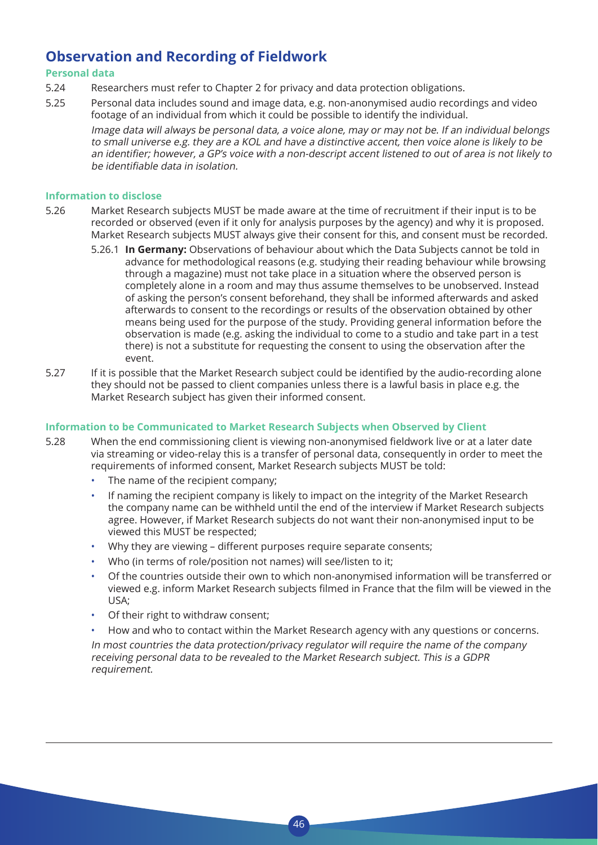### **Observation and Recording of Fieldwork**

#### **Personal data**

- 5.24 Researchers must refer to Chapter 2 for privacy and data protection obligations.
- 5.25 Personal data includes sound and image data, e.g. non-anonymised audio recordings and video footage of an individual from which it could be possible to identify the individual.

 Image data will always be personal data, a voice alone, may or may not be. If an individual belongs to small universe e.g. they are a KOL and have a distinctive accent, then voice alone is likely to be an identifier; however, <sup>a</sup> GP's voice with <sup>a</sup> non-descript accent listened to out of area is not likely to be identifiable data in isolation.

#### **Information to disclose**

- 5.26 Market Research subjects MUST be made aware at the time of recruitment if their input is to be recorded or observed (even if it only for analysis purposes by the agency) and why it is proposed. Market Research subjects MUST always give their consent for this, and consent must be recorded.
	- 5.26.1 **In Germany:** Observations of behaviour about which the Data Subjects cannot be told in advance for methodological reasons (e.g. studying their reading behaviour while browsing through a magazine) must not take place in a situation where the observed person is completely alone in a room and may thus assume themselves to be unobserved. Instead of asking the person's consent beforehand, they shall be informed afterwards and asked afterwards to consent to the recordings or results of the observation obtained by other means being used for the purpose of the study. Providing general information before the observation is made (e.g. asking the individual to come to a studio and take part in a test there) is not a substitute for requesting the consent to using the observation after the event.
- 5.27 If it is possible that the Market Research subject could be identified by the audio-recording alone they should not be passed to client companies unless there is a lawful basis in place e.g. the Market Research subject has given their informed consent.

#### **Information to be Communicated to Market Research Subjects when Observed by Client**

- 5.28 When the end commissioning client is viewing non-anonymised fieldwork live or at a later date via streaming or video-relay this is a transfer of personal data, consequently in order to meet the requirements of informed consent, Market Research subjects MUST be told:
	- The name of the recipient company;
	- If naming the recipient company is likely to impact on the integrity of the Market Research the company name can be withheld until the end of the interview if Market Research subjects agree. However, if Market Research subjects do not want their non-anonymised input to be viewed this MUST be respected;
	- Why they are viewing different purposes require separate consents:
	- Who (in terms of role/position not names) will see/listen to it;
	- Of the countries outside their own to which non-anonymised information will be transferred or viewed e.g. inform Market Research subjects filmed in France that the film will be viewed in the USA;
	- Of their right to withdraw consent;
	- How and who to contact within the Market Research agency with any questions or concerns.

 In most countries the data protection/privacy regulator will require the name of the company receiving personal data to be revealed to the Market Research subject. This is a GDPR requirement.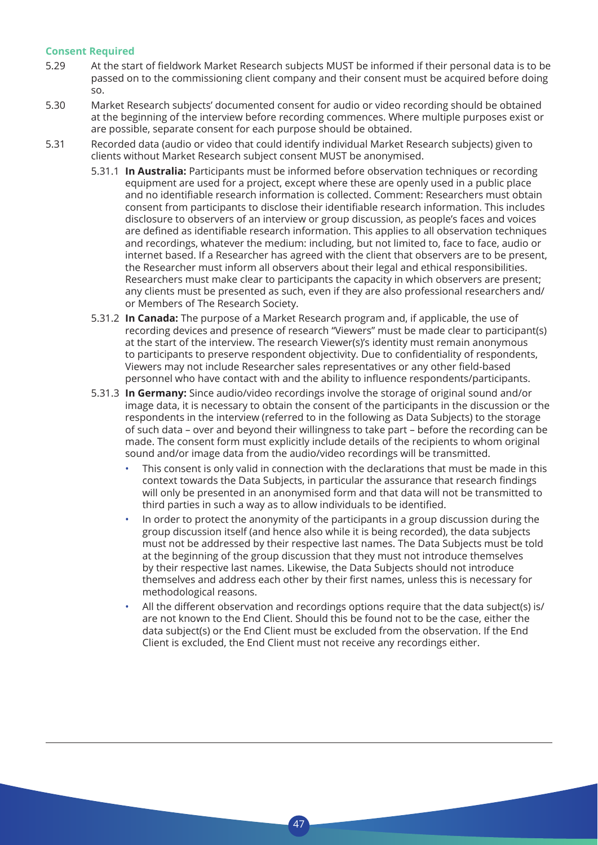#### **Consent Required**

- 5.29 At the start of fieldwork Market Research subjects MUST be informed if their personal data is to be passed on to the commissioning client company and their consent must be acquired before doing so.
- 5.30 Market Research subjects' documented consent for audio or video recording should be obtained at the beginning of the interview before recording commences. Where multiple purposes exist or are possible, separate consent for each purpose should be obtained.
- 5.31 Recorded data (audio or video that could identify individual Market Research subjects) given to clients without Market Research subject consent MUST be anonymised.
	- 5.31.1 **In Australia:** Participants must be informed before observation techniques or recording equipment are used for a project, except where these are openly used in a public place and no identifiable research information is collected. Comment: Researchers must obtain consent from participants to disclose their identifiable research information. This includes disclosure to observers of an interview or group discussion, as people's faces and voices are defined as identifiable research information. This applies to all observation techniques and recordings, whatever the medium: including, but not limited to, face to face, audio or internet based. If a Researcher has agreed with the client that observers are to be present, the Researcher must inform all observers about their legal and ethical responsibilities. Researchers must make clear to participants the capacity in which observers are present; any clients must be presented as such, even if they are also professional researchers and/ or Members of The Research Society.
	- 5.31.2 **In Canada:** The purpose of a Market Research program and, if applicable, the use of recording devices and presence of research "Viewers" must be made clear to participant(s) at the start of the interview. The research Viewer(s)'s identity must remain anonymous to participants to preserve respondent objectivity. Due to confidentiality of respondents, Viewers may not include Researcher sales representatives or any other field-based personnel who have contact with and the ability to influence respondents/participants.
	- 5.31.3 **In Germany:** Since audio/video recordings involve the storage of original sound and/or image data, it is necessary to obtain the consent of the participants in the discussion or the respondents in the interview (referred to in the following as Data Subjects) to the storage of such data – over and beyond their willingness to take part – before the recording can be made. The consent form must explicitly include details of the recipients to whom original sound and/or image data from the audio/video recordings will be transmitted.
		- This consent is only valid in connection with the declarations that must be made in this context towards the Data Subjects, in particular the assurance that research findings will only be presented in an anonymised form and that data will not be transmitted to third parties in such a way as to allow individuals to be identified.
		- In order to protect the anonymity of the participants in a group discussion during the group discussion itself (and hence also while it is being recorded), the data subjects must not be addressed by their respective last names. The Data Subjects must be told at the beginning of the group discussion that they must not introduce themselves by their respective last names. Likewise, the Data Subjects should not introduce themselves and address each other by their first names, unless this is necessary for methodological reasons.
		- All the different observation and recordings options require that the data subject(s) is/ are not known to the End Client. Should this be found not to be the case, either the data subject(s) or the End Client must be excluded from the observation. If the End Client is excluded, the End Client must not receive any recordings either.

 $\overline{A}$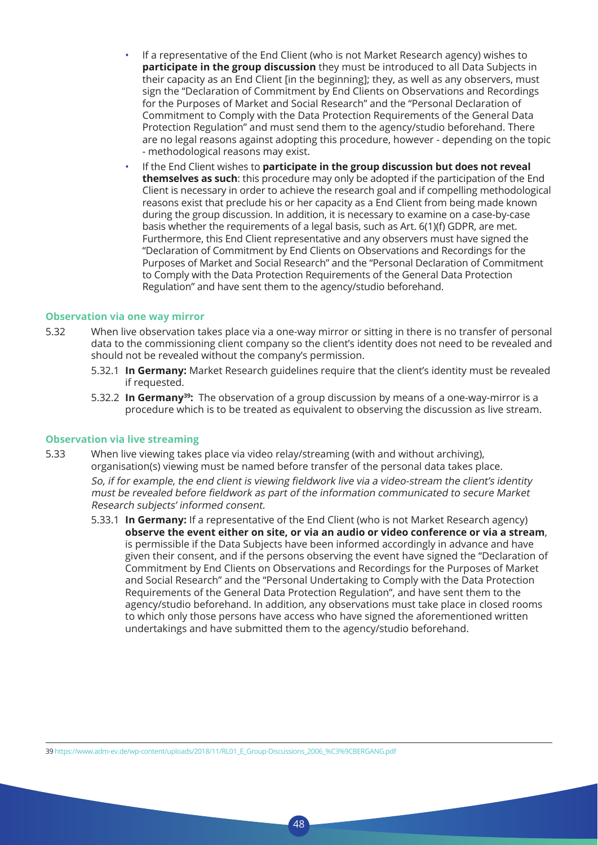- If a representative of the End Client (who is not Market Research agency) wishes to **participate in the group discussion** they must be introduced to all Data Subjects in their capacity as an End Client [in the beginning]; they, as well as any observers, must sign the "Declaration of Commitment by End Clients on Observations and Recordings for the Purposes of Market and Social Research" and the "Personal Declaration of Commitment to Comply with the Data Protection Requirements of the General Data Protection Regulation" and must send them to the agency/studio beforehand. There are no legal reasons against adopting this procedure, however - depending on the topic - methodological reasons may exist.
- If the End Client wishes to **participate in the group discussion but does not reveal themselves as such**: this procedure may only be adopted if the participation of the End Client is necessary in order to achieve the research goal and if compelling methodological reasons exist that preclude his or her capacity as a End Client from being made known during the group discussion. In addition, it is necessary to examine on a case-by-case basis whether the requirements of a legal basis, such as Art. 6(1)(f) GDPR, are met. Furthermore, this End Client representative and any observers must have signed the "Declaration of Commitment by End Clients on Observations and Recordings for the Purposes of Market and Social Research" and the "Personal Declaration of Commitment to Comply with the Data Protection Requirements of the General Data Protection Regulation" and have sent them to the agency/studio beforehand.

#### **Observation via one way mirror**

- 5.32 When live observation takes place via a one-way mirror or sitting in there is no transfer of personal data to the commissioning client company so the client's identity does not need to be revealed and should not be revealed without the company's permission.
	- 5.32.1 **In Germany:** Market Research guidelines require that the client's identity must be revealed if requested.
	- 5.32.2 **In Germany39:** The observation of a group discussion by means of a one-way-mirror is a procedure which is to be treated as equivalent to observing the discussion as live stream.

#### **Observation via live streaming**

- 5.33 When live viewing takes place via video relay/streaming (with and without archiving), organisation(s) viewing must be named before transfer of the personal data takes place. So, if for example, the end client is viewing fieldwork live via <sup>a</sup> video-stream the client's identity must be revealed before fieldwork as part of the information communicated to secure Market Research subjects' informed consent.
	- 5.33.1 **In Germany:** If a representative of the End Client (who is not Market Research agency) **observe the event either on site, or via an audio or video conference or via a stream**, is permissible if the Data Subjects have been informed accordingly in advance and have given their consent, and if the persons observing the event have signed the "Declaration of Commitment by End Clients on Observations and Recordings for the Purposes of Market and Social Research" and the "Personal Undertaking to Comply with the Data Protection Requirements of the General Data Protection Regulation", and have sent them to the agency/studio beforehand. In addition, any observations must take place in closed rooms to which only those persons have access who have signed the aforementioned written undertakings and have submitted them to the agency/studio beforehand.

39 https://www.adm-ev.de/wp-content/uploads/2018/11/RL01\_E\_Group-Discussions\_2006\_%C3%9CBERGANG.pdf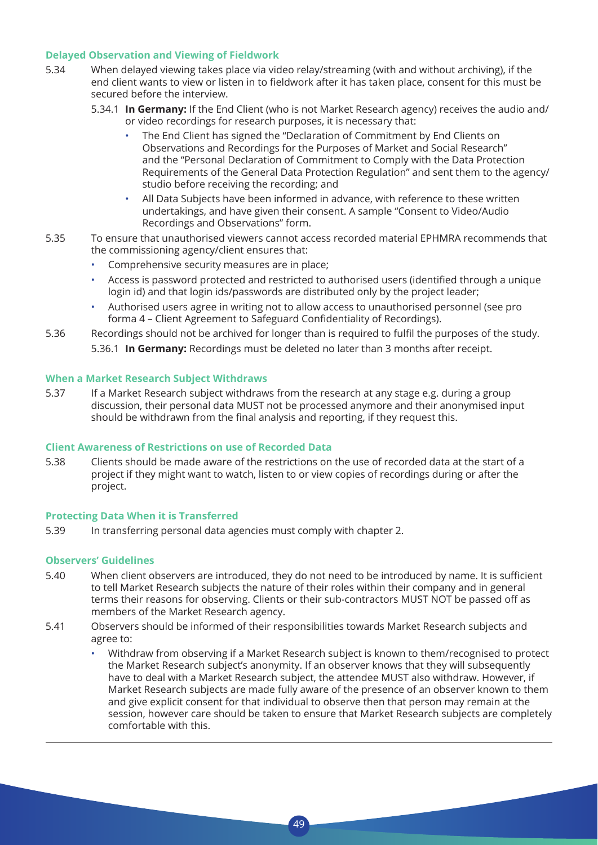#### **Delayed Observation and Viewing of Fieldwork**

- 5.34 When delayed viewing takes place via video relay/streaming (with and without archiving), if the end client wants to view or listen in to fieldwork after it has taken place, consent for this must be secured before the interview.
	- 5.34.1 **In Germany:** If the End Client (who is not Market Research agency) receives the audio and/ or video recordings for research purposes, it is necessary that:
		- The End Client has signed the "Declaration of Commitment by End Clients on Observations and Recordings for the Purposes of Market and Social Research" and the "Personal Declaration of Commitment to Comply with the Data Protection Requirements of the General Data Protection Regulation" and sent them to the agency/ studio before receiving the recording; and
		- All Data Subjects have been informed in advance, with reference to these written undertakings, and have given their consent. A sample "Consent to Video/Audio Recordings and Observations" form.
- 5.35 To ensure that unauthorised viewers cannot access recorded material EPHMRA recommends that the commissioning agency/client ensures that:
	- Comprehensive security measures are in place;
	- Access is password protected and restricted to authorised users (identified through a unique login id) and that login ids/passwords are distributed only by the project leader;
	- Authorised users agree in writing not to allow access to unauthorised personnel (see pro forma 4 – Client Agreement to Safeguard Confidentiality of Recordings).
- 5.36 Recordings should not be archived for longer than is required to fulfil the purposes of the study.
	- 5.36.1 **In Germany:** Recordings must be deleted no later than 3 months after receipt.

#### **When a Market Research Subject Withdraws**

5.37 If a Market Research subject withdraws from the research at any stage e.g. during a group discussion, their personal data MUST not be processed anymore and their anonymised input should be withdrawn from the final analysis and reporting, if they request this.

#### **Client Awareness of Restrictions on use of Recorded Data**

5.38 Clients should be made aware of the restrictions on the use of recorded data at the start of a project if they might want to watch, listen to or view copies of recordings during or after the project.

#### **Protecting Data When it is Transferred**

5.39 In transferring personal data agencies must comply with chapter 2.

#### **Observers' Guidelines**

5.40 When client observers are introduced, they do not need to be introduced by name. It is sufficient to tell Market Research subjects the nature of their roles within their company and in general terms their reasons for observing. Clients or their sub-contractors MUST NOT be passed off as members of the Market Research agency.

- 5.41 Observers should be informed of their responsibilities towards Market Research subjects and agree to:
	- Withdraw from observing if a Market Research subject is known to them/recognised to protect the Market Research subject's anonymity. If an observer knows that they will subsequently have to deal with a Market Research subject, the attendee MUST also withdraw. However, if Market Research subjects are made fully aware of the presence of an observer known to them and give explicit consent for that individual to observe then that person may remain at the session, however care should be taken to ensure that Market Research subjects are completely comfortable with this.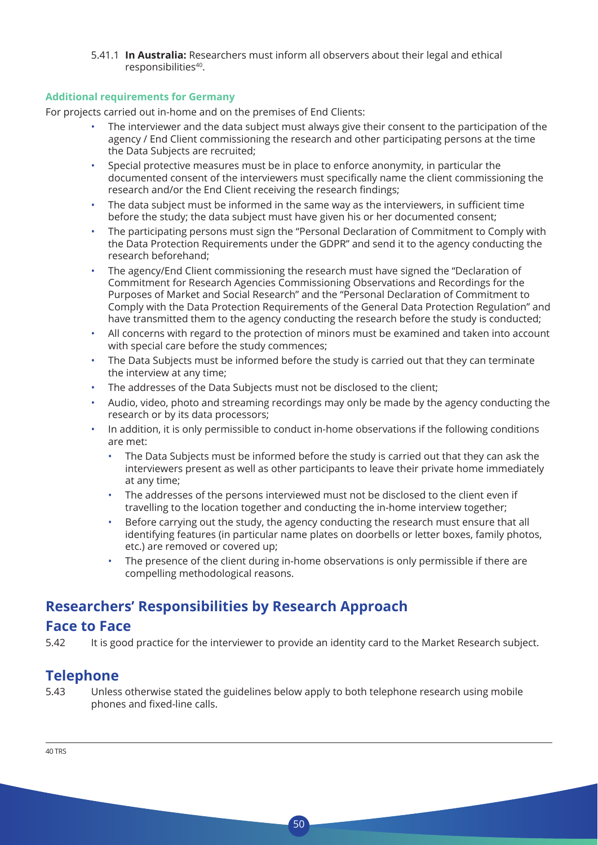5.41.1 **In Australia:** Researchers must inform all observers about their legal and ethical responsibilities<sup>40</sup>.

#### **Additional requirements for Germany**

For projects carried out in-home and on the premises of End Clients:

- The interviewer and the data subject must always give their consent to the participation of the agency / End Client commissioning the research and other participating persons at the time the Data Subjects are recruited;
- Special protective measures must be in place to enforce anonymity, in particular the documented consent of the interviewers must specifically name the client commissioning the research and/or the End Client receiving the research findings;
- The data subject must be informed in the same way as the interviewers, in sufficient time before the study; the data subject must have given his or her documented consent;
- The participating persons must sign the "Personal Declaration of Commitment to Comply with the Data Protection Requirements under the GDPR" and send it to the agency conducting the research beforehand;
- The agency/End Client commissioning the research must have signed the "Declaration of Commitment for Research Agencies Commissioning Observations and Recordings for the Purposes of Market and Social Research" and the "Personal Declaration of Commitment to Comply with the Data Protection Requirements of the General Data Protection Regulation" and have transmitted them to the agency conducting the research before the study is conducted;
- All concerns with regard to the protection of minors must be examined and taken into account with special care before the study commences;
- The Data Subjects must be informed before the study is carried out that they can terminate the interview at any time;
- The addresses of the Data Subjects must not be disclosed to the client;
- Audio, video, photo and streaming recordings may only be made by the agency conducting the research or by its data processors;
- In addition, it is only permissible to conduct in-home observations if the following conditions are met:
	- The Data Subjects must be informed before the study is carried out that they can ask the interviewers present as well as other participants to leave their private home immediately at any time;
	- The addresses of the persons interviewed must not be disclosed to the client even if travelling to the location together and conducting the in-home interview together;
	- Before carrying out the study, the agency conducting the research must ensure that all identifying features (in particular name plates on doorbells or letter boxes, family photos, etc.) are removed or covered up;
	- The presence of the client during in-home observations is only permissible if there are compelling methodological reasons.

### **Researchers' Responsibilities by Research Approach**

### **Face to Face**

5.42 It is good practice for the interviewer to provide an identity card to the Market Research subject.

### **Telephone**

5.43 Unless otherwise stated the guidelines below apply to both telephone research using mobile phones and fixed-line calls.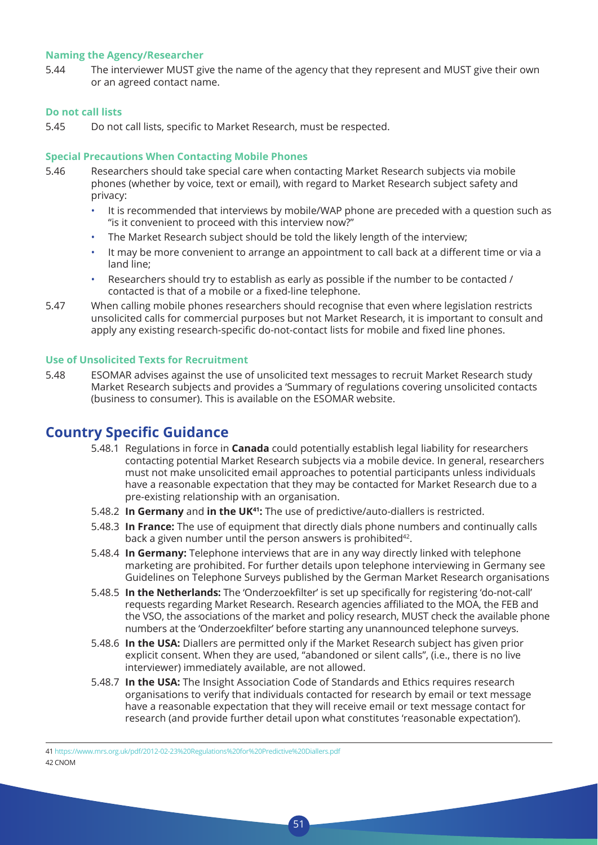#### **Naming the Agency/Researcher**

5.44 The interviewer MUST give the name of the agency that they represent and MUST give their own or an agreed contact name.

#### **Do not call lists**

5.45 Do not call lists, specific to Market Research, must be respected.

#### **Special Precautions When Contacting Mobile Phones**

- 5.46 Researchers should take special care when contacting Market Research subjects via mobile phones (whether by voice, text or email), with regard to Market Research subject safety and privacy:
	- It is recommended that interviews by mobile/WAP phone are preceded with a question such as "is it convenient to proceed with this interview now?"
	- The Market Research subject should be told the likely length of the interview:
	- It may be more convenient to arrange an appointment to call back at a different time or via a land line;
	- Researchers should try to establish as early as possible if the number to be contacted / contacted is that of a mobile or a fixed-line telephone.
- 5.47 When calling mobile phones researchers should recognise that even where legislation restricts unsolicited calls for commercial purposes but not Market Research, it is important to consult and apply any existing research-specific do-not-contact lists for mobile and fixed line phones.

#### **Use of Unsolicited Texts for Recruitment**

5.48 ESOMAR advises against the use of unsolicited text messages to recruit Market Research study Market Research subjects and provides a 'Summary of regulations covering unsolicited contacts (business to consumer). This is available on the ESOMAR website.

### **Country Specific Guidance**

- 5.48.1 Regulations in force in **Canada** could potentially establish legal liability for researchers contacting potential Market Research subjects via a mobile device. In general, researchers must not make unsolicited email approaches to potential participants unless individuals have a reasonable expectation that they may be contacted for Market Research due to a pre-existing relationship with an organisation.
- 5.48.2 **In Germany** and **in the UK41:** The use of predictive/auto-diallers is restricted.
- 5.48.3 **In France:** The use of equipment that directly dials phone numbers and continually calls back a given number until the person answers is prohibited<sup>42</sup>.
- 5.48.4 **In Germany:** Telephone interviews that are in any way directly linked with telephone marketing are prohibited. For further details upon telephone interviewing in Germany see Guidelines on Telephone Surveys published by the German Market Research organisations
- 5.48.5 **In the Netherlands:** The 'Onderzoekfilter' is set up specifically for registering 'do-not-call' requests regarding Market Research. Research agencies affiliated to the MOA, the FEB and the VSO, the associations of the market and policy research, MUST check the available phone numbers at the 'Onderzoekfilter' before starting any unannounced telephone surveys.
- 5.48.6 **In the USA:** Diallers are permitted only if the Market Research subject has given prior explicit consent. When they are used, "abandoned or silent calls", (i.e., there is no live interviewer) immediately available, are not allowed.
- 5.48.7 **In the USA:** The Insight Association Code of Standards and Ethics requires research organisations to verify that individuals contacted for research by email or text message have a reasonable expectation that they will receive email or text message contact for research (and provide further detail upon what constitutes 'reasonable expectation').

41 https://www.mrs.org.uk/pdf/2012-02-23%20Regulations%20for%20Predictive%20Diallers.pdf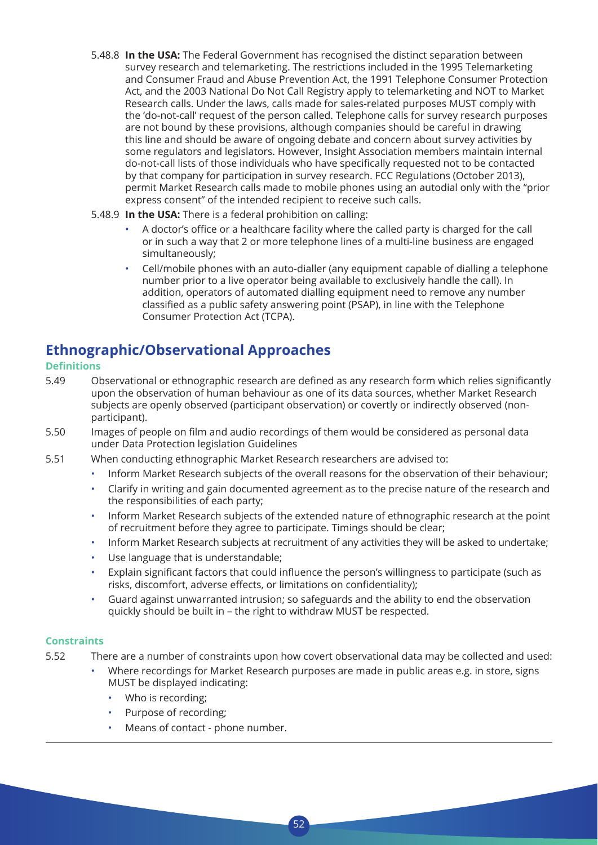- 5.48.8 **In the USA:** The Federal Government has recognised the distinct separation between survey research and telemarketing. The restrictions included in the 1995 Telemarketing and Consumer Fraud and Abuse Prevention Act, the 1991 Telephone Consumer Protection Act, and the 2003 National Do Not Call Registry apply to telemarketing and NOT to Market Research calls. Under the laws, calls made for sales-related purposes MUST comply with the 'do-not-call' request of the person called. Telephone calls for survey research purposes are not bound by these provisions, although companies should be careful in drawing this line and should be aware of ongoing debate and concern about survey activities by some regulators and legislators. However, Insight Association members maintain internal do-not-call lists of those individuals who have specifically requested not to be contacted by that company for participation in survey research. FCC Regulations (October 2013), permit Market Research calls made to mobile phones using an autodial only with the "prior express consent" of the intended recipient to receive such calls.
- 5.48.9 **In the USA:** There is a federal prohibition on calling:
	- A doctor's office or a healthcare facility where the called party is charged for the call or in such a way that 2 or more telephone lines of a multi-line business are engaged simultaneously;
	- Cell/mobile phones with an auto-dialler (any equipment capable of dialling a telephone number prior to a live operator being available to exclusively handle the call). In addition, operators of automated dialling equipment need to remove any number classified as a public safety answering point (PSAP), in line with the Telephone Consumer Protection Act (TCPA).

### **Ethnographic/Observational Approaches**

#### **Definitions**

- 5.49 Observational or ethnographic research are defined as any research form which relies significantly upon the observation of human behaviour as one of its data sources, whether Market Research subjects are openly observed (participant observation) or covertly or indirectly observed (nonparticipant).
- 5.50 Images of people on film and audio recordings of them would be considered as personal data under Data Protection legislation Guidelines
- 5.51 When conducting ethnographic Market Research researchers are advised to:
	- Inform Market Research subjects of the overall reasons for the observation of their behaviour;
	- Clarify in writing and gain documented agreement as to the precise nature of the research and the responsibilities of each party;
	- Inform Market Research subjects of the extended nature of ethnographic research at the point of recruitment before they agree to participate. Timings should be clear;
	- Inform Market Research subjects at recruitment of any activities they will be asked to undertake;
	- Use language that is understandable;
	- Explain significant factors that could influence the person's willingness to participate (such as risks, discomfort, adverse effects, or limitations on confidentiality);
	- Guard against unwarranted intrusion; so safeguards and the ability to end the observation quickly should be built in – the right to withdraw MUST be respected.

### **Constraints**

5.52 There are a number of constraints upon how covert observational data may be collected and used:

- Where recordings for Market Research purposes are made in public areas e.g. in store, signs MUST be displayed indicating:
	- Who is recording:
	- Purpose of recording;
	- Means of contact phone number.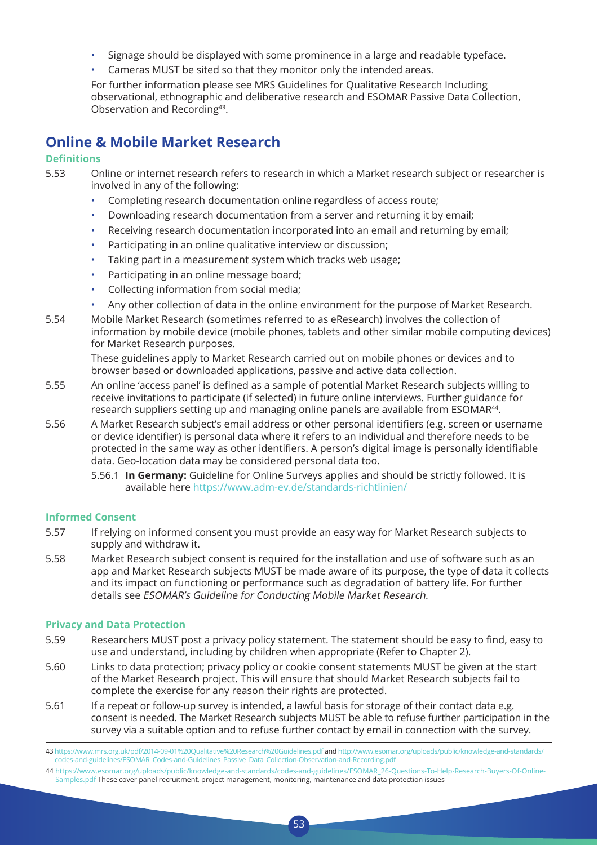- Signage should be displayed with some prominence in a large and readable typeface.
- Cameras MUST be sited so that they monitor only the intended areas.

 For further information please see MRS Guidelines for Qualitative Research Including observational, ethnographic and deliberative research and ESOMAR Passive Data Collection, Observation and Recording43.

### **Online & Mobile Market Research**

#### **Definitions**

| 5.53 | Online or internet research refers to research in which a Market research subject or researcher is<br>involved in any of the following: |
|------|-----------------------------------------------------------------------------------------------------------------------------------------|
|      | • Completing research documentation online regardless of access route;                                                                  |

- Downloading research documentation from a server and returning it by email;
- Receiving research documentation incorporated into an email and returning by email;
- Participating in an online qualitative interview or discussion;
- Taking part in a measurement system which tracks web usage;
- Participating in an online message board;
- Collecting information from social media;
- Any other collection of data in the online environment for the purpose of Market Research.
- 5.54 Mobile Market Research (sometimes referred to as eResearch) involves the collection of information by mobile device (mobile phones, tablets and other similar mobile computing devices) for Market Research purposes.

 These guidelines apply to Market Research carried out on mobile phones or devices and to browser based or downloaded applications, passive and active data collection.

- 5.55 An online 'access panel' is defined as a sample of potential Market Research subjects willing to receive invitations to participate (if selected) in future online interviews. Further guidance for research suppliers setting up and managing online panels are available from ESOMAR<sup>44</sup>.
- 5.56 A Market Research subject's email address or other personal identifiers (e.g. screen or username or device identifier) is personal data where it refers to an individual and therefore needs to be protected in the same way as other identifiers. A person's digital image is personally identifiable data. Geo-location data may be considered personal data too.
	- 5.56.1 **In Germany:** Guideline for Online Surveys applies and should be strictly followed. It is available here https://www.adm-ev.de/standards-richtlinien/

#### **Informed Consent**

- 5.57 If relying on informed consent you must provide an easy way for Market Research subjects to supply and withdraw it.
- 5.58 Market Research subject consent is required for the installation and use of software such as an app and Market Research subjects MUST be made aware of its purpose, the type of data it collects and its impact on functioning or performance such as degradation of battery life. For further details see ESOMAR's Guideline for Conducting Mobile Market Research.

#### **Privacy and Data Protection**

- 5.59 Researchers MUST post a privacy policy statement. The statement should be easy to find, easy to use and understand, including by children when appropriate (Refer to Chapter 2).
- 5.60 Links to data protection; privacy policy or cookie consent statements MUST be given at the start of the Market Research project. This will ensure that should Market Research subjects fail to complete the exercise for any reason their rights are protected.
- 5.61 If a repeat or follow-up survey is intended, a lawful basis for storage of their contact data e.g. consent is needed. The Market Research subjects MUST be able to refuse further participation in the survey via a suitable option and to refuse further contact by email in connection with the survey.

<sup>43</sup> https://www.mrs.org.uk/pdf/2014-09-01%20Qualitative%20Research%20Guidelines.pdf and http://www.esomar.org/uploads/public/knowledge-and-standards/ codes-and-guidelines/ESOMAR\_Codes-and-Guidelines\_Passive\_Data\_Collection-Observation-and-Recording.pdf

<sup>44</sup> https://www.esomar.org/uploads/public/knowledge-and-standards/codes-and-guidelines/ESOMAR\_26-Questions-To-Help-Research-Buyers-Of-Online-Samples.pdf These cover panel recruitment, project management, monitoring, maintenance and data protection issues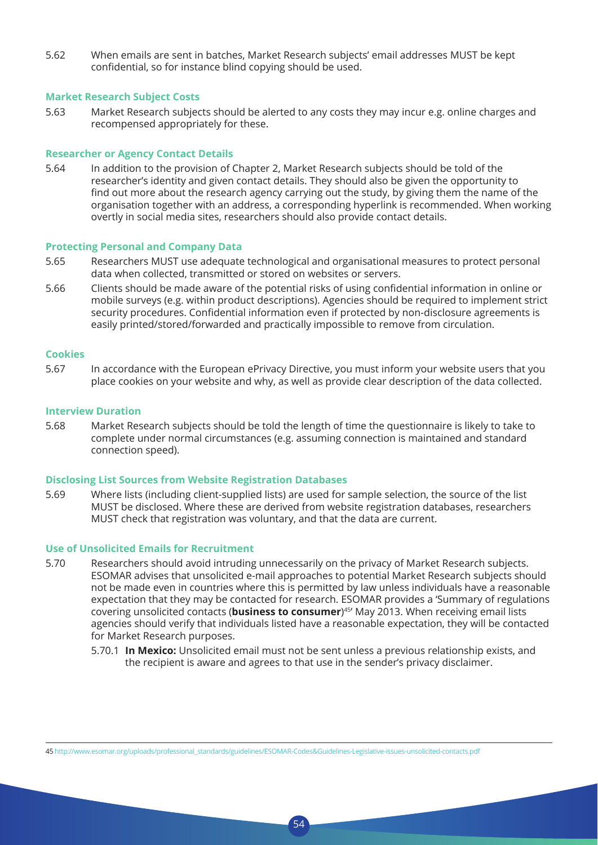5.62 When emails are sent in batches, Market Research subjects' email addresses MUST be kept confidential, so for instance blind copying should be used.

#### **Market Research Subject Costs**

5.63 Market Research subjects should be alerted to any costs they may incur e.g. online charges and recompensed appropriately for these.

#### **Researcher or Agency Contact Details**

5.64 In addition to the provision of Chapter 2, Market Research subjects should be told of the researcher's identity and given contact details. They should also be given the opportunity to find out more about the research agency carrying out the study, by giving them the name of the organisation together with an address, a corresponding hyperlink is recommended. When working overtly in social media sites, researchers should also provide contact details.

#### **Protecting Personal and Company Data**

- 5.65 Researchers MUST use adequate technological and organisational measures to protect personal data when collected, transmitted or stored on websites or servers.
- 5.66 Clients should be made aware of the potential risks of using confidential information in online or mobile surveys (e.g. within product descriptions). Agencies should be required to implement strict security procedures. Confidential information even if protected by non-disclosure agreements is easily printed/stored/forwarded and practically impossible to remove from circulation.

#### **Cookies**

5.67 In accordance with the European ePrivacy Directive, you must inform your website users that you place cookies on your website and why, as well as provide clear description of the data collected.

#### **Interview Duration**

5.68 Market Research subjects should be told the length of time the questionnaire is likely to take to complete under normal circumstances (e.g. assuming connection is maintained and standard connection speed).

#### **Disclosing List Sources from Website Registration Databases**

5.69 Where lists (including client-supplied lists) are used for sample selection, the source of the list MUST be disclosed. Where these are derived from website registration databases, researchers MUST check that registration was voluntary, and that the data are current.

#### **Use of Unsolicited Emails for Recruitment**

5.70 Researchers should avoid intruding unnecessarily on the privacy of Market Research subjects. ESOMAR advises that unsolicited e-mail approaches to potential Market Research subjects should not be made even in countries where this is permitted by law unless individuals have a reasonable expectation that they may be contacted for research. ESOMAR provides a 'Summary of regulations covering unsolicited contacts (**business to consumer**) 45' May 2013. When receiving email lists agencies should verify that individuals listed have a reasonable expectation, they will be contacted for Market Research purposes.

54

5.70.1 **In Mexico:** Unsolicited email must not be sent unless a previous relationship exists, and the recipient is aware and agrees to that use in the sender's privacy disclaimer.

45 http://www.esomar.org/uploads/professional\_standards/guidelines/ESOMAR-Codes&Guidelines-Legislative-issues-unsolicited-contacts.pdf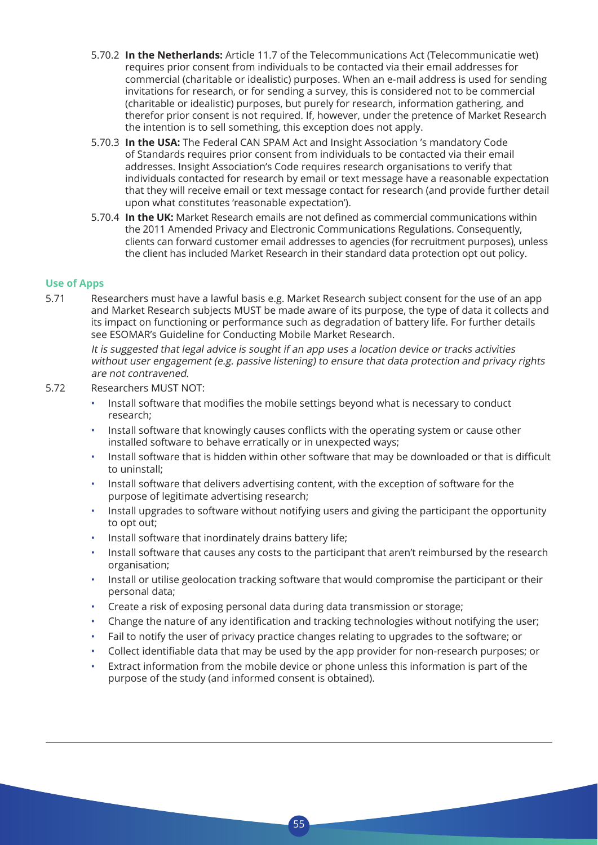- 5.70.2 **In the Netherlands:** Article 11.7 of the Telecommunications Act (Telecommunicatie wet) requires prior consent from individuals to be contacted via their email addresses for commercial (charitable or idealistic) purposes. When an e-mail address is used for sending invitations for research, or for sending a survey, this is considered not to be commercial (charitable or idealistic) purposes, but purely for research, information gathering, and therefor prior consent is not required. If, however, under the pretence of Market Research the intention is to sell something, this exception does not apply.
- 5.70.3 **In the USA:** The Federal CAN SPAM Act and Insight Association 's mandatory Code of Standards requires prior consent from individuals to be contacted via their email addresses. Insight Association's Code requires research organisations to verify that individuals contacted for research by email or text message have a reasonable expectation that they will receive email or text message contact for research (and provide further detail upon what constitutes 'reasonable expectation').
- 5.70.4 **In the UK:** Market Research emails are not defined as commercial communications within the 2011 Amended Privacy and Electronic Communications Regulations. Consequently, clients can forward customer email addresses to agencies (for recruitment purposes), unless the client has included Market Research in their standard data protection opt out policy.

#### **Use of Apps**

5.71 Researchers must have a lawful basis e.g. Market Research subject consent for the use of an app and Market Research subjects MUST be made aware of its purpose, the type of data it collects and its impact on functioning or performance such as degradation of battery life. For further details see ESOMAR's Guideline for Conducting Mobile Market Research.

 It is suggested that legal advice is sought if an app uses a location device or tracks activities without user engagement (e.g. passive listening) to ensure that data protection and privacy rights are not contravened.

- 5.72 Researchers MUST NOT:
	- Install software that modifies the mobile settings beyond what is necessary to conduct research;
	- Install software that knowingly causes conflicts with the operating system or cause other installed software to behave erratically or in unexpected ways;
	- Install software that is hidden within other software that may be downloaded or that is difficult to uninstall;
	- Install software that delivers advertising content, with the exception of software for the purpose of legitimate advertising research;
	- Install upgrades to software without notifying users and giving the participant the opportunity to opt out;
	- Install software that inordinately drains battery life;
	- Install software that causes any costs to the participant that aren't reimbursed by the research organisation;
	- Install or utilise geolocation tracking software that would compromise the participant or their personal data;
	- Create a risk of exposing personal data during data transmission or storage;
	- Change the nature of any identification and tracking technologies without notifying the user;
	- Fail to notify the user of privacy practice changes relating to upgrades to the software; or
	- Collect identifiable data that may be used by the app provider for non-research purposes; or
	- Extract information from the mobile device or phone unless this information is part of the purpose of the study (and informed consent is obtained).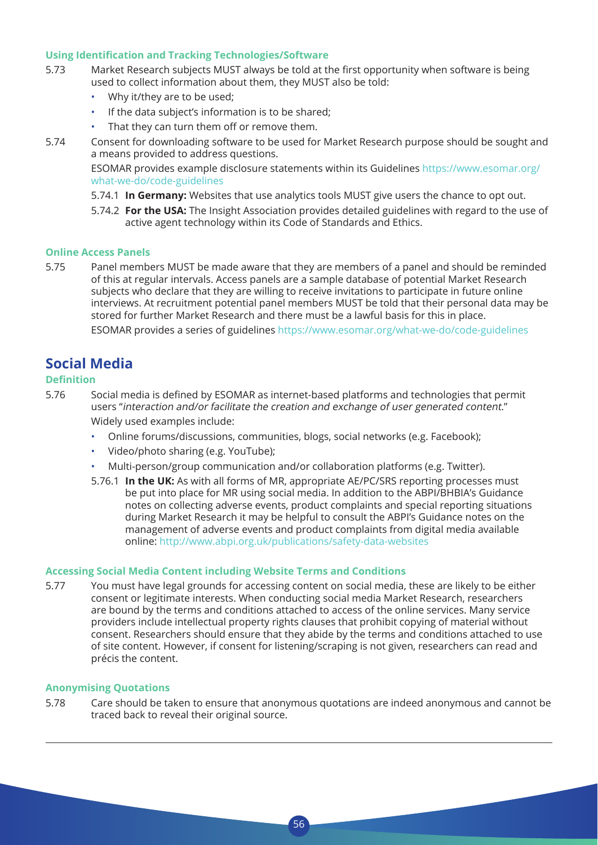#### **Using Identification and Tracking Technologies/Software**

- 5.73 Market Research subjects MUST always be told at the first opportunity when software is being used to collect information about them, they MUST also be told:
	- Why it/they are to be used;
	- If the data subject's information is to be shared;
	- That they can turn them off or remove them.
- 5.74 Consent for downloading software to be used for Market Research purpose should be sought and a means provided to address questions.

 ESOMAR provides example disclosure statements within its Guidelines https://www.esomar.org/ what-we-do/code-guidelines

- 5.74.1 **In Germany:** Websites that use analytics tools MUST give users the chance to opt out.
- 5.74.2 **For the USA:** The Insight Association provides detailed guidelines with regard to the use of active agent technology within its Code of Standards and Ethics.

#### **Online Access Panels**

5.75 Panel members MUST be made aware that they are members of a panel and should be reminded of this at regular intervals. Access panels are a sample database of potential Market Research subjects who declare that they are willing to receive invitations to participate in future online interviews. At recruitment potential panel members MUST be told that their personal data may be stored for further Market Research and there must be a lawful basis for this in place.

ESOMAR provides a series of guidelines https://www.esomar.org/what-we-do/code-guidelines

### **Social Media**

#### **Definition**

- 5.76 Social media is defined by ESOMAR as internet-based platforms and technologies that permit users "interaction and/or facilitate the creation and exchange of user generated content." Widely used examples include:
	- Online forums/discussions, communities, blogs, social networks (e.g. Facebook);
	- Video/photo sharing (e.g. YouTube);
	- Multi-person/group communication and/or collaboration platforms (e.g. Twitter).
	- 5.76.1 **In the UK:** As with all forms of MR, appropriate AE/PC/SRS reporting processes must be put into place for MR using social media. In addition to the ABPI/BHBIA's Guidance notes on collecting adverse events, product complaints and special reporting situations during Market Research it may be helpful to consult the ABPI's Guidance notes on the management of adverse events and product complaints from digital media available online: http://www.abpi.org.uk/publications/safety-data-websites

#### **Accessing Social Media Content including Website Terms and Conditions**

5.77 You must have legal grounds for accessing content on social media, these are likely to be either consent or legitimate interests. When conducting social media Market Research, researchers are bound by the terms and conditions attached to access of the online services. Many service providers include intellectual property rights clauses that prohibit copying of material without consent. Researchers should ensure that they abide by the terms and conditions attached to use of site content. However, if consent for listening/scraping is not given, researchers can read and précis the content.

#### **Anonymising Quotations**

5.78 Care should be taken to ensure that anonymous quotations are indeed anonymous and cannot be traced back to reveal their original source.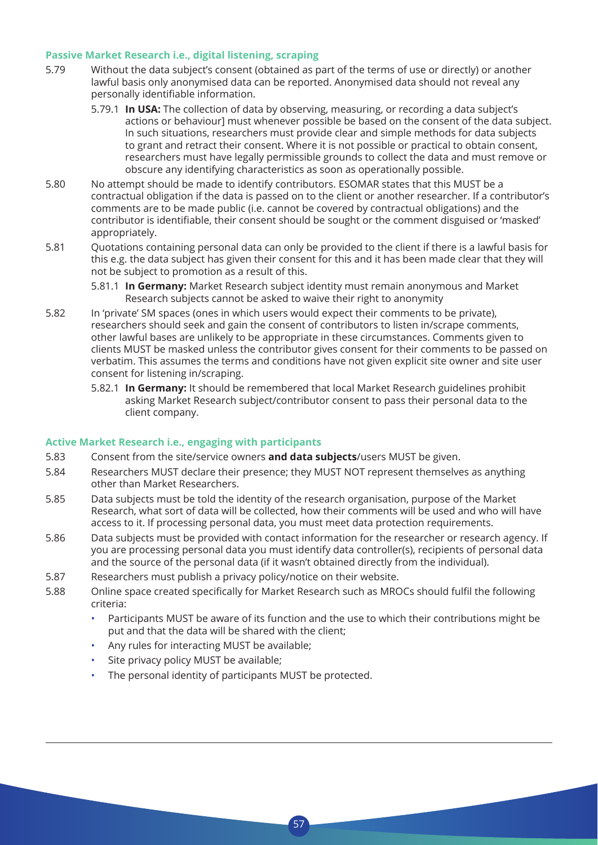#### **Passive Market Research i.e., digital listening, scraping**

- 5.79 Without the data subject's consent (obtained as part of the terms of use or directly) or another lawful basis only anonymised data can be reported. Anonymised data should not reveal any personally identifiable information.
	- 5.79.1 **In USA:** The collection of data by observing, measuring, or recording a data subject's actions or behaviour] must whenever possible be based on the consent of the data subject. In such situations, researchers must provide clear and simple methods for data subjects to grant and retract their consent. Where it is not possible or practical to obtain consent, researchers must have legally permissible grounds to collect the data and must remove or obscure any identifying characteristics as soon as operationally possible.
- 5.80 No attempt should be made to identify contributors. ESOMAR states that this MUST be a contractual obligation if the data is passed on to the client or another researcher. If a contributor's comments are to be made public (i.e. cannot be covered by contractual obligations) and the contributor is identifiable, their consent should be sought or the comment disguised or 'masked' appropriately.
- 5.81 Quotations containing personal data can only be provided to the client if there is a lawful basis for this e.g. the data subject has given their consent for this and it has been made clear that they will not be subject to promotion as a result of this.
	- 5.81.1 **In Germany:** Market Research subject identity must remain anonymous and Market Research subjects cannot be asked to waive their right to anonymity
- 5.82 In 'private' SM spaces (ones in which users would expect their comments to be private), researchers should seek and gain the consent of contributors to listen in/scrape comments, other lawful bases are unlikely to be appropriate in these circumstances. Comments given to clients MUST be masked unless the contributor gives consent for their comments to be passed on verbatim. This assumes the terms and conditions have not given explicit site owner and site user consent for listening in/scraping.
	- 5.82.1 **In Germany:** It should be remembered that local Market Research guidelines prohibit asking Market Research subject/contributor consent to pass their personal data to the client company.

#### **Active Market Research i.e., engaging with participants**

- 5.83 Consent from the site/service owners **and data subjects**/users MUST be given.
- 5.84 Researchers MUST declare their presence; they MUST NOT represent themselves as anything other than Market Researchers.
- 5.85 Data subjects must be told the identity of the research organisation, purpose of the Market Research, what sort of data will be collected, how their comments will be used and who will have access to it. If processing personal data, you must meet data protection requirements.
- 5.86 Data subjects must be provided with contact information for the researcher or research agency. If you are processing personal data you must identify data controller(s), recipients of personal data and the source of the personal data (if it wasn't obtained directly from the individual).
- 5.87 Researchers must publish a privacy policy/notice on their website.
- 5.88 Online space created specifically for Market Research such as MROCs should fulfil the following criteria:

- Participants MUST be aware of its function and the use to which their contributions might be put and that the data will be shared with the client;
- Any rules for interacting MUST be available;
- Site privacy policy MUST be available;
- The personal identity of participants MUST be protected.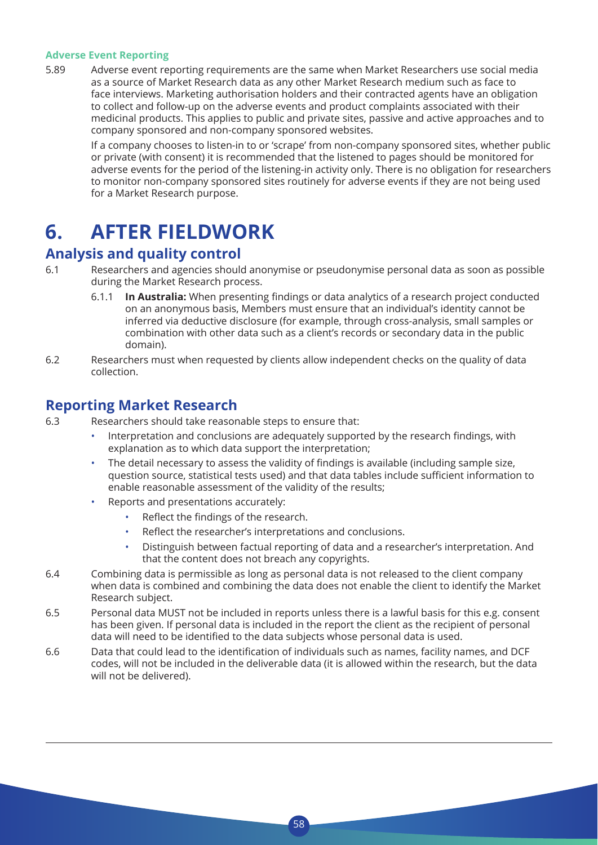#### **Adverse Event Reporting**

5.89 Adverse event reporting requirements are the same when Market Researchers use social media as a source of Market Research data as any other Market Research medium such as face to face interviews. Marketing authorisation holders and their contracted agents have an obligation to collect and follow-up on the adverse events and product complaints associated with their medicinal products. This applies to public and private sites, passive and active approaches and to company sponsored and non-company sponsored websites.

 If a company chooses to listen-in to or 'scrape' from non-company sponsored sites, whether public or private (with consent) it is recommended that the listened to pages should be monitored for adverse events for the period of the listening-in activity only. There is no obligation for researchers to monitor non-company sponsored sites routinely for adverse events if they are not being used for a Market Research purpose.

## **6. AFTER FIELDWORK**

### **Analysis and quality control**

- 6.1 Researchers and agencies should anonymise or pseudonymise personal data as soon as possible during the Market Research process.
	- 6.1.1 **In Australia:** When presenting findings or data analytics of a research project conducted on an anonymous basis, Members must ensure that an individual's identity cannot be inferred via deductive disclosure (for example, through cross-analysis, small samples or combination with other data such as a client's records or secondary data in the public domain).
- 6.2 Researchers must when requested by clients allow independent checks on the quality of data collection.

### **Reporting Market Research**

- 6.3 Researchers should take reasonable steps to ensure that:
	- Interpretation and conclusions are adequately supported by the research findings, with explanation as to which data support the interpretation;
	- The detail necessary to assess the validity of findings is available (including sample size, question source, statistical tests used) and that data tables include sufficient information to enable reasonable assessment of the validity of the results;
	- Reports and presentations accurately:
		- Reflect the findings of the research.
		- Reflect the researcher's interpretations and conclusions.
		- Distinguish between factual reporting of data and a researcher's interpretation. And that the content does not breach any copyrights.
- 6.4 Combining data is permissible as long as personal data is not released to the client company when data is combined and combining the data does not enable the client to identify the Market Research subject.
- 6.5 Personal data MUST not be included in reports unless there is a lawful basis for this e.g. consent has been given. If personal data is included in the report the client as the recipient of personal data will need to be identified to the data subjects whose personal data is used.
- 6.6 Data that could lead to the identification of individuals such as names, facility names, and DCF codes, will not be included in the deliverable data (it is allowed within the research, but the data will not be delivered).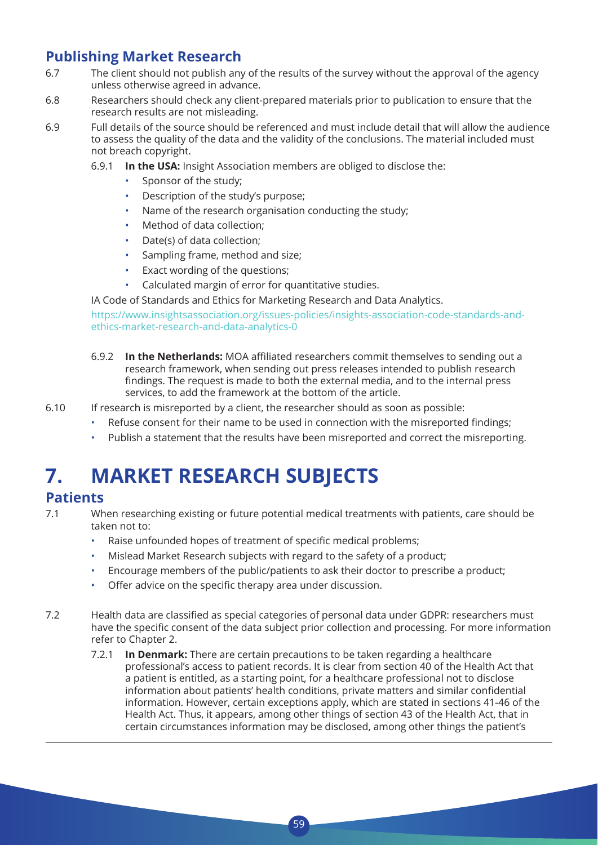### **Publishing Market Research**

- 6.7 The client should not publish any of the results of the survey without the approval of the agency unless otherwise agreed in advance.
- 6.8 Researchers should check any client-prepared materials prior to publication to ensure that the research results are not misleading.
- 6.9 Full details of the source should be referenced and must include detail that will allow the audience to assess the quality of the data and the validity of the conclusions. The material included must not breach copyright.
	- 6.9.1 **In the USA:** Insight Association members are obliged to disclose the:
		- Sponsor of the study;
		- Description of the study's purpose;
		- Name of the research organisation conducting the study;
		- Method of data collection;
		- Date(s) of data collection;
		- Sampling frame, method and size;
		- Exact wording of the questions;
		- Calculated margin of error for quantitative studies.

IA Code of Standards and Ethics for Marketing Research and Data Analytics.

 https://www.insightsassociation.org/issues-policies/insights-association-code-standards-andethics-market-research-and-data-analytics-0

- 6.9.2 **In the Netherlands:** MOA affiliated researchers commit themselves to sending out a research framework, when sending out press releases intended to publish research findings. The request is made to both the external media, and to the internal press services, to add the framework at the bottom of the article.
- 6.10 If research is misreported by a client, the researcher should as soon as possible:
	- Refuse consent for their name to be used in connection with the misreported findings;
	- Publish a statement that the results have been misreported and correct the misreporting.

## **7. MARKET RESEARCH SUBJECTS**

### **Patients**

- 7.1 When researching existing or future potential medical treatments with patients, care should be taken not to:
	- Raise unfounded hopes of treatment of specific medical problems;
	- Mislead Market Research subjects with regard to the safety of a product;
	- Encourage members of the public/patients to ask their doctor to prescribe a product;
	- Offer advice on the specific therapy area under discussion.
- 7.2 Health data are classified as special categories of personal data under GDPR: researchers must have the specific consent of the data subject prior collection and processing. For more information refer to Chapter 2.

59

7.2.1 **In Denmark:** There are certain precautions to be taken regarding a healthcare professional's access to patient records. It is clear from section 40 of the Health Act that a patient is entitled, as a starting point, for a healthcare professional not to disclose information about patients' health conditions, private matters and similar confidential information. However, certain exceptions apply, which are stated in sections 41-46 of the Health Act. Thus, it appears, among other things of section 43 of the Health Act, that in certain circumstances information may be disclosed, among other things the patient's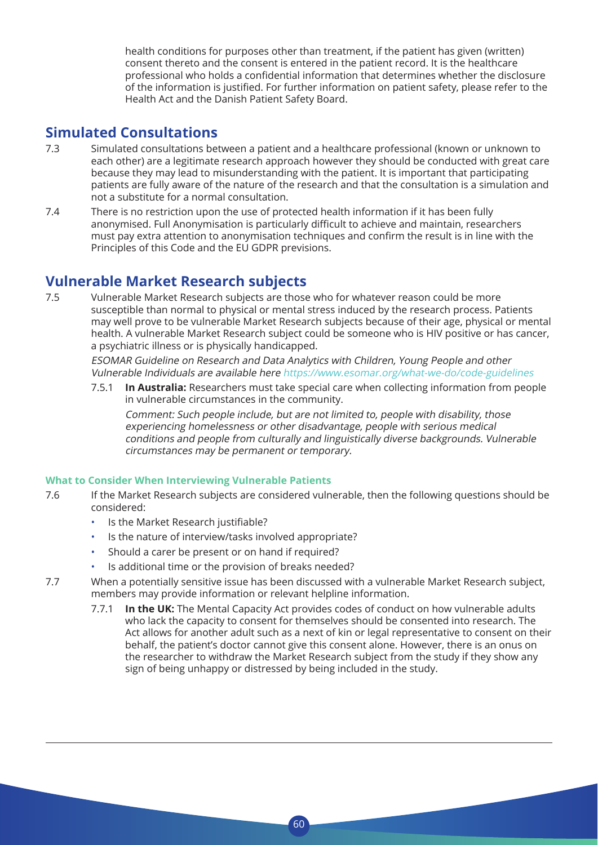health conditions for purposes other than treatment, if the patient has given (written) consent thereto and the consent is entered in the patient record. It is the healthcare professional who holds a confidential information that determines whether the disclosure of the information is justified. For further information on patient safety, please refer to the Health Act and the Danish Patient Safety Board.

### **Simulated Consultations**

- 7.3 Simulated consultations between a patient and a healthcare professional (known or unknown to each other) are a legitimate research approach however they should be conducted with great care because they may lead to misunderstanding with the patient. It is important that participating patients are fully aware of the nature of the research and that the consultation is a simulation and not a substitute for a normal consultation.
- 7.4 There is no restriction upon the use of protected health information if it has been fully anonymised. Full Anonymisation is particularly difficult to achieve and maintain, researchers must pay extra attention to anonymisation techniques and confirm the result is in line with the Principles of this Code and the EU GDPR previsions.

### **Vulnerable Market Research subjects**

7.5 Vulnerable Market Research subjects are those who for whatever reason could be more susceptible than normal to physical or mental stress induced by the research process. Patients may well prove to be vulnerable Market Research subjects because of their age, physical or mental health. A vulnerable Market Research subject could be someone who is HIV positive or has cancer, a psychiatric illness or is physically handicapped.

 ESOMAR Guideline on Research and Data Analytics with Children, Young People and other Vulnerable Individuals are available here https://www.esomar.org/what-we-do/code-guidelines

7.5.1 **In Australia:** Researchers must take special care when collecting information from people in vulnerable circumstances in the community.

 Comment: Such people include, but are not limited to, people with disability, those experiencing homelessness or other disadvantage, people with serious medical conditions and people from culturally and linguistically diverse backgrounds. Vulnerable circumstances may be permanent or temporary.

#### **What to Consider When Interviewing Vulnerable Patients**

- 7.6 If the Market Research subjects are considered vulnerable, then the following questions should be considered:
	- Is the Market Research justifiable?
	- Is the nature of interview/tasks involved appropriate?
	- Should a carer be present or on hand if required?
	- Is additional time or the provision of breaks needed?
- 7.7 When a potentially sensitive issue has been discussed with a vulnerable Market Research subject, members may provide information or relevant helpline information.

 $60$ 

7.7.1 **In the UK:** The Mental Capacity Act provides codes of conduct on how vulnerable adults who lack the capacity to consent for themselves should be consented into research. The Act allows for another adult such as a next of kin or legal representative to consent on their behalf, the patient's doctor cannot give this consent alone. However, there is an onus on the researcher to withdraw the Market Research subject from the study if they show any sign of being unhappy or distressed by being included in the study.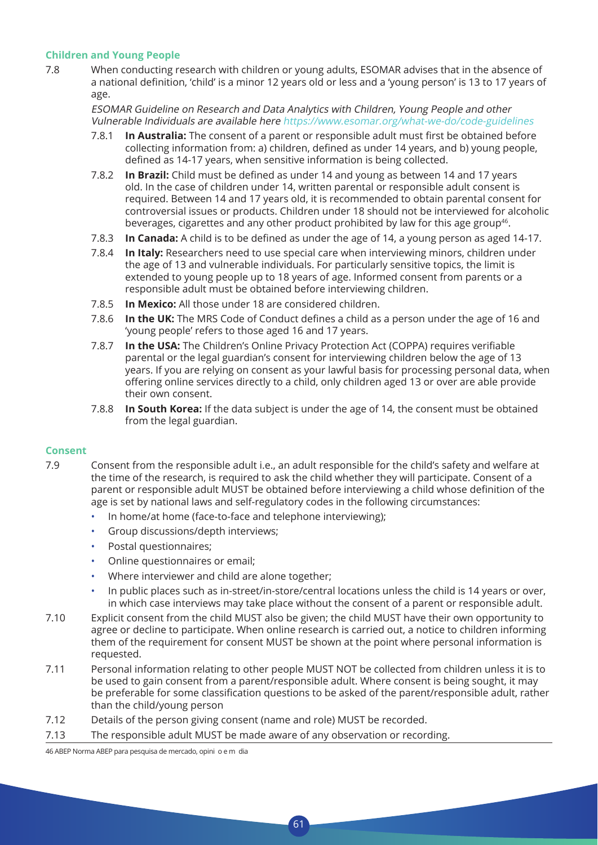#### **Children and Young People**

7.8 When conducting research with children or young adults, ESOMAR advises that in the absence of a national definition, 'child' is a minor 12 years old or less and a 'young person' is 13 to 17 years of age.

 ESOMAR Guideline on Research and Data Analytics with Children, Young People and other Vulnerable Individuals are available here https://www.esomar.org/what-we-do/code-guidelines

- 7.8.1 **In Australia:** The consent of a parent or responsible adult must first be obtained before collecting information from: a) children, defined as under 14 years, and b) young people, defined as 14-17 years, when sensitive information is being collected.
- 7.8.2 **In Brazil:** Child must be defined as under 14 and young as between 14 and 17 years old. In the case of children under 14, written parental or responsible adult consent is required. Between 14 and 17 years old, it is recommended to obtain parental consent for controversial issues or products. Children under 18 should not be interviewed for alcoholic beverages, cigarettes and any other product prohibited by law for this age group<sup>46</sup>.
- 7.8.3 **In Canada:** A child is to be defined as under the age of 14, a young person as aged 14-17.
- 7.8.4 **In Italy:** Researchers need to use special care when interviewing minors, children under the age of 13 and vulnerable individuals. For particularly sensitive topics, the limit is extended to young people up to 18 years of age. Informed consent from parents or a responsible adult must be obtained before interviewing children.
- 7.8.5 **In Mexico:** All those under 18 are considered children.
- 7.8.6 **In the UK:** The MRS Code of Conduct defines a child as a person under the age of 16 and 'young people' refers to those aged 16 and 17 years.
- 7.8.7 **In the USA:** The Children's Online Privacy Protection Act (COPPA) requires verifiable parental or the legal guardian's consent for interviewing children below the age of 13 years. If you are relying on consent as your lawful basis for processing personal data, when offering online services directly to a child, only children aged 13 or over are able provide their own consent.
- 7.8.8 **In South Korea:** If the data subject is under the age of 14, the consent must be obtained from the legal guardian.

#### **Consent**

- 7.9 Consent from the responsible adult i.e., an adult responsible for the child's safety and welfare at the time of the research, is required to ask the child whether they will participate. Consent of a parent or responsible adult MUST be obtained before interviewing a child whose definition of the age is set by national laws and self-regulatory codes in the following circumstances:
	- In home/at home (face-to-face and telephone interviewing);
	- Group discussions/depth interviews;
	- Postal questionnaires;
	- Online questionnaires or email;
	- Where interviewer and child are alone together;
	- In public places such as in-street/in-store/central locations unless the child is 14 years or over, in which case interviews may take place without the consent of a parent or responsible adult.
- 7.10 Explicit consent from the child MUST also be given; the child MUST have their own opportunity to agree or decline to participate. When online research is carried out, a notice to children informing them of the requirement for consent MUST be shown at the point where personal information is requested.
- 7.11 Personal information relating to other people MUST NOT be collected from children unless it is to be used to gain consent from a parent/responsible adult. Where consent is being sought, it may be preferable for some classification questions to be asked of the parent/responsible adult, rather than the child/young person

61

- 7.12 Details of the person giving consent (name and role) MUST be recorded.
- 7.13 The responsible adult MUST be made aware of any observation or recording.

46 ABEP Norma ABEP para pesquisa de mercado, opini o e m dia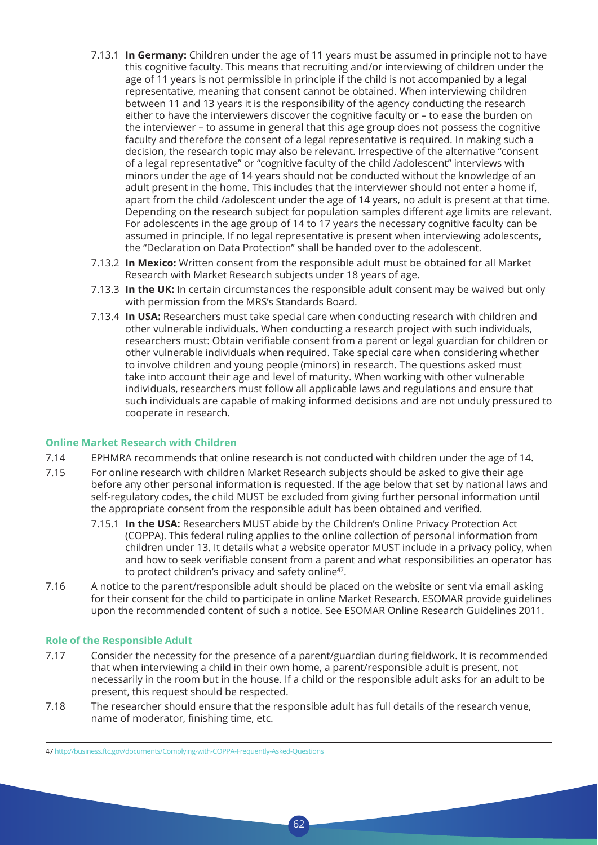- 7.13.1 **In Germany:** Children under the age of 11 years must be assumed in principle not to have this cognitive faculty. This means that recruiting and/or interviewing of children under the age of 11 years is not permissible in principle if the child is not accompanied by a legal representative, meaning that consent cannot be obtained. When interviewing children between 11 and 13 years it is the responsibility of the agency conducting the research either to have the interviewers discover the cognitive faculty or – to ease the burden on the interviewer – to assume in general that this age group does not possess the cognitive faculty and therefore the consent of a legal representative is required. In making such a decision, the research topic may also be relevant. Irrespective of the alternative "consent of a legal representative" or "cognitive faculty of the child /adolescent" interviews with minors under the age of 14 years should not be conducted without the knowledge of an adult present in the home. This includes that the interviewer should not enter a home if, apart from the child /adolescent under the age of 14 years, no adult is present at that time. Depending on the research subject for population samples different age limits are relevant. For adolescents in the age group of 14 to 17 years the necessary cognitive faculty can be assumed in principle. If no legal representative is present when interviewing adolescents, the "Declaration on Data Protection" shall be handed over to the adolescent.
- 7.13.2 **In Mexico:** Written consent from the responsible adult must be obtained for all Market Research with Market Research subjects under 18 years of age.
- 7.13.3 **In the UK:** In certain circumstances the responsible adult consent may be waived but only with permission from the MRS's Standards Board.
- 7.13.4 **In USA:** Researchers must take special care when conducting research with children and other vulnerable individuals. When conducting a research project with such individuals, researchers must: Obtain verifiable consent from a parent or legal guardian for children or other vulnerable individuals when required. Take special care when considering whether to involve children and young people (minors) in research. The questions asked must take into account their age and level of maturity. When working with other vulnerable individuals, researchers must follow all applicable laws and regulations and ensure that such individuals are capable of making informed decisions and are not unduly pressured to cooperate in research.

#### **Online Market Research with Children**

- 7.14 EPHMRA recommends that online research is not conducted with children under the age of 14.
- 7.15 For online research with children Market Research subjects should be asked to give their age before any other personal information is requested. If the age below that set by national laws and self-regulatory codes, the child MUST be excluded from giving further personal information until the appropriate consent from the responsible adult has been obtained and verified.
	- 7.15.1 **In the USA:** Researchers MUST abide by the Children's Online Privacy Protection Act (COPPA). This federal ruling applies to the online collection of personal information from children under 13. It details what a website operator MUST include in a privacy policy, when and how to seek verifiable consent from a parent and what responsibilities an operator has to protect children's privacy and safety online<sup>47</sup>.
- 7.16 A notice to the parent/responsible adult should be placed on the website or sent via email asking for their consent for the child to participate in online Market Research. ESOMAR provide guidelines upon the recommended content of such a notice. See ESOMAR Online Research Guidelines 2011.

#### **Role of the Responsible Adult**

7.17 Consider the necessity for the presence of a parent/guardian during fieldwork. It is recommended that when interviewing a child in their own home, a parent/responsible adult is present, not necessarily in the room but in the house. If a child or the responsible adult asks for an adult to be present, this request should be respected.

62

7.18 The researcher should ensure that the responsible adult has full details of the research venue, name of moderator, finishing time, etc.

<sup>47</sup> http://business.ftc.gov/documents/Complying-with-COPPA-Frequently-Asked-Questions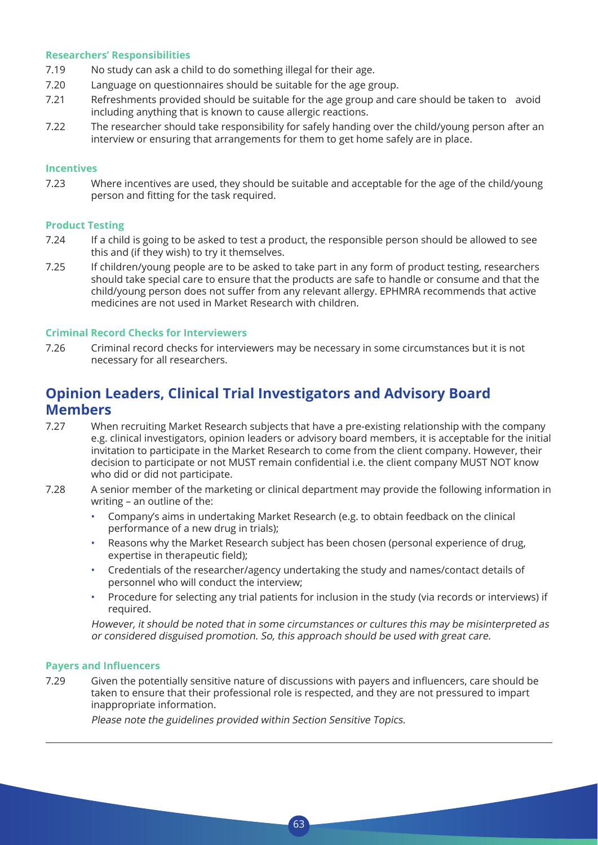#### **Researchers' Responsibilities**

- 7.19 No study can ask a child to do something illegal for their age.
- 7.20 Language on questionnaires should be suitable for the age group.
- 7.21 Refreshments provided should be suitable for the age group and care should be taken to avoid including anything that is known to cause allergic reactions.
- 7.22 The researcher should take responsibility for safely handing over the child/young person after an interview or ensuring that arrangements for them to get home safely are in place.

#### **Incentives**

7.23 Where incentives are used, they should be suitable and acceptable for the age of the child/young person and fitting for the task required.

#### **Product Testing**

- 7.24 If a child is going to be asked to test a product, the responsible person should be allowed to see this and (if they wish) to try it themselves.
- 7.25 If children/young people are to be asked to take part in any form of product testing, researchers should take special care to ensure that the products are safe to handle or consume and that the child/young person does not suffer from any relevant allergy. EPHMRA recommends that active medicines are not used in Market Research with children.

#### **Criminal Record Checks for Interviewers**

7.26 Criminal record checks for interviewers may be necessary in some circumstances but it is not necessary for all researchers.

### **Opinion Leaders, Clinical Trial Investigators and Advisory Board Members**

- 7.27 When recruiting Market Research subjects that have a pre-existing relationship with the company e.g. clinical investigators, opinion leaders or advisory board members, it is acceptable for the initial invitation to participate in the Market Research to come from the client company. However, their decision to participate or not MUST remain confidential i.e. the client company MUST NOT know who did or did not participate.
- 7.28 A senior member of the marketing or clinical department may provide the following information in writing – an outline of the:
	- Company's aims in undertaking Market Research (e.g. to obtain feedback on the clinical performance of a new drug in trials);
	- Reasons why the Market Research subject has been chosen (personal experience of drug, expertise in therapeutic field);
	- Credentials of the researcher/agency undertaking the study and names/contact details of personnel who will conduct the interview;
	- Procedure for selecting any trial patients for inclusion in the study (via records or interviews) if required.

 However, it should be noted that in some circumstances or cultures this may be misinterpreted as or considered disguised promotion. So, this approach should be used with great care.

#### **Payers and Influencers**

7.29 Given the potentially sensitive nature of discussions with payers and influencers, care should be taken to ensure that their professional role is respected, and they are not pressured to impart inappropriate information.

63

Please note the guidelines provided within Section Sensitive Topics.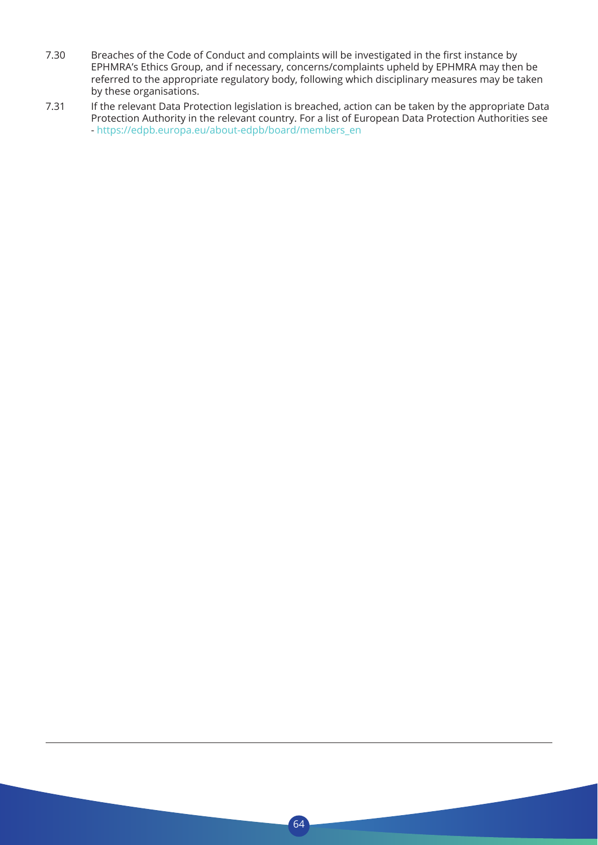- 7.30 Breaches of the Code of Conduct and complaints will be investigated in the first instance by EPHMRA's Ethics Group, and if necessary, concerns/complaints upheld by EPHMRA may then be referred to the appropriate regulatory body, following which disciplinary measures may be taken by these organisations.
- 7.31 If the relevant Data Protection legislation is breached, action can be taken by the appropriate Data Protection Authority in the relevant country. For a list of European Data Protection Authorities see - https://edpb.europa.eu/about-edpb/board/members\_en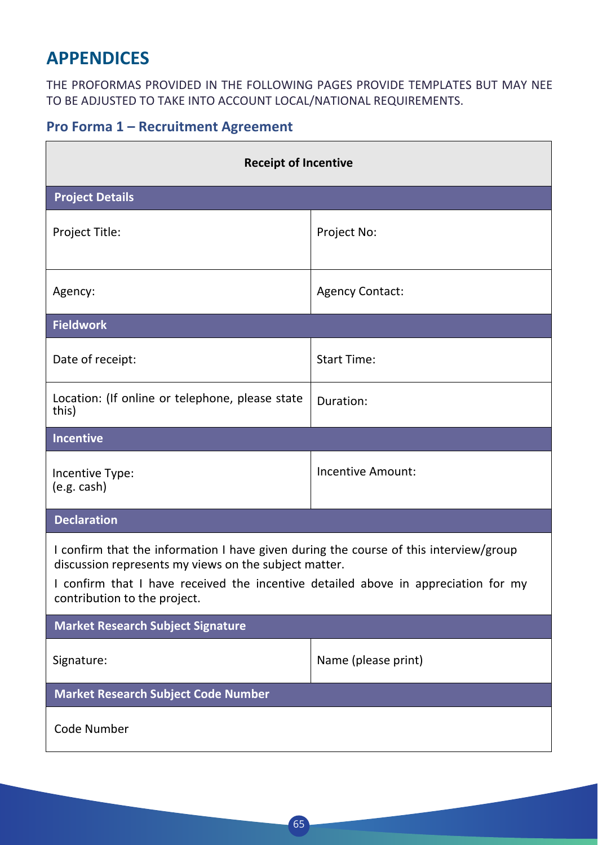## **APPENDICES**

THE PROFORMAS PROVIDED IN THE FOLLOWING PAGES PROVIDE TEMPLATES BUT MAY NEE TO BE ADJUSTED TO TAKE INTO ACCOUNT LOCAL/NATIONAL REQUIREMENTS.

### **Pro Forma 1 – Recruitment Agreement**

| <b>Receipt of Incentive</b>                                                                                                                                                                                                                                          |                        |  |  |
|----------------------------------------------------------------------------------------------------------------------------------------------------------------------------------------------------------------------------------------------------------------------|------------------------|--|--|
| <b>Project Details</b>                                                                                                                                                                                                                                               |                        |  |  |
| Project Title:                                                                                                                                                                                                                                                       | Project No:            |  |  |
| Agency:                                                                                                                                                                                                                                                              | <b>Agency Contact:</b> |  |  |
| <b>Fieldwork</b>                                                                                                                                                                                                                                                     |                        |  |  |
| Date of receipt:                                                                                                                                                                                                                                                     | <b>Start Time:</b>     |  |  |
| Location: (If online or telephone, please state<br>this)                                                                                                                                                                                                             | Duration:              |  |  |
| <b>Incentive</b>                                                                                                                                                                                                                                                     |                        |  |  |
| Incentive Type:<br>(e.g. cash)                                                                                                                                                                                                                                       | Incentive Amount:      |  |  |
| <b>Declaration</b>                                                                                                                                                                                                                                                   |                        |  |  |
| I confirm that the information I have given during the course of this interview/group<br>discussion represents my views on the subject matter.<br>I confirm that I have received the incentive detailed above in appreciation for my<br>contribution to the project. |                        |  |  |
| <b>Market Research Subject Signature</b>                                                                                                                                                                                                                             |                        |  |  |
| Signature:                                                                                                                                                                                                                                                           | Name (please print)    |  |  |
| <b>Market Research Subject Code Number</b>                                                                                                                                                                                                                           |                        |  |  |
| <b>Code Number</b>                                                                                                                                                                                                                                                   |                        |  |  |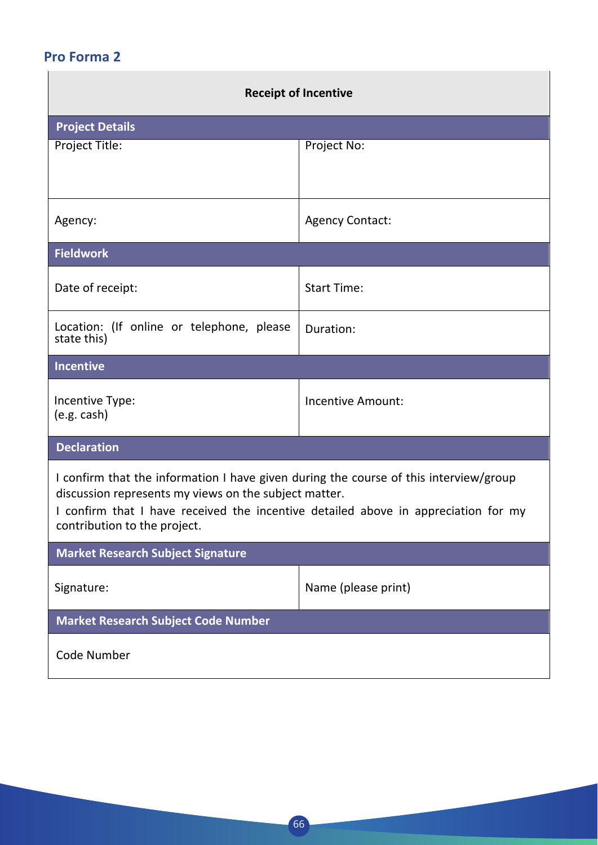## **Pro Forma 2**

| <b>Receipt of Incentive</b>                                                                                                                                                                                                                                          |                          |  |  |
|----------------------------------------------------------------------------------------------------------------------------------------------------------------------------------------------------------------------------------------------------------------------|--------------------------|--|--|
| <b>Project Details</b>                                                                                                                                                                                                                                               |                          |  |  |
| Project Title:                                                                                                                                                                                                                                                       | Project No:              |  |  |
| Agency:                                                                                                                                                                                                                                                              | <b>Agency Contact:</b>   |  |  |
| <b>Fieldwork</b>                                                                                                                                                                                                                                                     |                          |  |  |
| Date of receipt:                                                                                                                                                                                                                                                     | <b>Start Time:</b>       |  |  |
| Location: (If online or telephone, please<br>state this)                                                                                                                                                                                                             | Duration:                |  |  |
| <b>Incentive</b>                                                                                                                                                                                                                                                     |                          |  |  |
| Incentive Type:<br>(e.g. cash)                                                                                                                                                                                                                                       | <b>Incentive Amount:</b> |  |  |
| <b>Declaration</b>                                                                                                                                                                                                                                                   |                          |  |  |
| I confirm that the information I have given during the course of this interview/group<br>discussion represents my views on the subject matter.<br>I confirm that I have received the incentive detailed above in appreciation for my<br>contribution to the project. |                          |  |  |
| <b>Market Research Subject Signature</b>                                                                                                                                                                                                                             |                          |  |  |
| Signature:                                                                                                                                                                                                                                                           | Name (please print)      |  |  |
| <b>Market Research Subject Code Number</b>                                                                                                                                                                                                                           |                          |  |  |
| <b>Code Number</b>                                                                                                                                                                                                                                                   |                          |  |  |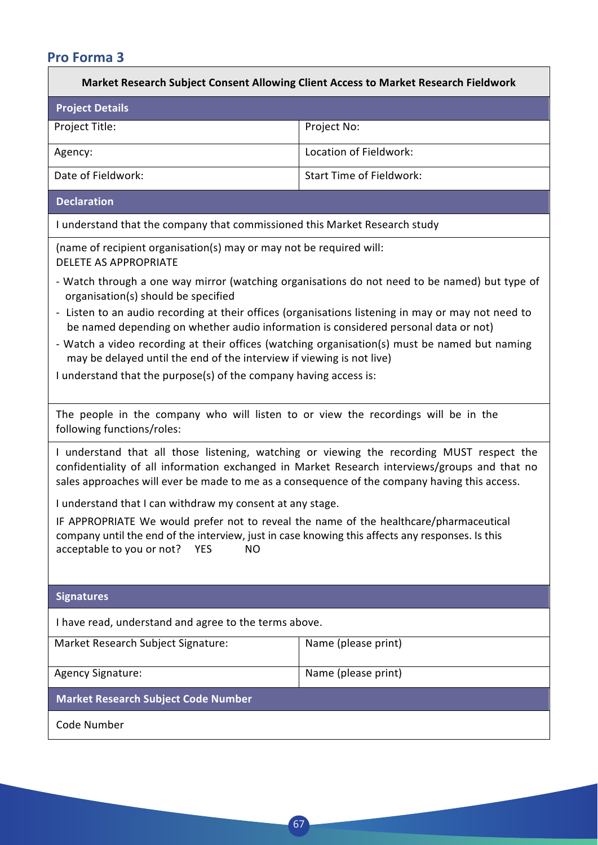| <b>Pro Forma 3</b>                                                                                                                                                                                                                                                                                                                                                                                                                                                                                                                                                               |                                 |  |  |
|----------------------------------------------------------------------------------------------------------------------------------------------------------------------------------------------------------------------------------------------------------------------------------------------------------------------------------------------------------------------------------------------------------------------------------------------------------------------------------------------------------------------------------------------------------------------------------|---------------------------------|--|--|
| Market Research Subject Consent Allowing Client Access to Market Research Fieldwork                                                                                                                                                                                                                                                                                                                                                                                                                                                                                              |                                 |  |  |
| <b>Project Details</b>                                                                                                                                                                                                                                                                                                                                                                                                                                                                                                                                                           |                                 |  |  |
| Project Title:                                                                                                                                                                                                                                                                                                                                                                                                                                                                                                                                                                   | Project No:                     |  |  |
| Agency:                                                                                                                                                                                                                                                                                                                                                                                                                                                                                                                                                                          | Location of Fieldwork:          |  |  |
| Date of Fieldwork:                                                                                                                                                                                                                                                                                                                                                                                                                                                                                                                                                               | <b>Start Time of Fieldwork:</b> |  |  |
| <b>Declaration</b>                                                                                                                                                                                                                                                                                                                                                                                                                                                                                                                                                               |                                 |  |  |
| I understand that the company that commissioned this Market Research study                                                                                                                                                                                                                                                                                                                                                                                                                                                                                                       |                                 |  |  |
| (name of recipient organisation(s) may or may not be required will:<br><b>DELETE AS APPROPRIATE</b>                                                                                                                                                                                                                                                                                                                                                                                                                                                                              |                                 |  |  |
| - Watch through a one way mirror (watching organisations do not need to be named) but type of<br>organisation(s) should be specified<br>- Listen to an audio recording at their offices (organisations listening in may or may not need to<br>be named depending on whether audio information is considered personal data or not)<br>- Watch a video recording at their offices (watching organisation(s) must be named but naming<br>may be delayed until the end of the interview if viewing is not live)<br>I understand that the purpose(s) of the company having access is: |                                 |  |  |
| The people in the company who will listen to or view the recordings will be in the<br>following functions/roles:                                                                                                                                                                                                                                                                                                                                                                                                                                                                 |                                 |  |  |
| I understand that all those listening, watching or viewing the recording MUST respect the<br>confidentiality of all information exchanged in Market Research interviews/groups and that no<br>sales approaches will ever be made to me as a consequence of the company having this access.                                                                                                                                                                                                                                                                                       |                                 |  |  |
| I understand that I can withdraw my consent at any stage.                                                                                                                                                                                                                                                                                                                                                                                                                                                                                                                        |                                 |  |  |
| IF APPROPRIATE We would prefer not to reveal the name of the healthcare/pharmaceutical<br>company until the end of the interview, just in case knowing this affects any responses. Is this<br>acceptable to you or not?<br><b>YES</b><br><b>NO</b>                                                                                                                                                                                                                                                                                                                               |                                 |  |  |
| <b>Signatures</b>                                                                                                                                                                                                                                                                                                                                                                                                                                                                                                                                                                |                                 |  |  |
| I have read, understand and agree to the terms above.                                                                                                                                                                                                                                                                                                                                                                                                                                                                                                                            |                                 |  |  |
| Market Research Subject Signature:                                                                                                                                                                                                                                                                                                                                                                                                                                                                                                                                               | Name (please print)             |  |  |
| <b>Agency Signature:</b>                                                                                                                                                                                                                                                                                                                                                                                                                                                                                                                                                         | Name (please print)             |  |  |
| <b>Market Research Subject Code Number</b>                                                                                                                                                                                                                                                                                                                                                                                                                                                                                                                                       |                                 |  |  |

67

Code Number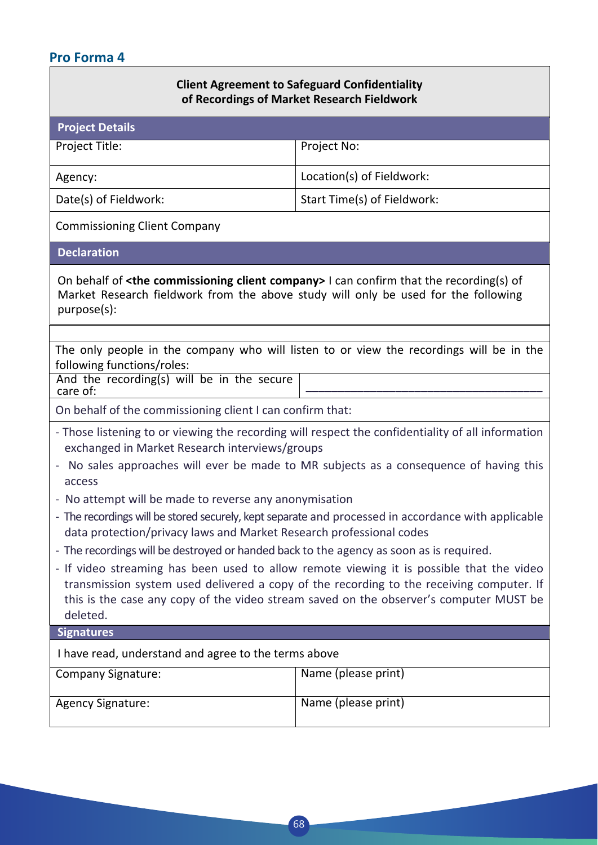### **Pro Forma 4**

#### **Client Agreement to Safeguard Confidentiality of Recordings of Market Research Fieldwork**

| <b>Project Details</b> |                             |
|------------------------|-----------------------------|
| Project Title:         | Project No:                 |
| Agency:                | Location(s) of Fieldwork:   |
| Date(s) of Fieldwork:  | Start Time(s) of Fieldwork: |
|                        |                             |

 Commissioning Client Company

**Declaration**

On behalf of **<the commissioning client company>** I can confirm that the recording(s) of Market Research fieldwork from the above study will only be used for the following purpose(s):

The only people in the company who will listen to or view the recordings will be in the following functions/roles:

 And the recording(s) will be in the secure care of: **\_\_\_\_\_\_\_\_\_\_\_\_\_\_\_\_\_\_\_\_\_\_\_\_\_\_\_\_\_\_\_\_\_\_\_\_\_**

On behalf of the commissioning client I can confirm that:

- Those listening to or viewing the recording will respect the confidentiality of all information exchanged in Market Research interviews/groups
- No sales approaches will ever be made to MR subjects as a consequence of having this access
- No attempt will be made to reverse any anonymisation
- The recordings will be stored securely, kept separate and processed in accordance with applicable data protection/privacy laws and Market Research professional codes
- The recordings will be destroyed or handed back to the agency as soon as is required.
- If video streaming has been used to allow remote viewing it is possible that the video transmission system used delivered a copy of the recording to the receiving computer. If this is the case any copy of the video stream saved on the observer's computer MUST be deleted.

**Signatures**

I have read, understand and agree to the terms above

| <b>Company Signature:</b> | Name (please print) |
|---------------------------|---------------------|
|                           |                     |
|                           |                     |
|                           |                     |
| <b>Agency Signature:</b>  | Name (please print) |
|                           |                     |
|                           |                     |
|                           |                     |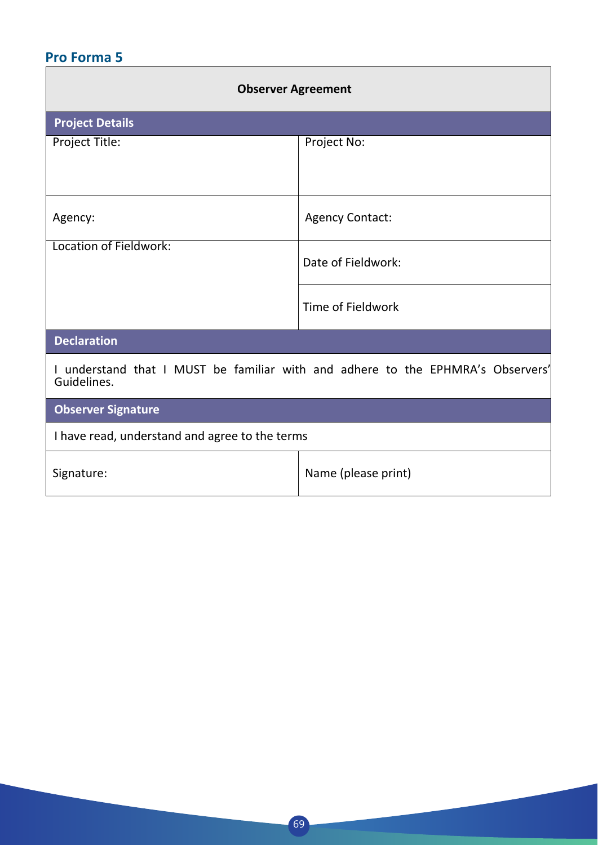### **Pro Forma 5**

| <b>Observer Agreement</b>                                                                      |                        |
|------------------------------------------------------------------------------------------------|------------------------|
| <b>Project Details</b>                                                                         |                        |
| Project Title:                                                                                 | Project No:            |
|                                                                                                |                        |
| Agency:                                                                                        | <b>Agency Contact:</b> |
| Location of Fieldwork:                                                                         | Date of Fieldwork:     |
|                                                                                                | Time of Fieldwork      |
| <b>Declaration</b>                                                                             |                        |
| I understand that I MUST be familiar with and adhere to the EPHMRA's Observers'<br>Guidelines. |                        |
| <b>Observer Signature</b>                                                                      |                        |
| I have read, understand and agree to the terms                                                 |                        |
| Signature:                                                                                     | Name (please print)    |